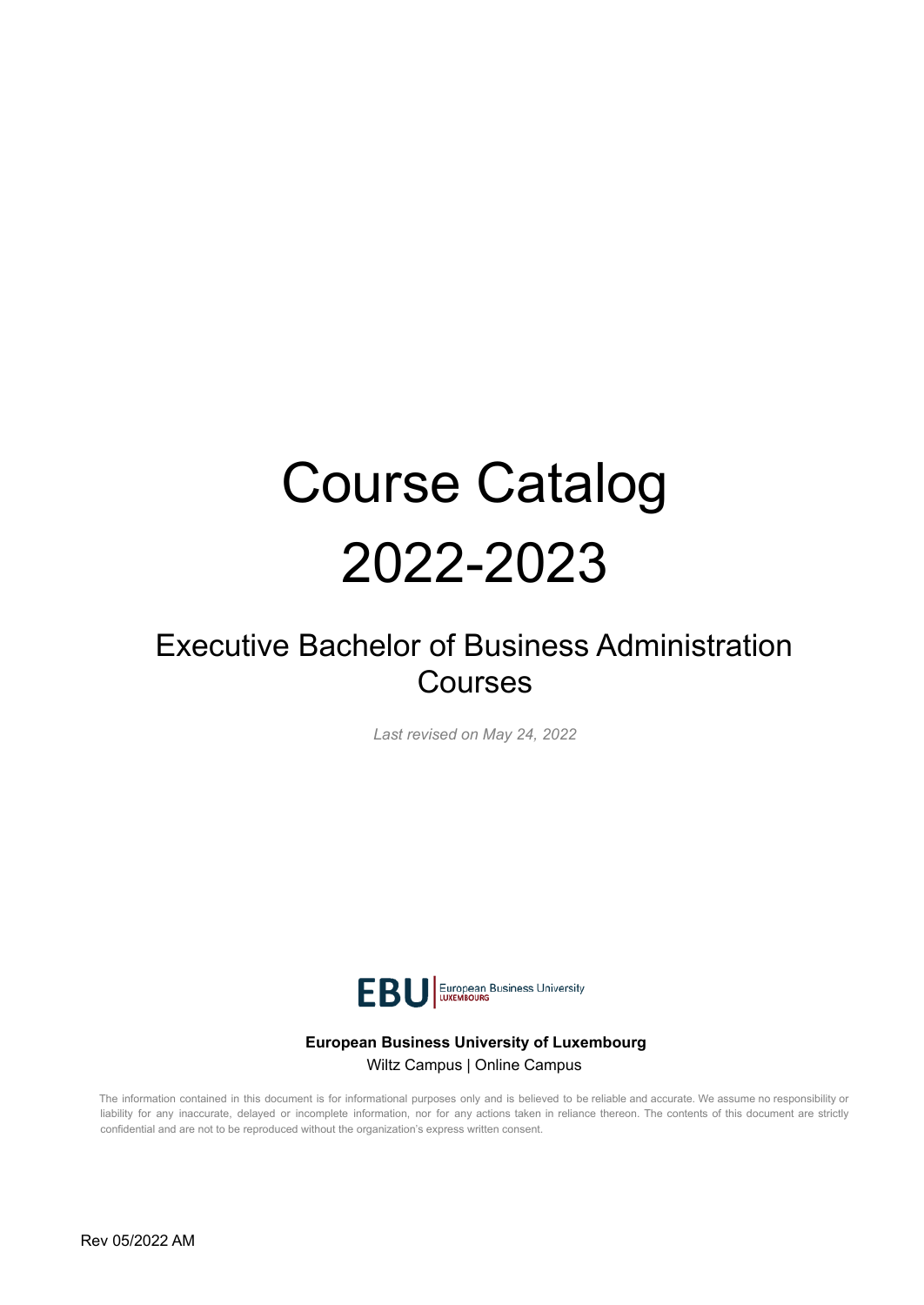# Course Catalog 2022-2023

# Executive Bachelor of Business Administration Courses

*Last revised on May 24, 2022*



#### **European Business University of Luxembourg** Wiltz Campus | Online Campus

The information contained in this document is for informational purposes only and is believed to be reliable and accurate. We assume no responsibility or liability for any inaccurate, delayed or incomplete information, nor for any actions taken in reliance thereon. The contents of this document are strictly confidential and are not to be reproduced without the organization's express written consent.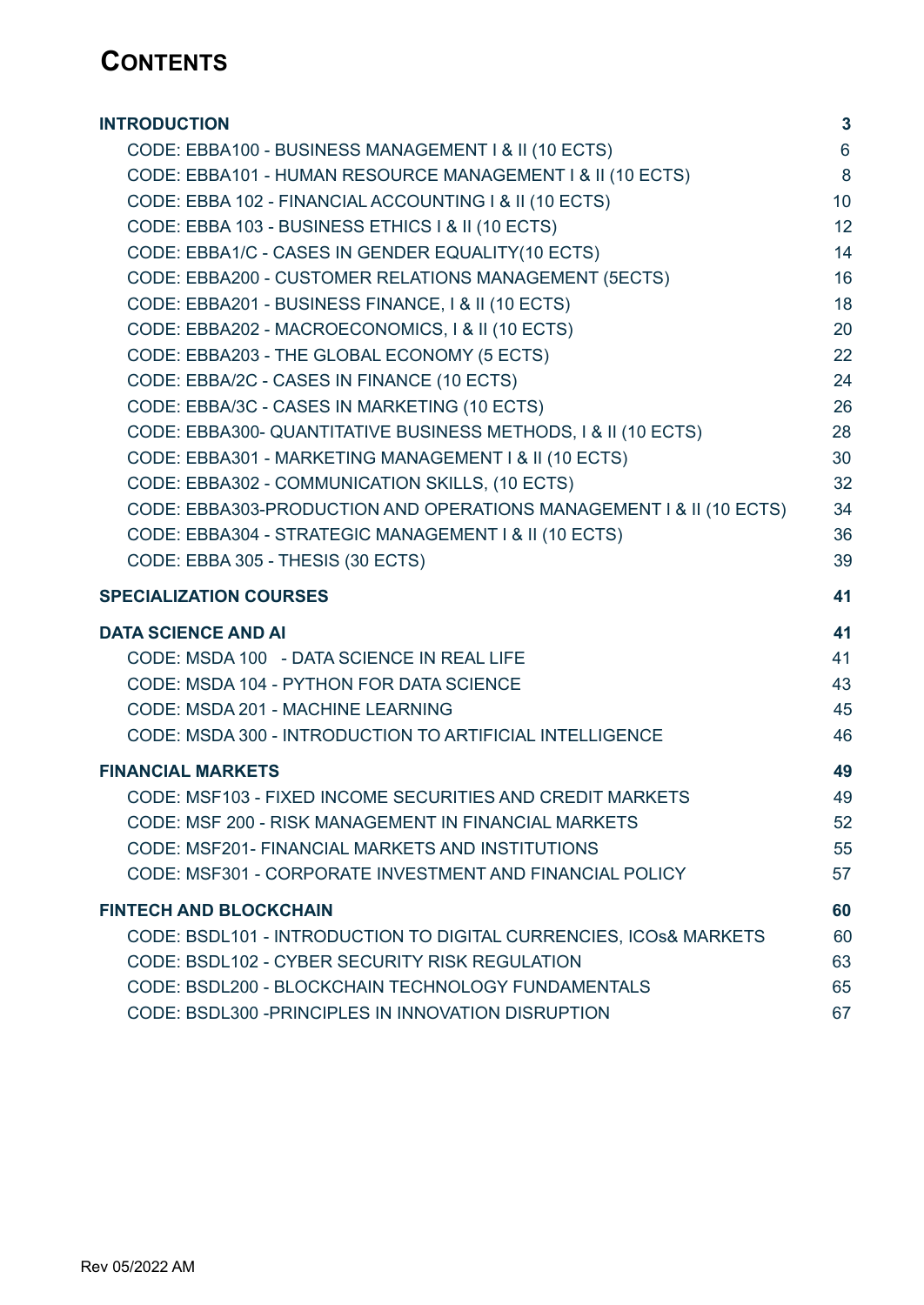# **CONTENTS**

| <b>INTRODUCTION</b>                                                 | $\mathbf{3}$ |
|---------------------------------------------------------------------|--------------|
| CODE: EBBA100 - BUSINESS MANAGEMENT I & II (10 ECTS)                | 6            |
| CODE: EBBA101 - HUMAN RESOURCE MANAGEMENT I & II (10 ECTS)          | 8            |
| CODE: EBBA 102 - FINANCIAL ACCOUNTING I & II (10 ECTS)              | 10           |
| CODE: EBBA 103 - BUSINESS ETHICS I & II (10 ECTS)                   | 12           |
| CODE: EBBA1/C - CASES IN GENDER EQUALITY(10 ECTS)                   | 14           |
| CODE: EBBA200 - CUSTOMER RELATIONS MANAGEMENT (5ECTS)               | 16           |
| CODE: EBBA201 - BUSINESS FINANCE, I & II (10 ECTS)                  | 18           |
| CODE: EBBA202 - MACROECONOMICS, I & II (10 ECTS)                    | 20           |
| CODE: EBBA203 - THE GLOBAL ECONOMY (5 ECTS)                         | 22           |
| CODE: EBBA/2C - CASES IN FINANCE (10 ECTS)                          | 24           |
| CODE: EBBA/3C - CASES IN MARKETING (10 ECTS)                        | 26           |
| CODE: EBBA300- QUANTITATIVE BUSINESS METHODS, I & II (10 ECTS)      | 28           |
| CODE: EBBA301 - MARKETING MANAGEMENT I & II (10 ECTS)               | 30           |
| CODE: EBBA302 - COMMUNICATION SKILLS, (10 ECTS)                     | 32           |
| CODE: EBBA303-PRODUCTION AND OPERATIONS MANAGEMENT I & II (10 ECTS) | 34           |
| CODE: EBBA304 - STRATEGIC MANAGEMENT   & II (10 ECTS)               | 36           |
| CODE: EBBA 305 - THESIS (30 ECTS)                                   | 39           |
|                                                                     |              |
| <b>SPECIALIZATION COURSES</b>                                       | 41           |
| <b>DATA SCIENCE AND AI</b>                                          | 41           |
| CODE: MSDA 100 - DATA SCIENCE IN REAL LIFE                          | 41           |
| CODE: MSDA 104 - PYTHON FOR DATA SCIENCE                            | 43           |
| CODE: MSDA 201 - MACHINE LEARNING                                   | 45           |
| CODE: MSDA 300 - INTRODUCTION TO ARTIFICIAL INTELLIGENCE            | 46           |
| <b>FINANCIAL MARKETS</b>                                            | 49           |
| CODE: MSF103 - FIXED INCOME SECURITIES AND CREDIT MARKETS           | 49           |
| CODE: MSF 200 - RISK MANAGEMENT IN FINANCIAL MARKETS                | 52           |
| CODE: MSF201- FINANCIAL MARKETS AND INSTITUTIONS                    | 55           |
| CODE: MSF301 - CORPORATE INVESTMENT AND FINANCIAL POLICY            | 57           |
| <b>FINTECH AND BLOCKCHAIN</b>                                       | 60           |
| CODE: BSDL101 - INTRODUCTION TO DIGITAL CURRENCIES, ICOs& MARKETS   | 60           |
| CODE: BSDL102 - CYBER SECURITY RISK REGULATION                      | 63           |
| CODE: BSDL200 - BLOCKCHAIN TECHNOLOGY FUNDAMENTALS                  | 65           |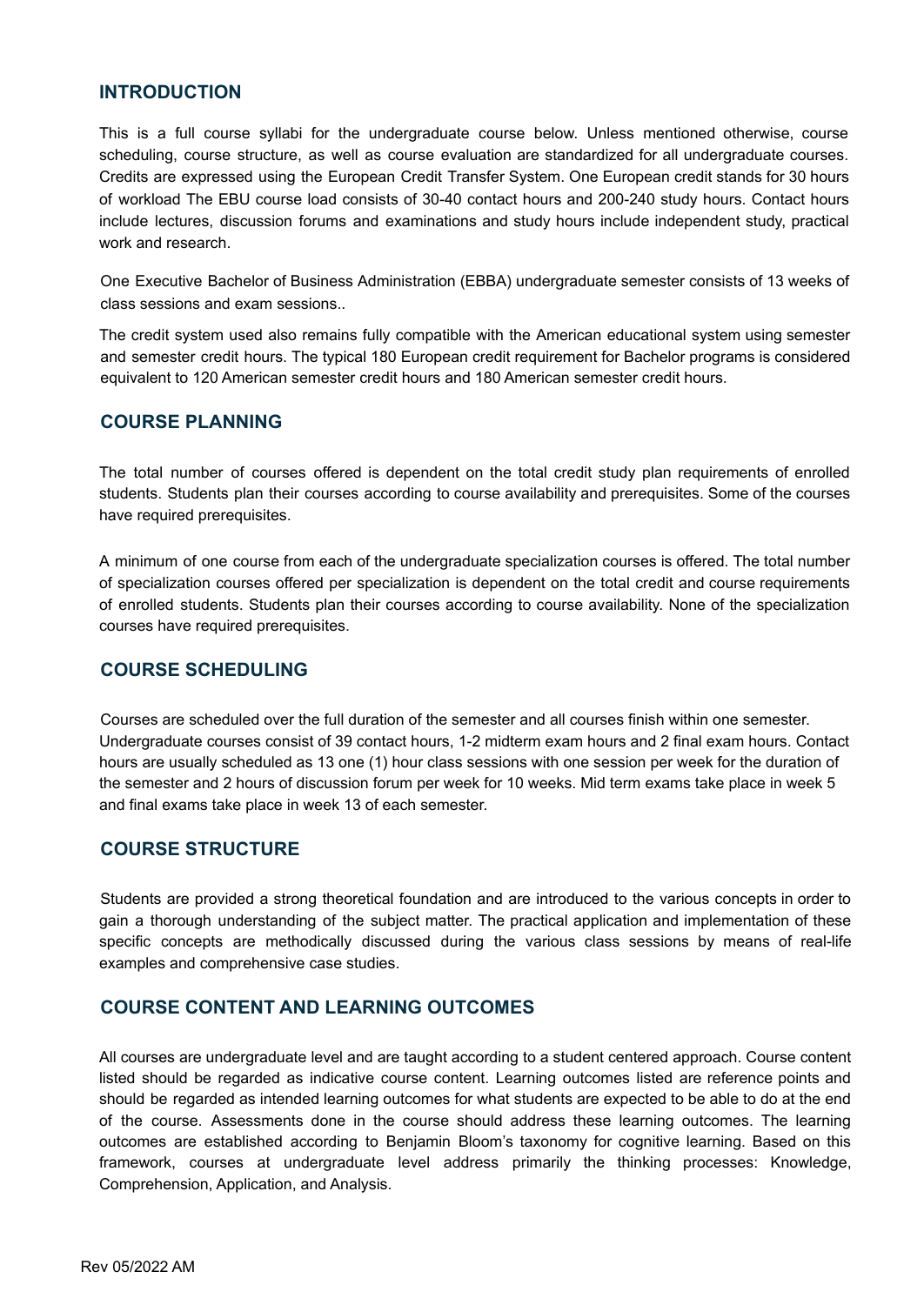#### <span id="page-2-0"></span>**INTRODUCTION**

This is a full course syllabi for the undergraduate course below. Unless mentioned otherwise, course scheduling, course structure, as well as course evaluation are standardized for all undergraduate courses. Credits are expressed using the European Credit Transfer System. One European credit stands for 30 hours of workload The EBU course load consists of 30-40 contact hours and 200-240 study hours. Contact hours include lectures, discussion forums and examinations and study hours include independent study, practical work and research.

One Executive Bachelor of Business Administration (EBBA) undergraduate semester consists of 13 weeks of class sessions and exam sessions..

The credit system used also remains fully compatible with the American educational system using semester and semester credit hours. The typical 180 European credit requirement for Bachelor programs is considered equivalent to 120 American semester credit hours and 180 American semester credit hours.

#### **COURSE PLANNING**

The total number of courses offered is dependent on the total credit study plan requirements of enrolled students. Students plan their courses according to course availability and prerequisites. Some of the courses have required prerequisites.

A minimum of one course from each of the undergraduate specialization courses is offered. The total number of specialization courses offered per specialization is dependent on the total credit and course requirements of enrolled students. Students plan their courses according to course availability. None of the specialization courses have required prerequisites.

#### **COURSE SCHEDULING**

Courses are scheduled over the full duration of the semester and all courses finish within one semester. Undergraduate courses consist of 39 contact hours, 1-2 midterm exam hours and 2 final exam hours. Contact hours are usually scheduled as 13 one (1) hour class sessions with one session per week for the duration of the semester and 2 hours of discussion forum per week for 10 weeks. Mid term exams take place in week 5 and final exams take place in week 13 of each semester.

#### **COURSE STRUCTURE**

Students are provided a strong theoretical foundation and are introduced to the various concepts in order to gain a thorough understanding of the subject matter. The practical application and implementation of these specific concepts are methodically discussed during the various class sessions by means of real-life examples and comprehensive case studies.

#### **COURSE CONTENT AND LEARNING OUTCOMES**

All courses are undergraduate level and are taught according to a student centered approach. Course content listed should be regarded as indicative course content. Learning outcomes listed are reference points and should be regarded as intended learning outcomes for what students are expected to be able to do at the end of the course. Assessments done in the course should address these learning outcomes. The learning outcomes are established according to Benjamin Bloom's taxonomy for cognitive learning. Based on this framework, courses at undergraduate level address primarily the thinking processes: Knowledge, Comprehension, Application, and Analysis.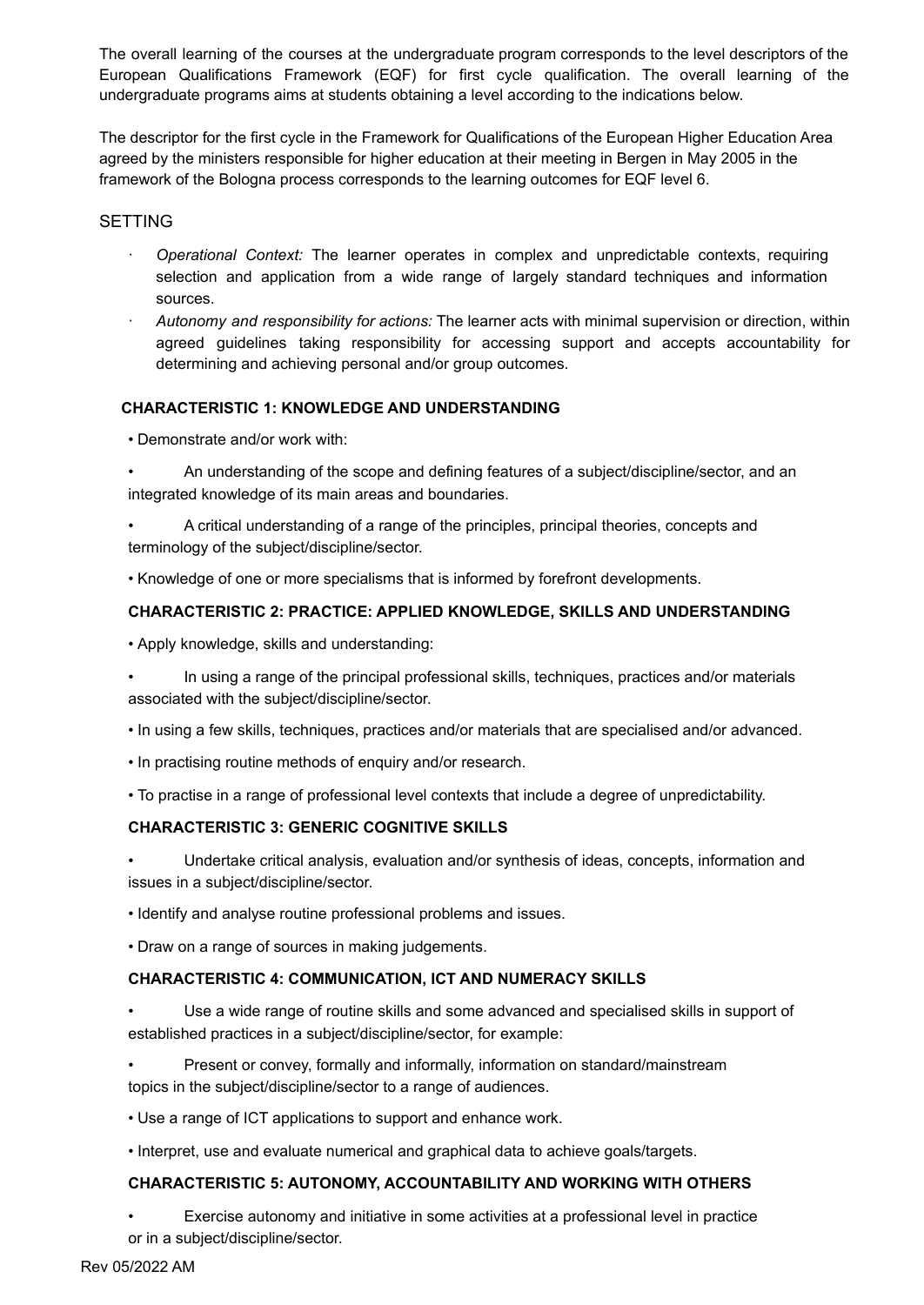The overall learning of the courses at the undergraduate program corresponds to the level descriptors of the European Qualifications Framework (EQF) for first cycle qualification. The overall learning of the undergraduate programs aims at students obtaining a level according to the indications below.

The descriptor for the first cycle in the Framework for Qualifications of the European Higher Education Area agreed by the ministers responsible for higher education at their meeting in Bergen in May 2005 in the framework of the Bologna process corresponds to the learning outcomes for EQF level 6.

#### SETTING

- · *Operational Context:* The learner operates in complex and unpredictable contexts, requiring selection and application from a wide range of largely standard techniques and information sources.
- · *Autonomy and responsibility for actions:* The learner acts with minimal supervision or direction, within agreed guidelines taking responsibility for accessing support and accepts accountability for determining and achieving personal and/or group outcomes.

#### **CHARACTERISTIC 1: KNOWLEDGE AND UNDERSTANDING**

- Demonstrate and/or work with:
- An understanding of the scope and defining features of a subject/discipline/sector, and an integrated knowledge of its main areas and boundaries.
- A critical understanding of a range of the principles, principal theories, concepts and terminology of the subject/discipline/sector.
- Knowledge of one or more specialisms that is informed by forefront developments.

#### **CHARACTERISTIC 2: PRACTICE: APPLIED KNOWLEDGE, SKILLS AND UNDERSTANDING**

- Apply knowledge, skills and understanding:
- In using a range of the principal professional skills, techniques, practices and/or materials associated with the subject/discipline/sector.
- In using a few skills, techniques, practices and/or materials that are specialised and/or advanced.
- In practising routine methods of enquiry and/or research.
- To practise in a range of professional level contexts that include a degree of unpredictability.

#### **CHARACTERISTIC 3: GENERIC COGNITIVE SKILLS**

• Undertake critical analysis, evaluation and/or synthesis of ideas, concepts, information and issues in a subject/discipline/sector.

- Identify and analyse routine professional problems and issues.
- Draw on a range of sources in making judgements.

#### **CHARACTERISTIC 4: COMMUNICATION, ICT AND NUMERACY SKILLS**

• Use a wide range of routine skills and some advanced and specialised skills in support of established practices in a subject/discipline/sector, for example:

- Present or convey, formally and informally, information on standard/mainstream topics in the subject/discipline/sector to a range of audiences.
- Use a range of ICT applications to support and enhance work.
- Interpret, use and evaluate numerical and graphical data to achieve goals/targets.

#### **CHARACTERISTIC 5: AUTONOMY, ACCOUNTABILITY AND WORKING WITH OTHERS**

• Exercise autonomy and initiative in some activities at a professional level in practice or in a subject/discipline/sector.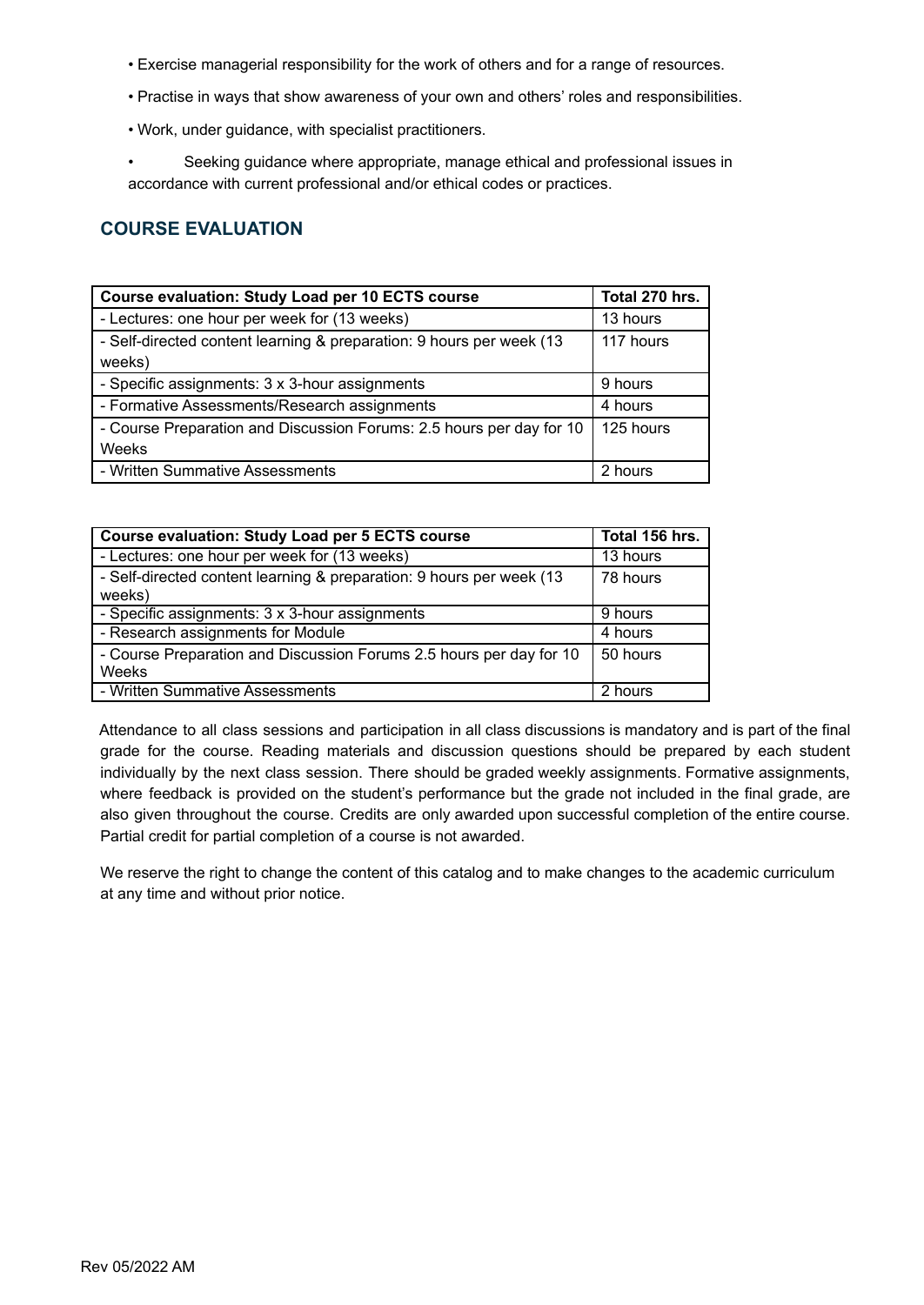- Exercise managerial responsibility for the work of others and for a range of resources.
- Practise in ways that show awareness of your own and others' roles and responsibilities.
- Work, under guidance, with specialist practitioners.
- Seeking guidance where appropriate, manage ethical and professional issues in accordance with current professional and/or ethical codes or practices.

# **COURSE EVALUATION**

| <b>Course evaluation: Study Load per 10 ECTS course</b>              | Total 270 hrs. |
|----------------------------------------------------------------------|----------------|
| - Lectures: one hour per week for (13 weeks)                         | 13 hours       |
| - Self-directed content learning & preparation: 9 hours per week (13 | 117 hours      |
| weeks)                                                               |                |
| - Specific assignments: 3 x 3-hour assignments                       | 9 hours        |
| - Formative Assessments/Research assignments                         | 4 hours        |
| - Course Preparation and Discussion Forums: 2.5 hours per day for 10 | 125 hours      |
| Weeks                                                                |                |
| - Written Summative Assessments                                      | 2 hours        |

| <b>Course evaluation: Study Load per 5 ECTS course</b>                         | Total 156 hrs. |
|--------------------------------------------------------------------------------|----------------|
| - Lectures: one hour per week for (13 weeks)                                   | 13 hours       |
| - Self-directed content learning & preparation: 9 hours per week (13<br>weeks) | 78 hours       |
| - Specific assignments: 3 x 3-hour assignments                                 | 9 hours        |
| - Research assignments for Module                                              | 4 hours        |
| - Course Preparation and Discussion Forums 2.5 hours per day for 10<br>Weeks   | 50 hours       |
| - Written Summative Assessments                                                | 2 hours        |

Attendance to all class sessions and participation in all class discussions is mandatory and is part of the final grade for the course. Reading materials and discussion questions should be prepared by each student individually by the next class session. There should be graded weekly assignments. Formative assignments, where feedback is provided on the student's performance but the grade not included in the final grade, are also given throughout the course. Credits are only awarded upon successful completion of the entire course. Partial credit for partial completion of a course is not awarded.

We reserve the right to change the content of this catalog and to make changes to the academic curriculum at any time and without prior notice.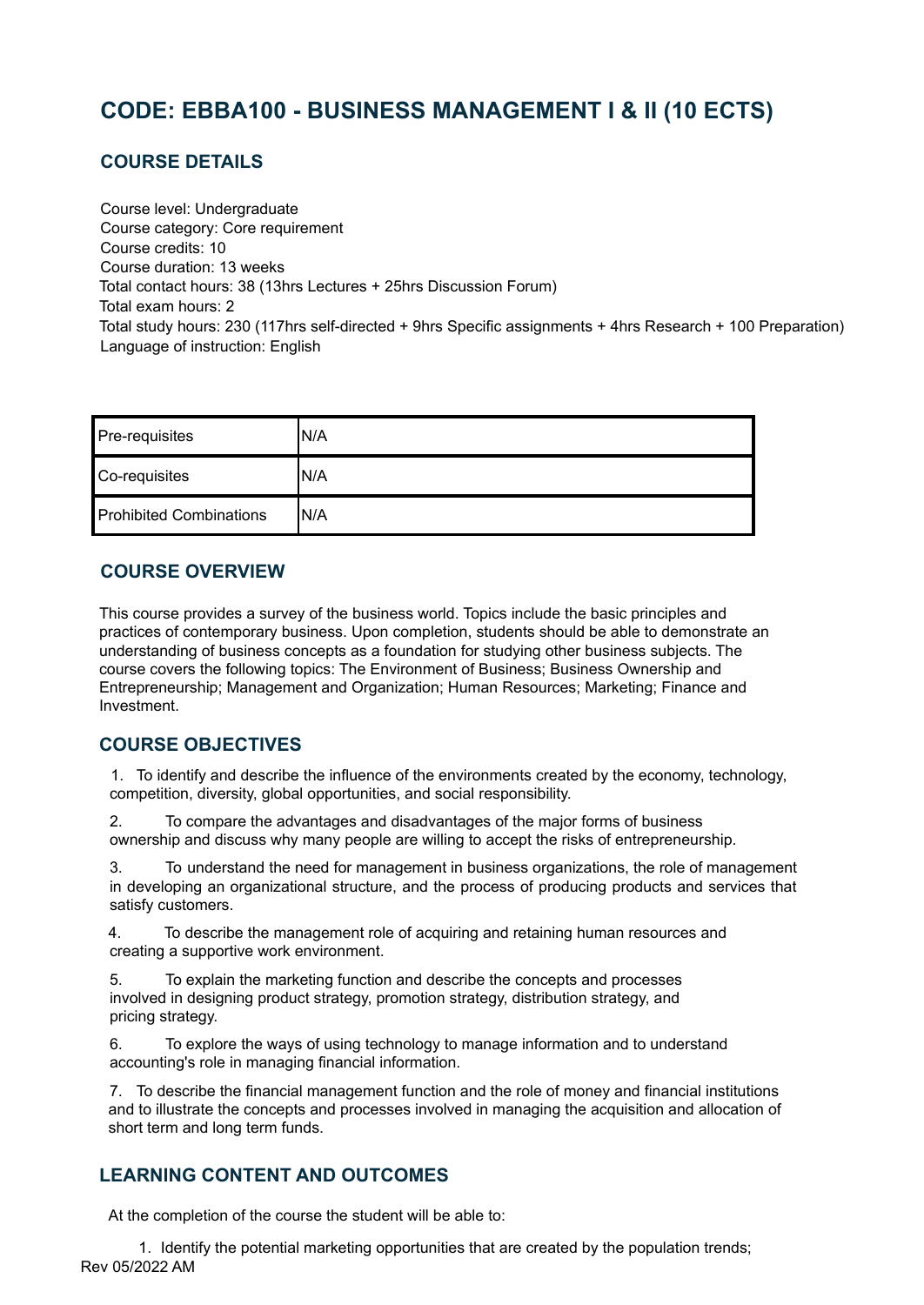# <span id="page-5-0"></span>**CODE: EBBA100 - BUSINESS MANAGEMENT I & II (10 ECTS)**

### **COURSE DETAILS**

Course level: Undergraduate Course category: Core requirement Course credits: 10 Course duration: 13 weeks Total contact hours: 38 (13hrs Lectures + 25hrs Discussion Forum) Total exam hours: 2 Total study hours: 230 (117hrs self-directed + 9hrs Specific assignments + 4hrs Research + 100 Preparation) Language of instruction: English

| Pre-requisites                 | 'N/A |
|--------------------------------|------|
| Co-requisites                  | 'N/A |
| <b>Prohibited Combinations</b> | 'N/A |

# **COURSE OVERVIEW**

This course provides a survey of the business world. Topics include the basic principles and practices of contemporary business. Upon completion, students should be able to demonstrate an understanding of business concepts as a foundation for studying other business subjects. The course covers the following topics: The Environment of Business; Business Ownership and Entrepreneurship; Management and Organization; Human Resources; Marketing; Finance and Investment.

# **COURSE OBJECTIVES**

1. To identify and describe the influence of the environments created by the economy, technology, competition, diversity, global opportunities, and social responsibility.

2. To compare the advantages and disadvantages of the major forms of business ownership and discuss why many people are willing to accept the risks of entrepreneurship.

3. To understand the need for management in business organizations, the role of management in developing an organizational structure, and the process of producing products and services that satisfy customers.

4. To describe the management role of acquiring and retaining human resources and creating a supportive work environment.

5. To explain the marketing function and describe the concepts and processes involved in designing product strategy, promotion strategy, distribution strategy, and pricing strategy.

6. To explore the ways of using technology to manage information and to understand accounting's role in managing financial information.

7. To describe the financial management function and the role of money and financial institutions and to illustrate the concepts and processes involved in managing the acquisition and allocation of short term and long term funds.

# **LEARNING CONTENT AND OUTCOMES**

At the completion of the course the student will be able to:

1. Identify the potential marketing opportunities that are created by the population trends; Rev 05/2022 AM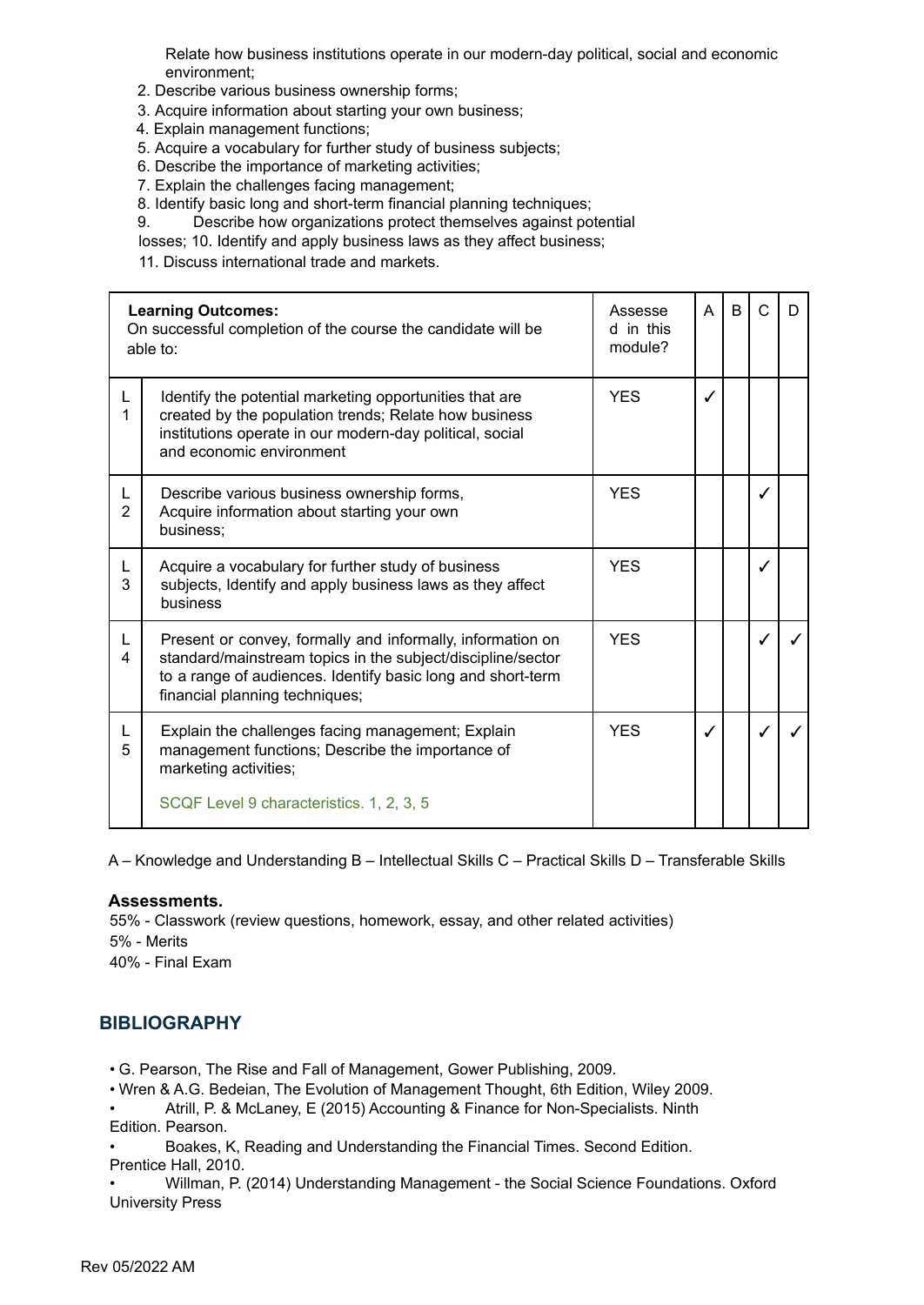Relate how business institutions operate in our modern-day political, social and economic environment;

- 2. Describe various business ownership forms;
- 3. Acquire information about starting your own business;
- 4. Explain management functions;
- 5. Acquire a vocabulary for further study of business subjects;
- 6. Describe the importance of marketing activities;
- 7. Explain the challenges facing management;
- 8. Identify basic long and short-term financial planning techniques;
- 9. Describe how organizations protect themselves against potential
- losses; 10. Identify and apply business laws as they affect business;

11. Discuss international trade and markets.

|                     | <b>Learning Outcomes:</b><br>On successful completion of the course the candidate will be<br>able to:                                                                                                                      | Assesse<br>d in this<br>module? | A | B | C | D |
|---------------------|----------------------------------------------------------------------------------------------------------------------------------------------------------------------------------------------------------------------------|---------------------------------|---|---|---|---|
| L                   | Identify the potential marketing opportunities that are<br>created by the population trends; Relate how business<br>institutions operate in our modern-day political, social<br>and economic environment                   | <b>YES</b>                      | J |   |   |   |
| L<br>$\overline{2}$ | Describe various business ownership forms,<br>Acquire information about starting your own<br>business;                                                                                                                     | <b>YES</b>                      |   |   |   |   |
| L<br>3              | Acquire a vocabulary for further study of business<br>subjects, Identify and apply business laws as they affect<br>business                                                                                                | <b>YES</b>                      |   |   |   |   |
| L<br>4              | Present or convey, formally and informally, information on<br>standard/mainstream topics in the subject/discipline/sector<br>to a range of audiences. Identify basic long and short-term<br>financial planning techniques; | <b>YES</b>                      |   |   |   |   |
| 5                   | Explain the challenges facing management; Explain<br>management functions; Describe the importance of<br>marketing activities;                                                                                             | <b>YES</b>                      |   |   |   |   |
|                     | SCQF Level 9 characteristics. 1, 2, 3, 5                                                                                                                                                                                   |                                 |   |   |   |   |

A – Knowledge and Understanding B – Intellectual Skills C – Practical Skills D – Transferable Skills

#### **Assessments.**

55% - Classwork (review questions, homework, essay, and other related activities) 5% - Merits

40% - Final Exam

#### **BIBLIOGRAPHY**

• G. Pearson, The Rise and Fall of Management, Gower Publishing, 2009.

• Wren & A.G. Bedeian, The Evolution of Management Thought, 6th Edition, Wiley 2009.

• Atrill, P. & McLaney, E (2015) Accounting & Finance for Non-Specialists. Ninth Edition. Pearson.

• Boakes, K, Reading and Understanding the Financial Times. Second Edition.

Prentice Hall, 2010.

• Willman, P. (2014) Understanding Management - the Social Science Foundations. Oxford University Press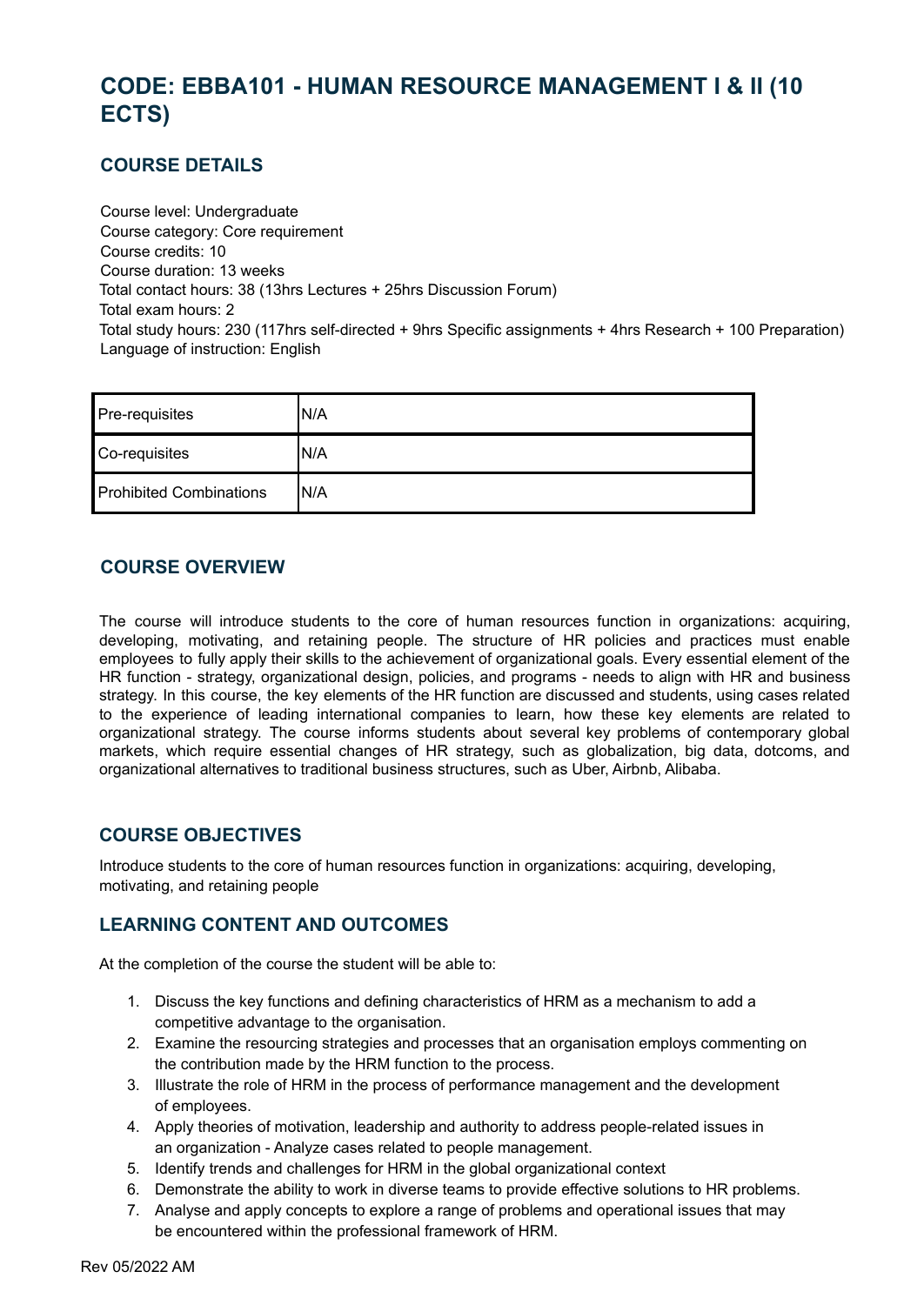# <span id="page-7-0"></span>**CODE: EBBA101 - HUMAN RESOURCE MANAGEMENT I & II (10 ECTS)**

### **COURSE DETAILS**

Course level: Undergraduate Course category: Core requirement Course credits: 10 Course duration: 13 weeks Total contact hours: 38 (13hrs Lectures + 25hrs Discussion Forum) Total exam hours: 2 Total study hours: 230 (117hrs self-directed + 9hrs Specific assignments + 4hrs Research + 100 Preparation) Language of instruction: English

| Pre-requisites                 | N/A  |
|--------------------------------|------|
| Co-requisites                  | N/A  |
| <b>Prohibited Combinations</b> | 'N/A |

### **COURSE OVERVIEW**

The course will introduce students to the core of human resources function in organizations: acquiring, developing, motivating, and retaining people. The structure of HR policies and practices must enable employees to fully apply their skills to the achievement of organizational goals. Every essential element of the HR function - strategy, organizational design, policies, and programs - needs to align with HR and business strategy. In this course, the key elements of the HR function are discussed and students, using cases related to the experience of leading international companies to learn, how these key elements are related to organizational strategy. The course informs students about several key problems of contemporary global markets, which require essential changes of HR strategy, such as globalization, big data, dotcoms, and organizational alternatives to traditional business structures, such as Uber, Airbnb, Alibaba.

#### **COURSE OBJECTIVES**

Introduce students to the core of human resources function in organizations: acquiring, developing, motivating, and retaining people

# **LEARNING CONTENT AND OUTCOMES**

At the completion of the course the student will be able to:

- 1. Discuss the key functions and defining characteristics of HRM as a mechanism to add a competitive advantage to the organisation.
- 2. Examine the resourcing strategies and processes that an organisation employs commenting on the contribution made by the HRM function to the process.
- 3. Illustrate the role of HRM in the process of performance management and the development of employees.
- 4. Apply theories of motivation, leadership and authority to address people-related issues in an organization - Analyze cases related to people management.
- 5. Identify trends and challenges for HRM in the global organizational context
- 6. Demonstrate the ability to work in diverse teams to provide effective solutions to HR problems.
- 7. Analyse and apply concepts to explore a range of problems and operational issues that may be encountered within the professional framework of HRM.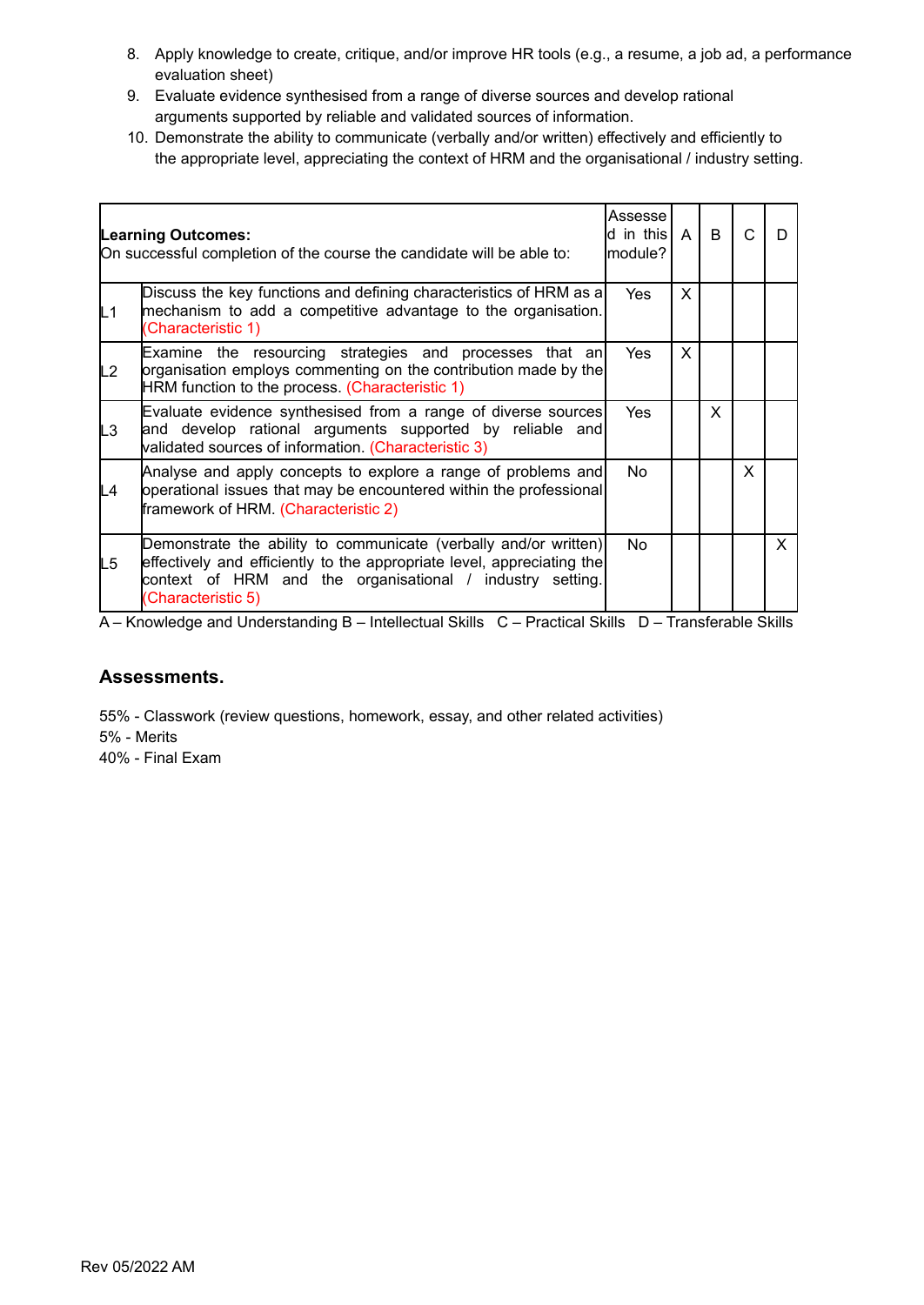- 8. Apply knowledge to create, critique, and/or improve HR tools (e.g., a resume, a job ad, a performance evaluation sheet)
- 9. Evaluate evidence synthesised from a range of diverse sources and develop rational arguments supported by reliable and validated sources of information.
- 10. Demonstrate the ability to communicate (verbally and/or written) effectively and efficiently to the appropriate level, appreciating the context of HRM and the organisational / industry setting.

|    | <b>Learning Outcomes:</b><br>On successful completion of the course the candidate will be able to:                                                                                                                            | Assesse<br>d in this A<br>module? |   | B  | C  | D            |
|----|-------------------------------------------------------------------------------------------------------------------------------------------------------------------------------------------------------------------------------|-----------------------------------|---|----|----|--------------|
| L1 | Discuss the key functions and defining characteristics of HRM as a<br>mechanism to add a competitive advantage to the organisation.<br>(Characteristic 1)                                                                     | Yes                               | X |    |    |              |
| L2 | Examine the resourcing strategies and processes that an<br>organisation employs commenting on the contribution made by the<br>HRM function to the process. (Characteristic 1)                                                 | Yes                               | X |    |    |              |
| L3 | Evaluate evidence synthesised from a range of diverse sources<br>and develop rational arguments supported by reliable and<br>validated sources of information. (Characteristic 3)                                             | Yes                               |   | X. |    |              |
| L4 | Analyse and apply concepts to explore a range of problems and<br>operational issues that may be encountered within the professional<br>framework of HRM. (Characteristic 2)                                                   | No.                               |   |    | X. |              |
| L5 | Demonstrate the ability to communicate (verbally and/or written)<br>effectively and efficiently to the appropriate level, appreciating the<br>context of HRM and the organisational / industry setting.<br>(Characteristic 5) | No.                               |   |    |    | $\mathsf{X}$ |

#### **Assessments.**

55% - Classwork (review questions, homework, essay, and other related activities) 5% - Merits

40% - Final Exam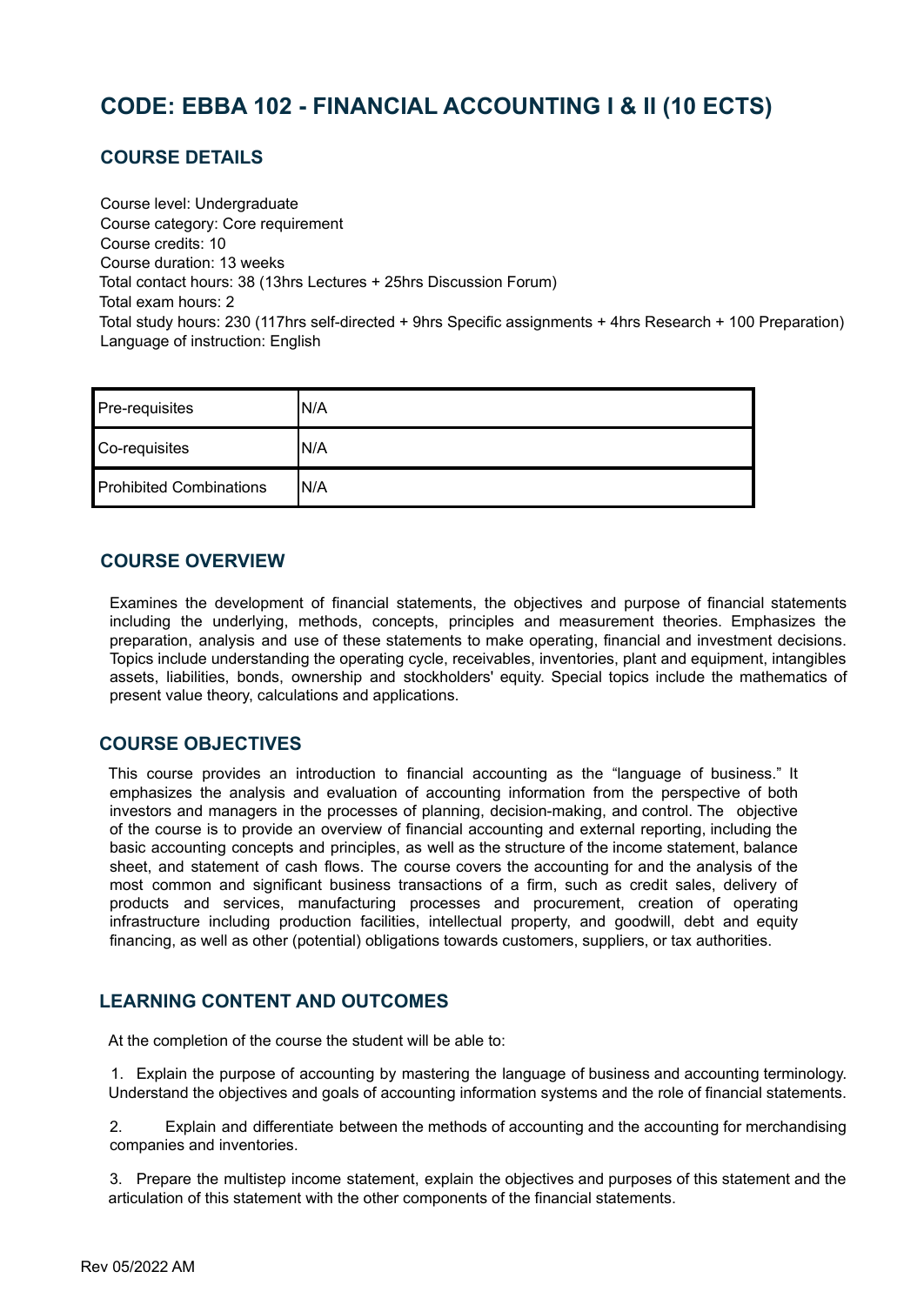# <span id="page-9-0"></span>**CODE: EBBA 102 - FINANCIAL ACCOUNTING I & II (10 ECTS)**

# **COURSE DETAILS**

Course level: Undergraduate Course category: Core requirement Course credits: 10 Course duration: 13 weeks Total contact hours: 38 (13hrs Lectures + 25hrs Discussion Forum) Total exam hours: 2 Total study hours: 230 (117hrs self-directed + 9hrs Specific assignments + 4hrs Research + 100 Preparation) Language of instruction: English

| Pre-requisites                 | N/A  |
|--------------------------------|------|
| Co-requisites                  | IN/A |
| <b>Prohibited Combinations</b> | IN/A |

#### **COURSE OVERVIEW**

Examines the development of financial statements, the objectives and purpose of financial statements including the underlying, methods, concepts, principles and measurement theories. Emphasizes the preparation, analysis and use of these statements to make operating, financial and investment decisions. Topics include understanding the operating cycle, receivables, inventories, plant and equipment, intangibles assets, liabilities, bonds, ownership and stockholders' equity. Special topics include the mathematics of present value theory, calculations and applications.

#### **COURSE OBJECTIVES**

This course provides an introduction to financial accounting as the "language of business." It emphasizes the analysis and evaluation of accounting information from the perspective of both investors and managers in the processes of planning, decision-making, and control. The objective of the course is to provide an overview of financial accounting and external reporting, including the basic accounting concepts and principles, as well as the structure of the income statement, balance sheet, and statement of cash flows. The course covers the accounting for and the analysis of the most common and significant business transactions of a firm, such as credit sales, delivery of products and services, manufacturing processes and procurement, creation of operating infrastructure including production facilities, intellectual property, and goodwill, debt and equity financing, as well as other (potential) obligations towards customers, suppliers, or tax authorities.

# **LEARNING CONTENT AND OUTCOMES**

At the completion of the course the student will be able to:

1. Explain the purpose of accounting by mastering the language of business and accounting terminology. Understand the objectives and goals of accounting information systems and the role of financial statements.

2. Explain and differentiate between the methods of accounting and the accounting for merchandising companies and inventories.

3. Prepare the multistep income statement, explain the objectives and purposes of this statement and the articulation of this statement with the other components of the financial statements.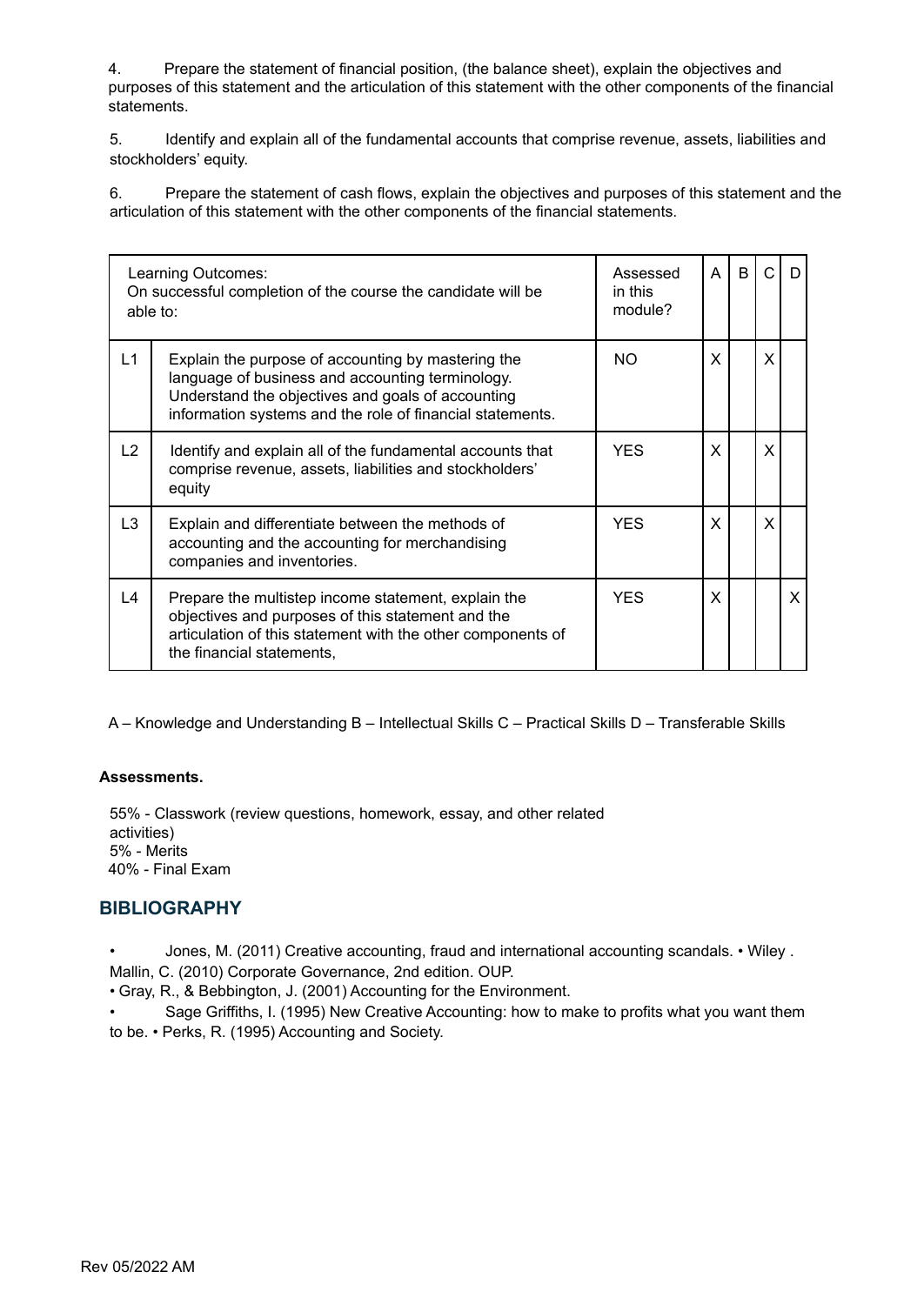4. Prepare the statement of financial position, (the balance sheet), explain the objectives and purposes of this statement and the articulation of this statement with the other components of the financial statements.

5. Identify and explain all of the fundamental accounts that comprise revenue, assets, liabilities and stockholders' equity.

6. Prepare the statement of cash flows, explain the objectives and purposes of this statement and the articulation of this statement with the other components of the financial statements.

| Learning Outcomes:<br>On successful completion of the course the candidate will be<br>able to: |                                                                                                                                                                                                                          | Assessed<br>in this<br>module? | A | B | $\cap$ | D |
|------------------------------------------------------------------------------------------------|--------------------------------------------------------------------------------------------------------------------------------------------------------------------------------------------------------------------------|--------------------------------|---|---|--------|---|
| L1                                                                                             | Explain the purpose of accounting by mastering the<br>language of business and accounting terminology.<br>Understand the objectives and goals of accounting<br>information systems and the role of financial statements. | NO.                            | X |   | X      |   |
| L2                                                                                             | Identify and explain all of the fundamental accounts that<br>comprise revenue, assets, liabilities and stockholders'<br>equity                                                                                           | <b>YES</b>                     | X |   | X      |   |
| L3                                                                                             | Explain and differentiate between the methods of<br>accounting and the accounting for merchandising<br>companies and inventories.                                                                                        | YES.                           | X |   | X      |   |
| L4                                                                                             | Prepare the multistep income statement, explain the<br>objectives and purposes of this statement and the<br>articulation of this statement with the other components of<br>the financial statements,                     | YES.                           | X |   |        | X |

A – Knowledge and Understanding B – Intellectual Skills C – Practical Skills D – Transferable Skills

#### **Assessments.**

55% - Classwork (review questions, homework, essay, and other related activities) 5% - Merits 40% - Final Exam

#### **BIBLIOGRAPHY**

- Jones, M. (2011) Creative accounting, fraud and international accounting scandals. Wiley .
- Mallin, C. (2010) Corporate Governance, 2nd edition. OUP.
- Gray, R., & Bebbington, J. (2001) Accounting for the Environment.
- Sage Griffiths, I. (1995) New Creative Accounting: how to make to profits what you want them to be. • Perks, R. (1995) Accounting and Society.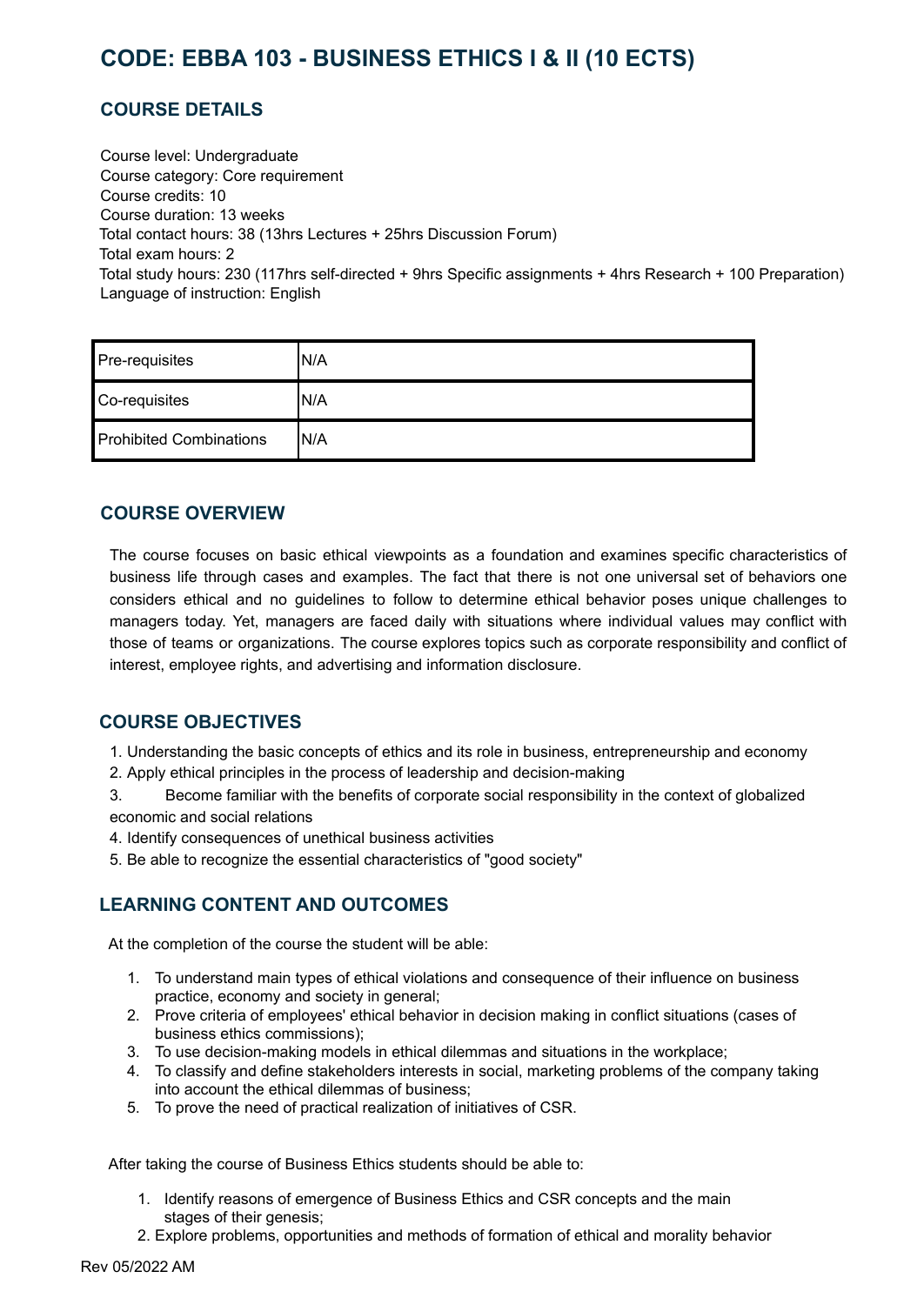# <span id="page-11-0"></span>**CODE: EBBA 103 - BUSINESS ETHICS I & II (10 ECTS)**

# **COURSE DETAILS**

Course level: Undergraduate Course category: Core requirement Course credits: 10 Course duration: 13 weeks Total contact hours: 38 (13hrs Lectures + 25hrs Discussion Forum) Total exam hours: 2 Total study hours: 230 (117hrs self-directed + 9hrs Specific assignments + 4hrs Research + 100 Preparation) Language of instruction: English

| Pre-requisites                 | N/A  |
|--------------------------------|------|
| Co-requisites                  | N/A  |
| <b>Prohibited Combinations</b> | 'N/A |

#### **COURSE OVERVIEW**

The course focuses on basic ethical viewpoints as a foundation and examines specific characteristics of business life through cases and examples. The fact that there is not one universal set of behaviors one considers ethical and no guidelines to follow to determine ethical behavior poses unique challenges to managers today. Yet, managers are faced daily with situations where individual values may conflict with those of teams or organizations. The course explores topics such as corporate responsibility and conflict of interest, employee rights, and advertising and information disclosure.

# **COURSE OBJECTIVES**

1. Understanding the basic concepts of ethics and its role in business, entrepreneurship and economy

2. Apply ethical principles in the process of leadership and decision-making

3. Become familiar with the benefits of corporate social responsibility in the context of globalized economic and social relations

4. Identify consequences of unethical business activities

5. Be able to recognize the essential characteristics of "good society"

# **LEARNING CONTENT AND OUTCOMES**

At the completion of the course the student will be able:

- 1. To understand main types of ethical violations and consequence of their influence on business practice, economy and society in general;
- 2. Prove criteria of employees' ethical behavior in decision making in conflict situations (cases of business ethics commissions);
- 3. To use decision-making models in ethical dilemmas and situations in the workplace;
- 4. To classify and define stakeholders interests in social, marketing problems of the company taking into account the ethical dilemmas of business;
- 5. To prove the need of practical realization of initiatives of CSR.

After taking the course of Business Ethics students should be able to:

- 1. Identify reasons of emergence of Business Ethics and CSR concepts and the main stages of their genesis;
- 2. Explore problems, opportunities and methods of formation of ethical and morality behavior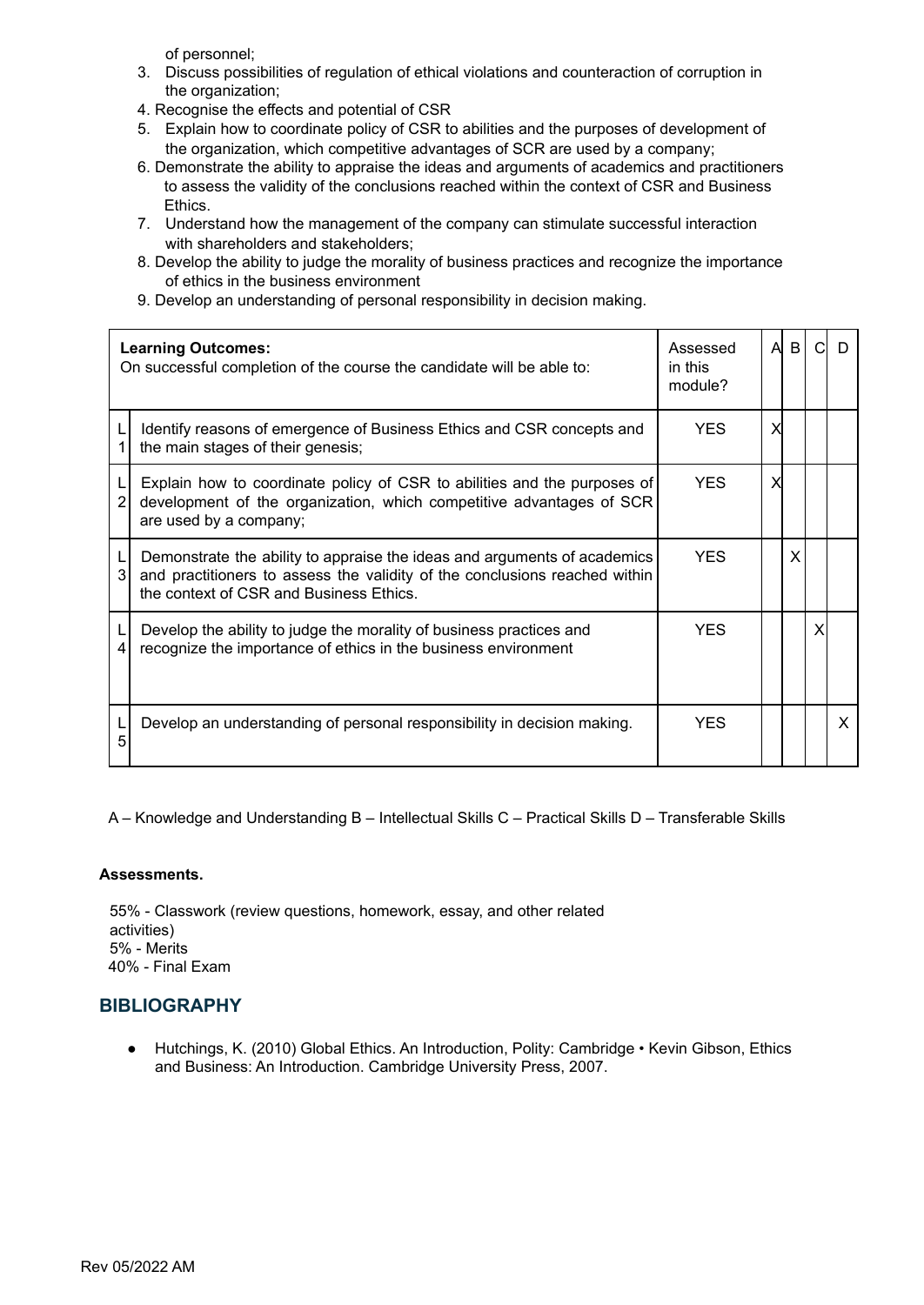of personnel;

- 3. Discuss possibilities of regulation of ethical violations and counteraction of corruption in the organization;
- 4. Recognise the effects and potential of CSR
- 5. Explain how to coordinate policy of CSR to abilities and the purposes of development of the organization, which competitive advantages of SCR are used by a company;
- 6. Demonstrate the ability to appraise the ideas and arguments of academics and practitioners to assess the validity of the conclusions reached within the context of CSR and Business Ethics.
- 7. Understand how the management of the company can stimulate successful interaction with shareholders and stakeholders;
- 8. Develop the ability to judge the morality of business practices and recognize the importance of ethics in the business environment
- 9. Develop an understanding of personal responsibility in decision making.

|   | <b>Learning Outcomes:</b><br>On successful completion of the course the candidate will be able to:                                                                                                | Assessed<br>in this<br>module? | A | B | נו |
|---|---------------------------------------------------------------------------------------------------------------------------------------------------------------------------------------------------|--------------------------------|---|---|----|
|   | Identify reasons of emergence of Business Ethics and CSR concepts and<br>the main stages of their genesis;                                                                                        | <b>YES</b>                     |   |   |    |
| 2 | Explain how to coordinate policy of CSR to abilities and the purposes of<br>development of the organization, which competitive advantages of SCR<br>are used by a company;                        | <b>YES</b>                     |   |   |    |
| 3 | Demonstrate the ability to appraise the ideas and arguments of academics<br>and practitioners to assess the validity of the conclusions reached within<br>the context of CSR and Business Ethics. | <b>YES</b>                     |   | X |    |
| 4 | Develop the ability to judge the morality of business practices and<br>recognize the importance of ethics in the business environment                                                             | YFS.                           |   |   |    |
| 5 | Develop an understanding of personal responsibility in decision making.                                                                                                                           | <b>YES</b>                     |   |   | X  |

A – Knowledge and Understanding B – Intellectual Skills C – Practical Skills D – Transferable Skills

#### **Assessments.**

55% - Classwork (review questions, homework, essay, and other related activities) 5% - Merits 40% - Final Exam

#### **BIBLIOGRAPHY**

● Hutchings, K. (2010) Global Ethics. An Introduction, Polity: Cambridge • Kevin Gibson, Ethics and Business: An Introduction. Cambridge University Press, 2007.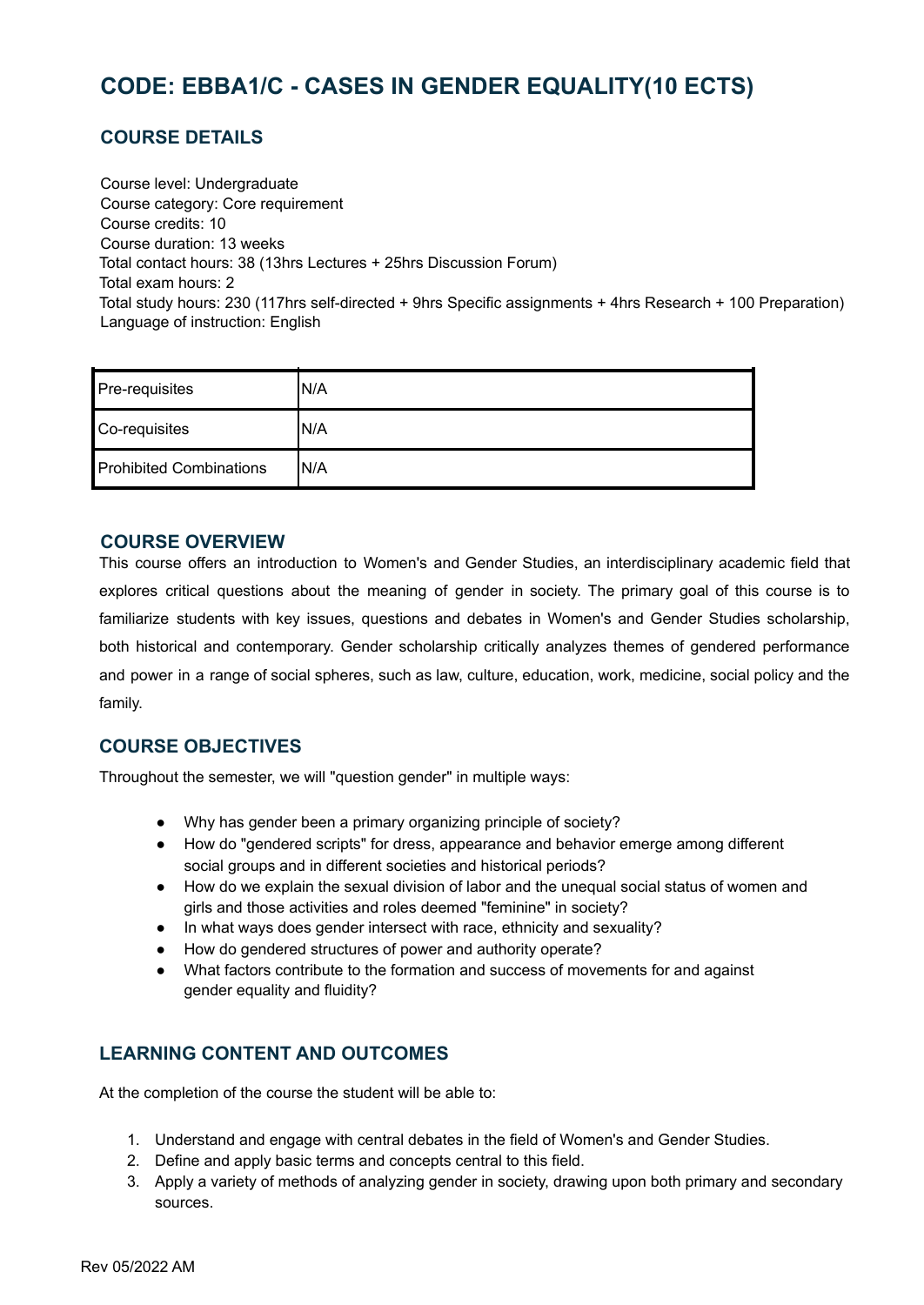# <span id="page-13-0"></span>**CODE: EBBA1/C - CASES IN GENDER EQUALITY(10 ECTS)**

# **COURSE DETAILS**

Course level: Undergraduate Course category: Core requirement Course credits: 10 Course duration: 13 weeks Total contact hours: 38 (13hrs Lectures + 25hrs Discussion Forum) Total exam hours: 2 Total study hours: 230 (117hrs self-directed + 9hrs Specific assignments + 4hrs Research + 100 Preparation) Language of instruction: English

| Pre-requisites                 | 'N/A |
|--------------------------------|------|
| Co-requisites                  | N/A  |
| <b>Prohibited Combinations</b> | 'N/A |

#### **COURSE OVERVIEW**

This course offers an introduction to Women's and Gender Studies, an interdisciplinary academic field that explores critical questions about the meaning of gender in society. The primary goal of this course is to familiarize students with key issues, questions and debates in Women's and Gender Studies scholarship, both historical and contemporary. Gender scholarship critically analyzes themes of gendered performance and power in a range of social spheres, such as law, culture, education, work, medicine, social policy and the family.

#### **COURSE OBJECTIVES**

Throughout the semester, we will "question gender" in multiple ways:

- Why has gender been a primary organizing principle of society?
- How do "gendered scripts" for dress, appearance and behavior emerge among different social groups and in different societies and historical periods?
- How do we explain the sexual division of labor and the unequal social status of women and girls and those activities and roles deemed "feminine" in society?
- In what ways does gender intersect with race, ethnicity and sexuality?
- How do gendered structures of power and authority operate?
- What factors contribute to the formation and success of movements for and against gender equality and fluidity?

# **LEARNING CONTENT AND OUTCOMES**

At the completion of the course the student will be able to:

- 1. Understand and engage with central debates in the field of Women's and Gender Studies.
- 2. Define and apply basic terms and concepts central to this field.
- 3. Apply a variety of methods of analyzing gender in society, drawing upon both primary and secondary sources.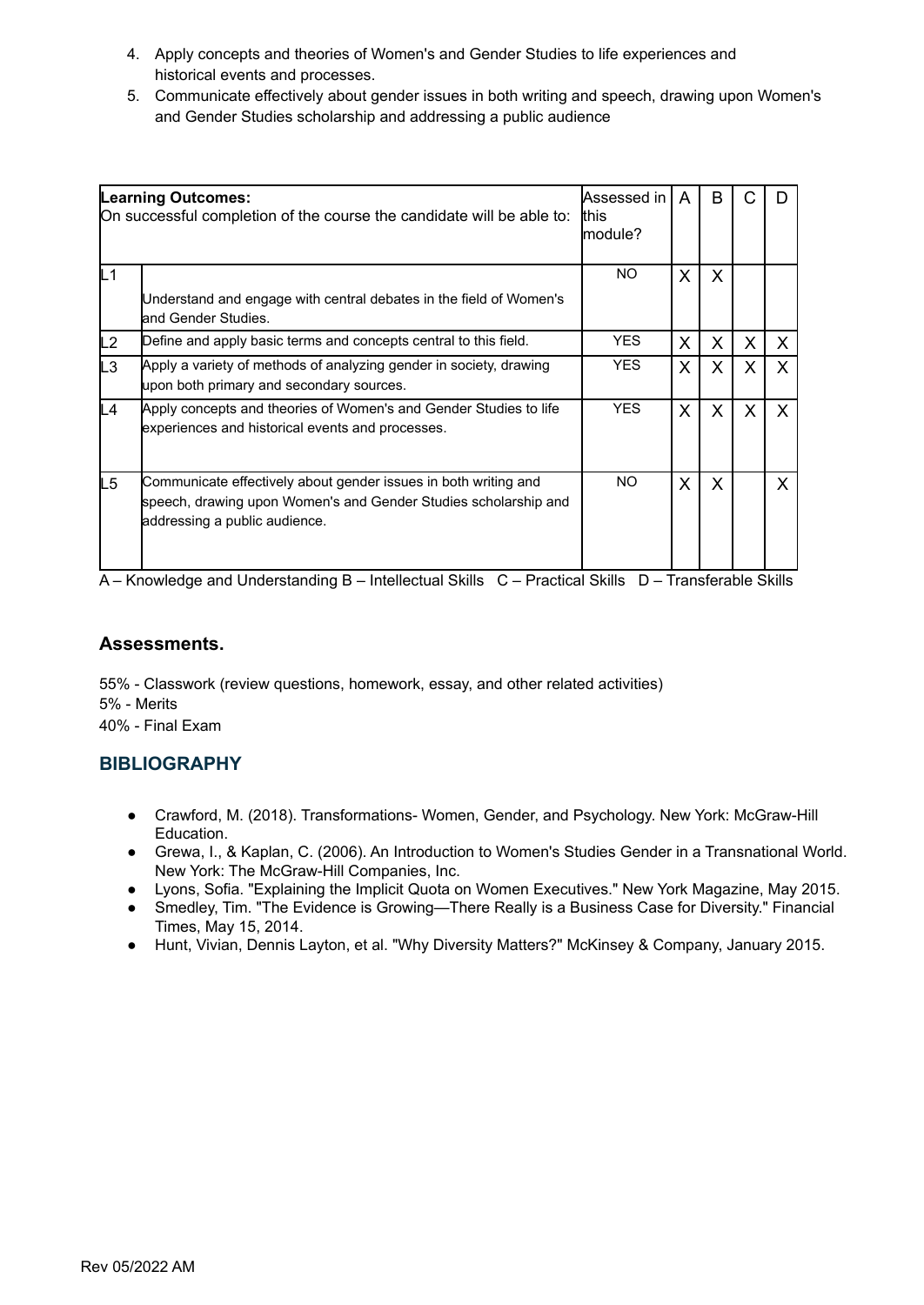- 4. Apply concepts and theories of Women's and Gender Studies to life experiences and historical events and processes.
- 5. Communicate effectively about gender issues in both writing and speech, drawing upon Women's and Gender Studies scholarship and addressing a public audience

|    | Assessed in<br><b>Learning Outcomes:</b><br>this<br>On successful completion of the course the candidate will be able to:<br>lmodule?                               |            | A            | B       |   |   |
|----|---------------------------------------------------------------------------------------------------------------------------------------------------------------------|------------|--------------|---------|---|---|
| L1 | Understand and engage with central debates in the field of Women's<br>land Gender Studies.                                                                          | NO.        | X.           | X       |   |   |
| L2 | Define and apply basic terms and concepts central to this field.                                                                                                    | YES.       | X            | X       | X | X |
| L3 | Apply a variety of methods of analyzing gender in society, drawing<br>upon both primary and secondary sources.                                                      | YES.       | X            | X       | X | X |
| L4 | Apply concepts and theories of Women's and Gender Studies to life<br>experiences and historical events and processes.                                               | <b>YES</b> | $\mathsf{X}$ | $\sf X$ | X | X |
| L5 | Communicate effectively about gender issues in both writing and<br>speech, drawing upon Women's and Gender Studies scholarship and<br>addressing a public audience. | NO.        | X            | X       |   | X |

#### **Assessments.**

55% - Classwork (review questions, homework, essay, and other related activities) 5% - Merits 40% - Final Exam

#### **BIBLIOGRAPHY**

- Crawford, M. (2018). Transformations- Women, Gender, and Psychology. New York: McGraw-Hill Education.
- Grewa, I., & Kaplan, C. (2006). An Introduction to Women's Studies Gender in a Transnational World. New York: The McGraw-Hill Companies, Inc.
- Lyons, Sofia. "Explaining the Implicit Quota on Women Executives." New York Magazine, May 2015.
- Smedley, Tim. "The Evidence is Growing—There Really is a Business Case for Diversity." Financial Times, May 15, 2014.
- Hunt, Vivian, Dennis Layton, et al. "Why Diversity Matters?" McKinsey & Company, January 2015.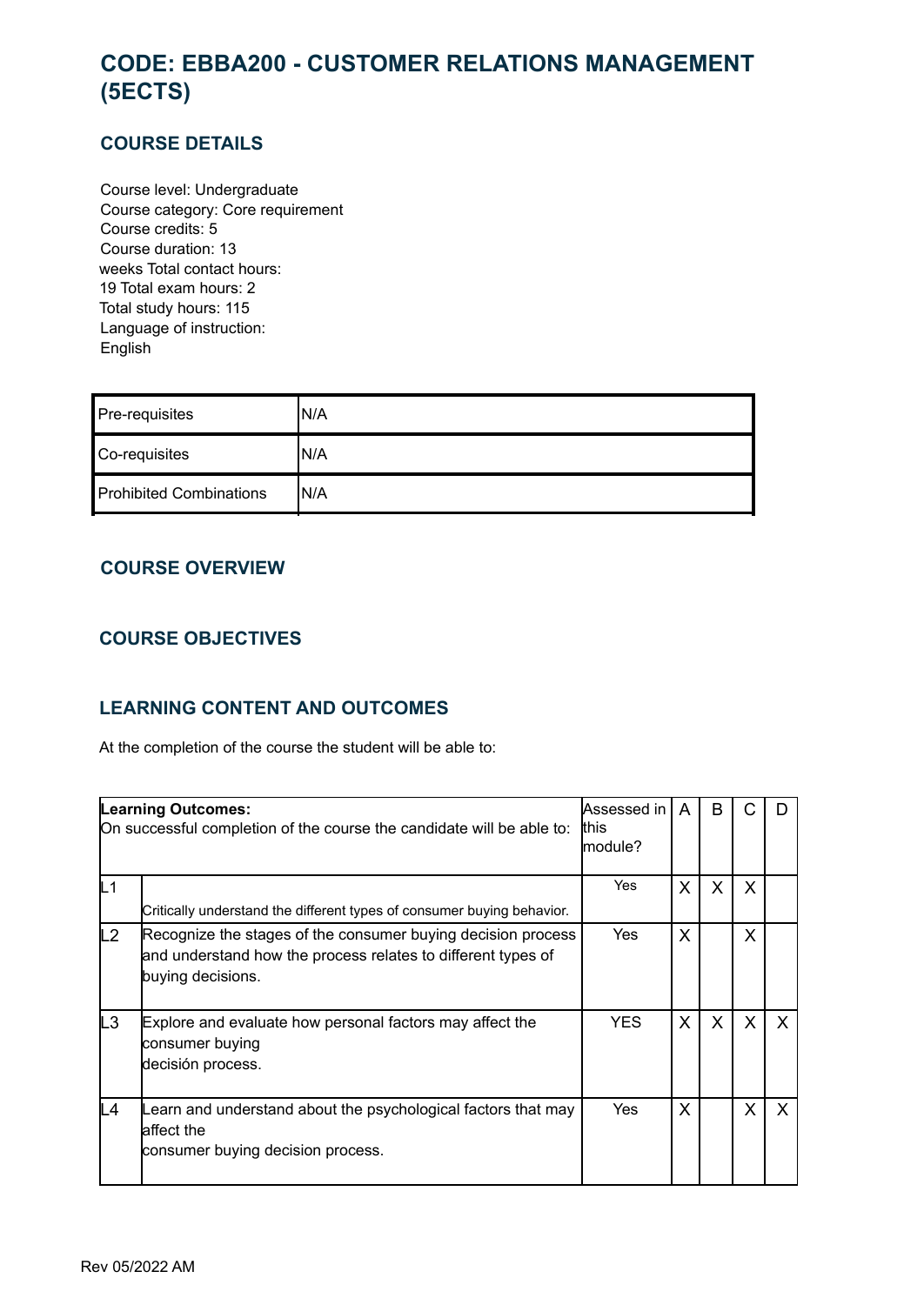# <span id="page-15-0"></span>**CODE: EBBA200 - CUSTOMER RELATIONS MANAGEMENT (5ECTS)**

### **COURSE DETAILS**

Course level: Undergraduate Course category: Core requirement Course credits: 5 Course duration: 13 weeks Total contact hours: 19 Total exam hours: 2 Total study hours: 115 Language of instruction: English

| Pre-requisites                 | 'N/A |
|--------------------------------|------|
| Co-requisites                  | 'N/A |
| <b>Prohibited Combinations</b> | IN/A |

# **COURSE OVERVIEW**

# **COURSE OBJECTIVES**

# **LEARNING CONTENT AND OUTCOMES**

At the completion of the course the student will be able to:

|                | <b>Learning Outcomes:</b><br>On successful completion of the course the candidate will be able to:                                                | Assessed in<br>this<br>lmodule? | A | B            | C            |              |
|----------------|---------------------------------------------------------------------------------------------------------------------------------------------------|---------------------------------|---|--------------|--------------|--------------|
| L <sub>1</sub> | Critically understand the different types of consumer buying behavior.                                                                            | Yes                             | X | $\mathsf{X}$ | X            |              |
| L2             | Recognize the stages of the consumer buying decision process<br>and understand how the process relates to different types of<br>buying decisions. | Yes                             | X |              | X            |              |
| L3             | Explore and evaluate how personal factors may affect the<br>consumer buying<br>decisión process.                                                  | <b>YES</b>                      | X | $\mathsf{X}$ | $\mathsf{X}$ | $\mathsf{x}$ |
| L4             | Learn and understand about the psychological factors that may<br>laffect the<br>consumer buying decision process.                                 | Yes                             | X |              | X            |              |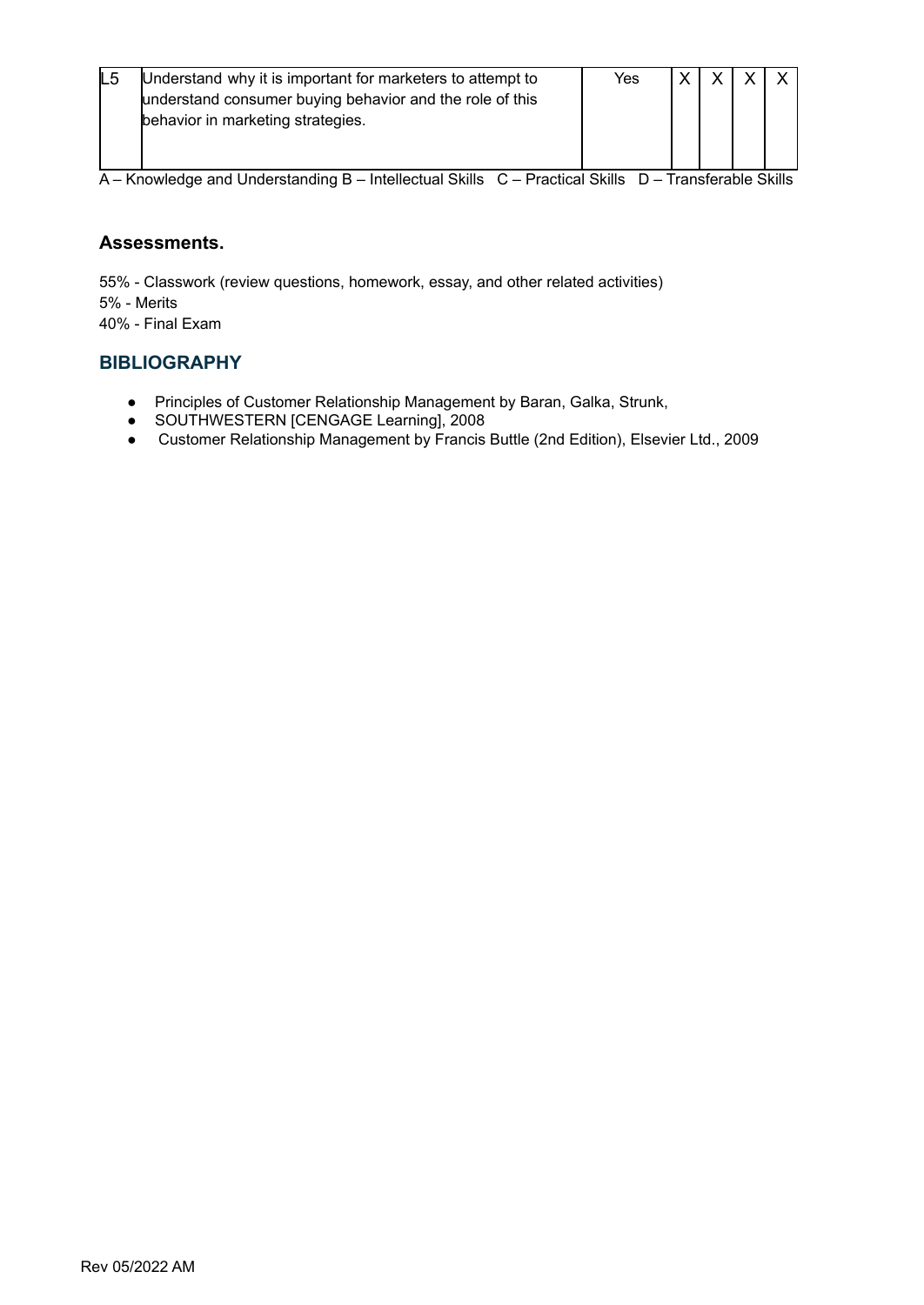| L <sub>5</sub> | Understand why it is important for marketers to attempt to<br>understand consumer buying behavior and the role of this<br>behavior in marketing strategies. | Yes |  |  |
|----------------|-------------------------------------------------------------------------------------------------------------------------------------------------------------|-----|--|--|
|                |                                                                                                                                                             |     |  |  |

#### **Assessments.**

55% - Classwork (review questions, homework, essay, and other related activities) 5% - Merits

40% - Final Exam

#### **BIBLIOGRAPHY**

- Principles of Customer Relationship Management by Baran, Galka, Strunk,
- SOUTHWESTERN [CENGAGE Learning], 2008
- Customer Relationship Management by Francis Buttle (2nd Edition), Elsevier Ltd., 2009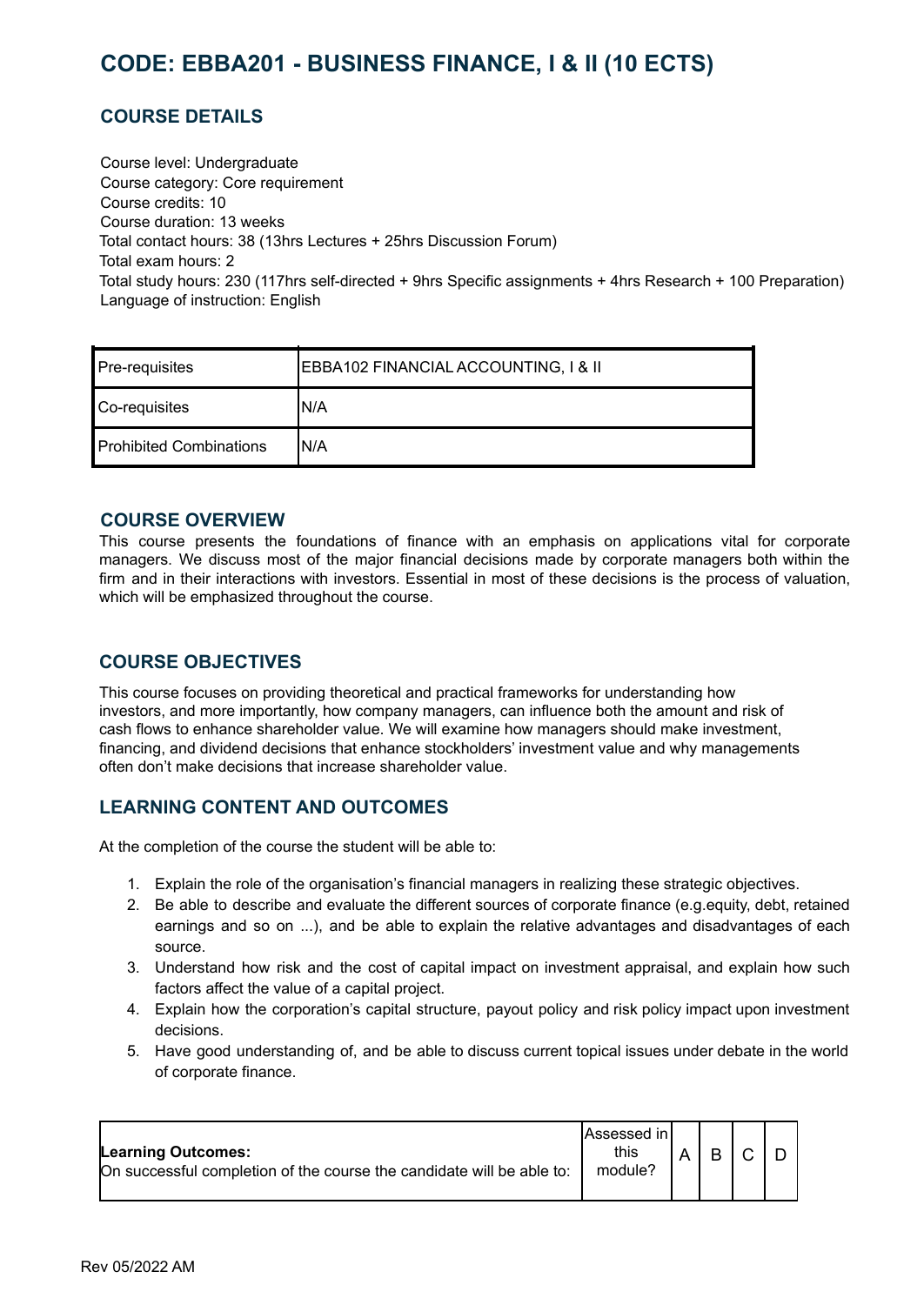# <span id="page-17-0"></span>**CODE: EBBA201 - BUSINESS FINANCE, I & II (10 ECTS)**

# **COURSE DETAILS**

Course level: Undergraduate Course category: Core requirement Course credits: 10 Course duration: 13 weeks Total contact hours: 38 (13hrs Lectures + 25hrs Discussion Forum) Total exam hours: 2 Total study hours: 230 (117hrs self-directed + 9hrs Specific assignments + 4hrs Research + 100 Preparation) Language of instruction: English

| Pre-requisites          | EBBA102 FINANCIAL ACCOUNTING, I & II |  |  |  |  |
|-------------------------|--------------------------------------|--|--|--|--|
| Co-requisites           | 'N/A                                 |  |  |  |  |
| Prohibited Combinations | N/A                                  |  |  |  |  |

#### **COURSE OVERVIEW**

This course presents the foundations of finance with an emphasis on applications vital for corporate managers. We discuss most of the major financial decisions made by corporate managers both within the firm and in their interactions with investors. Essential in most of these decisions is the process of valuation, which will be emphasized throughout the course.

# **COURSE OBJECTIVES**

This course focuses on providing theoretical and practical frameworks for understanding how investors, and more importantly, how company managers, can influence both the amount and risk of cash flows to enhance shareholder value. We will examine how managers should make investment, financing, and dividend decisions that enhance stockholders' investment value and why managements often don't make decisions that increase shareholder value.

# **LEARNING CONTENT AND OUTCOMES**

At the completion of the course the student will be able to:

- 1. Explain the role of the organisation's financial managers in realizing these strategic objectives.
- 2. Be able to describe and evaluate the different sources of corporate finance (e.g.equity, debt, retained earnings and so on ...), and be able to explain the relative advantages and disadvantages of each source.
- 3. Understand how risk and the cost of capital impact on investment appraisal, and explain how such factors affect the value of a capital project.
- 4. Explain how the corporation's capital structure, payout policy and risk policy impact upon investment decisions.
- 5. Have good understanding of, and be able to discuss current topical issues under debate in the world of corporate finance.

| Learning Outcomes:<br>On successful completion of the course the candidate will be able to: | lAssessed in l<br>this<br>module? |  | R |  |  |
|---------------------------------------------------------------------------------------------|-----------------------------------|--|---|--|--|
|---------------------------------------------------------------------------------------------|-----------------------------------|--|---|--|--|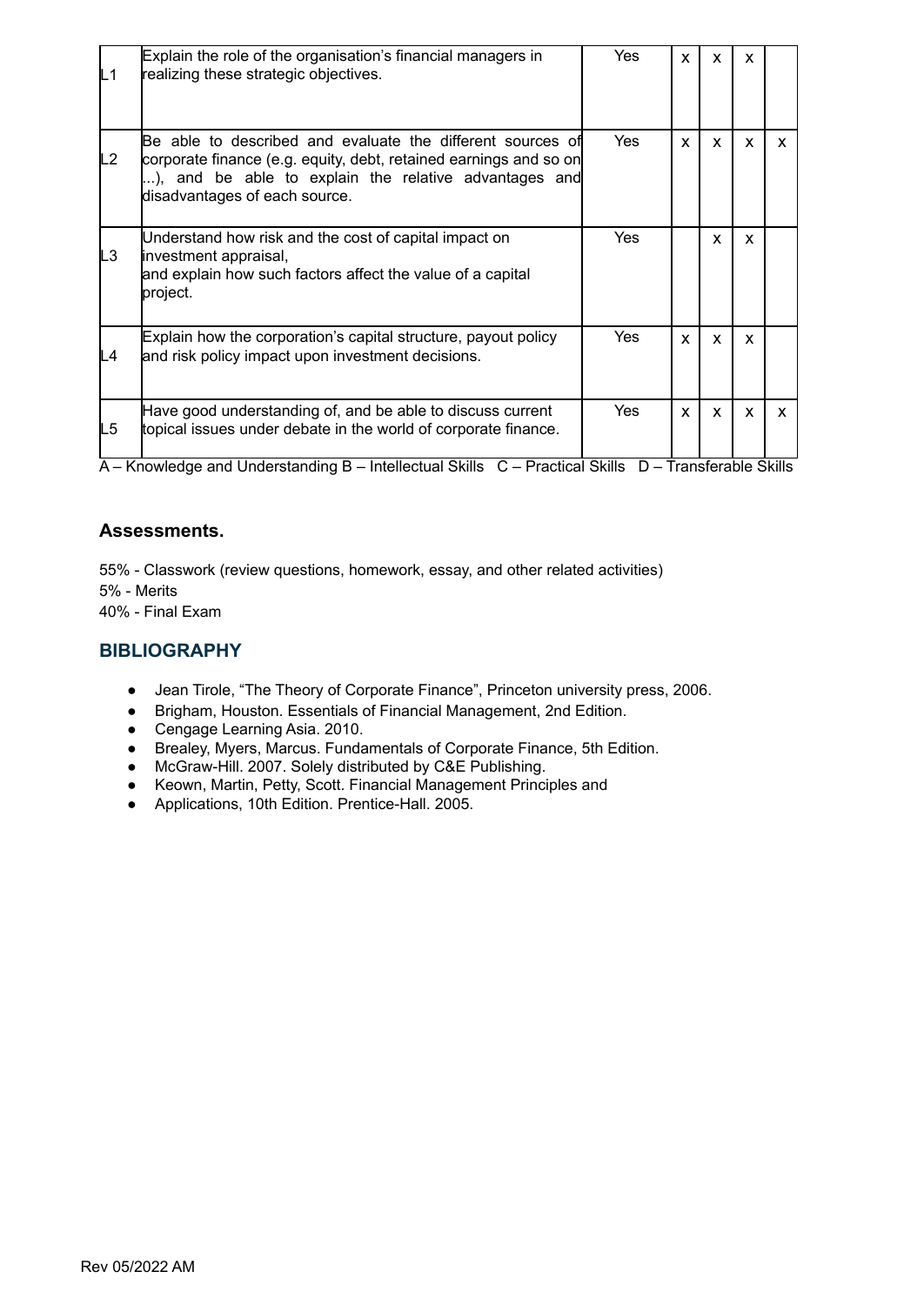| L1 | Explain the role of the organisation's financial managers in<br>realizing these strategic objectives.                                                                                                                      | <b>Yes</b> | X            | x | x |   |
|----|----------------------------------------------------------------------------------------------------------------------------------------------------------------------------------------------------------------------------|------------|--------------|---|---|---|
| L2 | IBe able to described and evaluate the different sources of<br>corporate finance (e.g. equity, debt, retained earnings and so on<br>), and be able to explain the relative advantages and<br>disadvantages of each source. | Yes        | $\mathbf{x}$ | X | X | X |
| LЗ | Understand how risk and the cost of capital impact on<br>investment appraisal,<br>and explain how such factors affect the value of a capital<br>project.                                                                   | Yes        |              | X | x |   |
| L4 | Explain how the corporation's capital structure, payout policy<br>and risk policy impact upon investment decisions.                                                                                                        | Yes        | X            | X | X |   |
| L5 | Have good understanding of, and be able to discuss current<br>topical issues under debate in the world of corporate finance.                                                                                               | Yes        | X            | X | X | X |

#### **Assessments.**

55% - Classwork (review questions, homework, essay, and other related activities) 5% - Merits

40% - Final Exam

#### **BIBLIOGRAPHY**

- Jean Tirole, "The Theory of Corporate Finance", Princeton university press, 2006.
- Brigham, Houston. Essentials of Financial Management, 2nd Edition.
- Cengage Learning Asia. 2010.
- Brealey, Myers, Marcus. Fundamentals of Corporate Finance, 5th Edition.
- McGraw-Hill. 2007. Solely distributed by C&E Publishing.
- Keown, Martin, Petty, Scott. Financial Management Principles and
- Applications, 10th Edition. Prentice-Hall. 2005.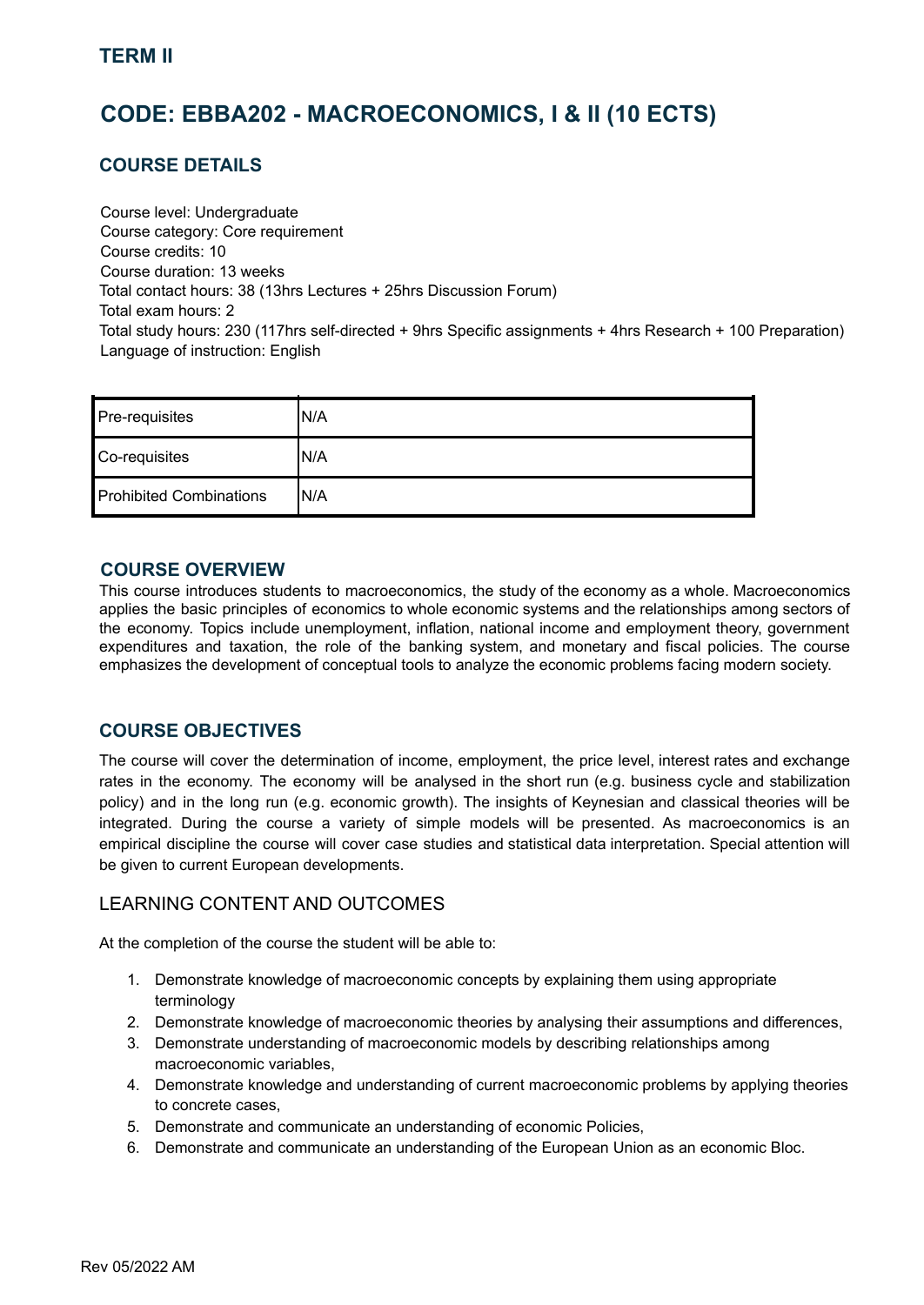# <span id="page-19-0"></span>**CODE: EBBA202 - MACROECONOMICS, I & II (10 ECTS)**

### **COURSE DETAILS**

Course level: Undergraduate Course category: Core requirement Course credits: 10 Course duration: 13 weeks Total contact hours: 38 (13hrs Lectures + 25hrs Discussion Forum) Total exam hours: 2 Total study hours: 230 (117hrs self-directed + 9hrs Specific assignments + 4hrs Research + 100 Preparation) Language of instruction: English

| Pre-requisites                 | N/A |
|--------------------------------|-----|
| Co-requisites                  | N/A |
| <b>Prohibited Combinations</b> | N/A |

#### **COURSE OVERVIEW**

This course introduces students to macroeconomics, the study of the economy as a whole. Macroeconomics applies the basic principles of economics to whole economic systems and the relationships among sectors of the economy. Topics include unemployment, inflation, national income and employment theory, government expenditures and taxation, the role of the banking system, and monetary and fiscal policies. The course emphasizes the development of conceptual tools to analyze the economic problems facing modern society.

# **COURSE OBJECTIVES**

The course will cover the determination of income, employment, the price level, interest rates and exchange rates in the economy. The economy will be analysed in the short run (e.g. business cycle and stabilization policy) and in the long run (e.g. economic growth). The insights of Keynesian and classical theories will be integrated. During the course a variety of simple models will be presented. As macroeconomics is an empirical discipline the course will cover case studies and statistical data interpretation. Special attention will be given to current European developments.

#### LEARNING CONTENT AND OUTCOMES

At the completion of the course the student will be able to:

- 1. Demonstrate knowledge of macroeconomic concepts by explaining them using appropriate terminology
- 2. Demonstrate knowledge of macroeconomic theories by analysing their assumptions and differences,
- 3. Demonstrate understanding of macroeconomic models by describing relationships among macroeconomic variables,
- 4. Demonstrate knowledge and understanding of current macroeconomic problems by applying theories to concrete cases,
- 5. Demonstrate and communicate an understanding of economic Policies,
- 6. Demonstrate and communicate an understanding of the European Union as an economic Bloc.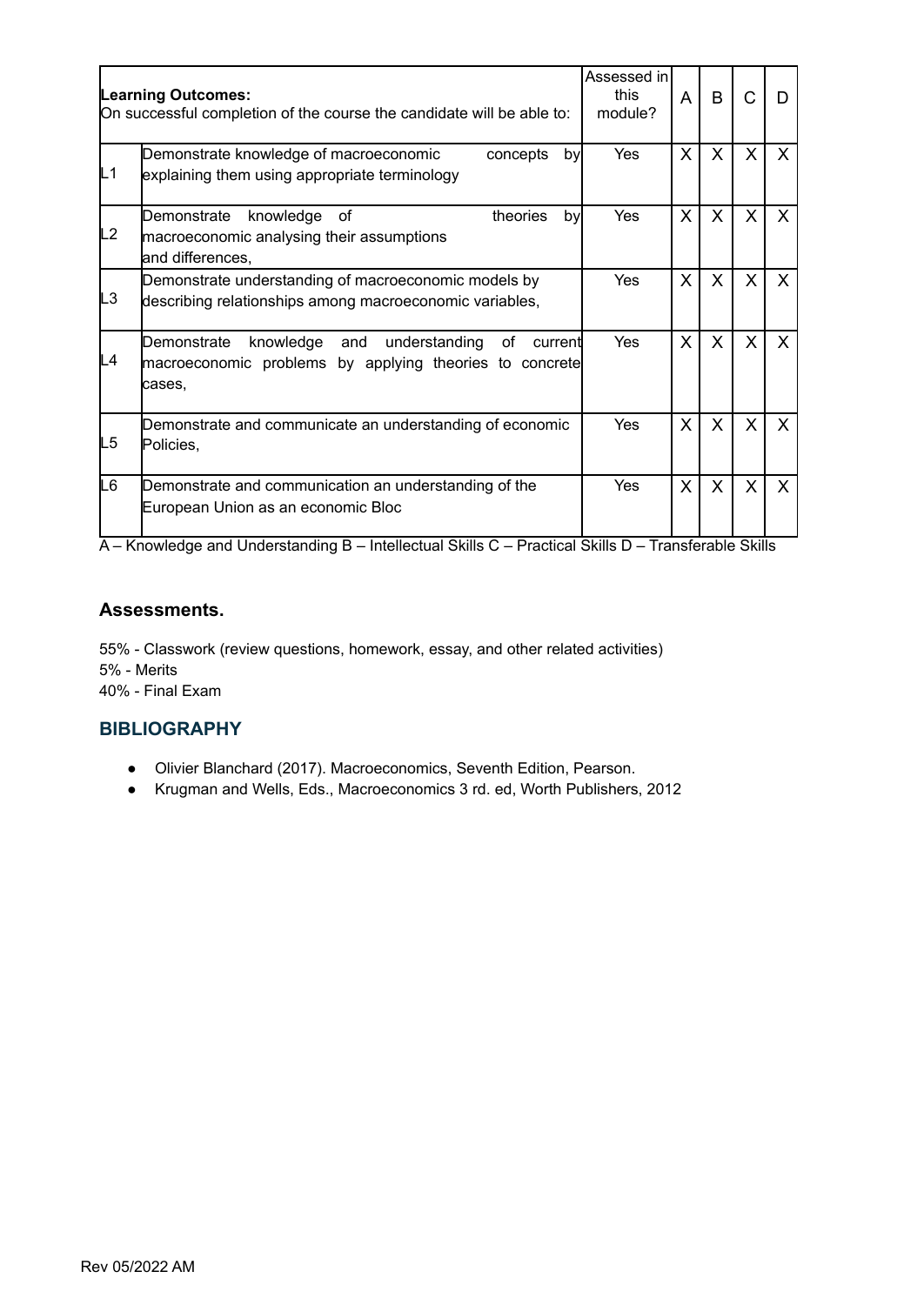|    | <b>Learning Outcomes:</b><br>On successful completion of the course the candidate will be able to:                                  | Assessed in<br>this<br>module? | A            | B            | C            |   |
|----|-------------------------------------------------------------------------------------------------------------------------------------|--------------------------------|--------------|--------------|--------------|---|
| L1 | Demonstrate knowledge of macroeconomic<br>concepts<br>byl<br>explaining them using appropriate terminology                          | Yes                            | X            | X            | $\mathsf{X}$ | X |
| L2 | theories<br>Demonstrate<br>knowledge<br>by<br>оf<br>macroeconomic analysing their assumptions<br>and differences,                   | Yes                            | $\mathsf{X}$ | $\mathsf{X}$ | $\mathsf{X}$ | X |
| L3 | Demonstrate understanding of macroeconomic models by<br>describing relationships among macroeconomic variables,                     | <b>Yes</b>                     | $\mathsf{X}$ | X.           | X.           | X |
| L4 | knowledge and<br>understanding<br>Demonstrate<br>οf<br>current<br>macroeconomic problems by applying theories to concrete<br>cases, | Yes                            | $\sf X$      | $\sf X$      | X            | X |
| L5 | Demonstrate and communicate an understanding of economic<br>Policies,                                                               | <b>Yes</b>                     | $\sf X$      | $\mathsf{X}$ | X.           | X |
| L6 | Demonstrate and communication an understanding of the<br>European Union as an economic Bloc                                         | Yes                            | $\mathsf{X}$ | X            | X            | X |

#### **Assessments.**

55% - Classwork (review questions, homework, essay, and other related activities) 5% - Merits 40% - Final Exam

#### **BIBLIOGRAPHY**

- Olivier Blanchard (2017). Macroeconomics, Seventh Edition, Pearson.
- Krugman and Wells, Eds., Macroeconomics 3 rd. ed, Worth Publishers, 2012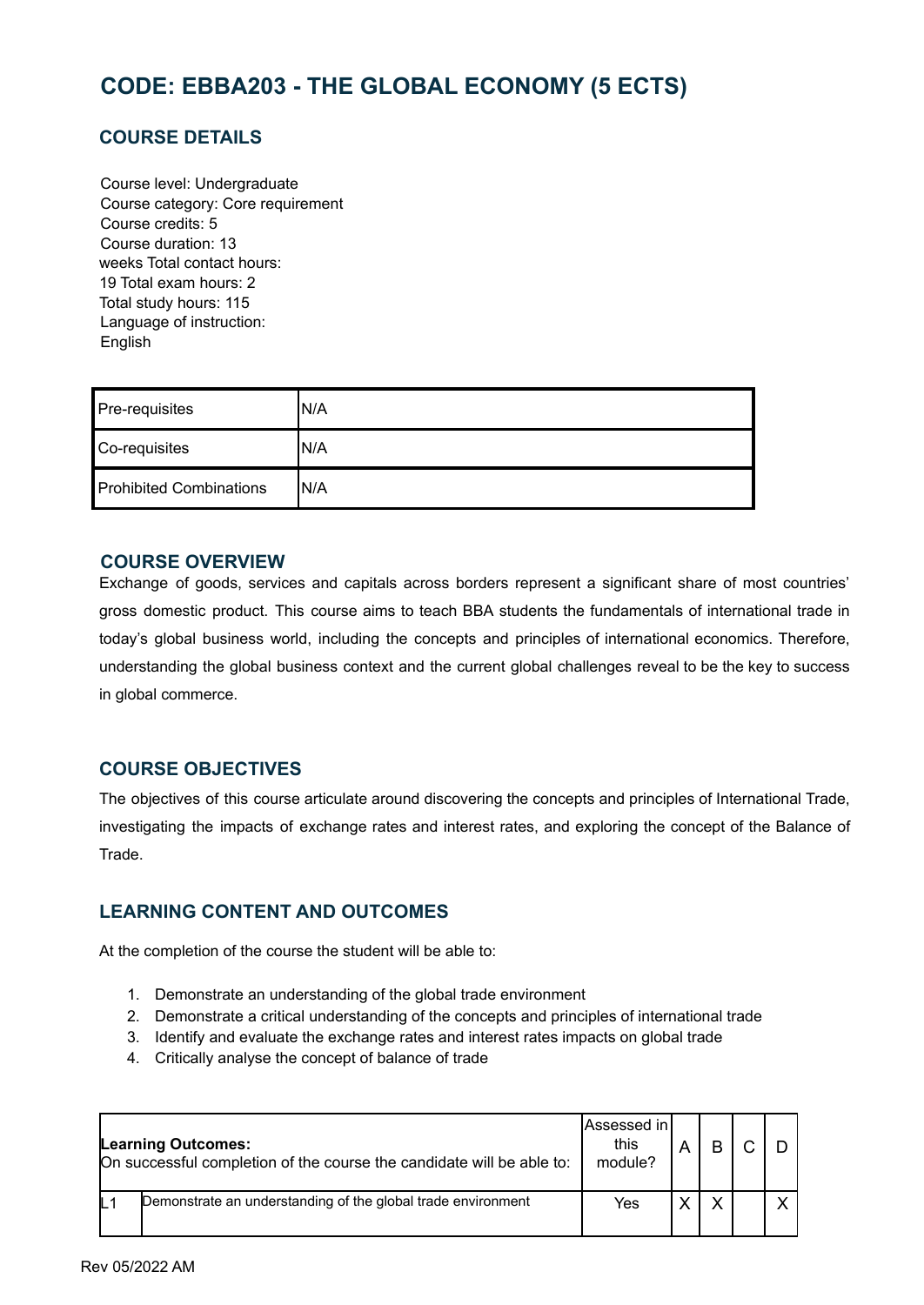# <span id="page-21-0"></span>**CODE: EBBA203 - THE GLOBAL ECONOMY (5 ECTS)**

# **COURSE DETAILS**

Course level: Undergraduate Course category: Core requirement Course credits: 5 Course duration: 13 weeks Total contact hours: 19 Total exam hours: 2 Total study hours: 115 Language of instruction: English

| Pre-requisites                 | 'N/A |
|--------------------------------|------|
| Co-requisites                  | N/A  |
| <b>Prohibited Combinations</b> | N/A  |

#### **COURSE OVERVIEW**

Exchange of goods, services and capitals across borders represent a significant share of most countries' gross domestic product. This course aims to teach BBA students the fundamentals of international trade in today's global business world, including the concepts and principles of international economics. Therefore, understanding the global business context and the current global challenges reveal to be the key to success in global commerce.

#### **COURSE OBJECTIVES**

The objectives of this course articulate around discovering the concepts and principles of International Trade, investigating the impacts of exchange rates and interest rates, and exploring the concept of the Balance of Trade.

#### **LEARNING CONTENT AND OUTCOMES**

At the completion of the course the student will be able to:

- 1. Demonstrate an understanding of the global trade environment
- 2. Demonstrate a critical understanding of the concepts and principles of international trade
- 3. Identify and evaluate the exchange rates and interest rates impacts on global trade
- 4. Critically analyse the concept of balance of trade

| <b>Learning Outcomes:</b><br>On successful completion of the course the candidate will be able to: |                                                              | Assessed in<br>this<br>module? |  |  |
|----------------------------------------------------------------------------------------------------|--------------------------------------------------------------|--------------------------------|--|--|
| L <sub>1</sub>                                                                                     | Demonstrate an understanding of the global trade environment | Yes                            |  |  |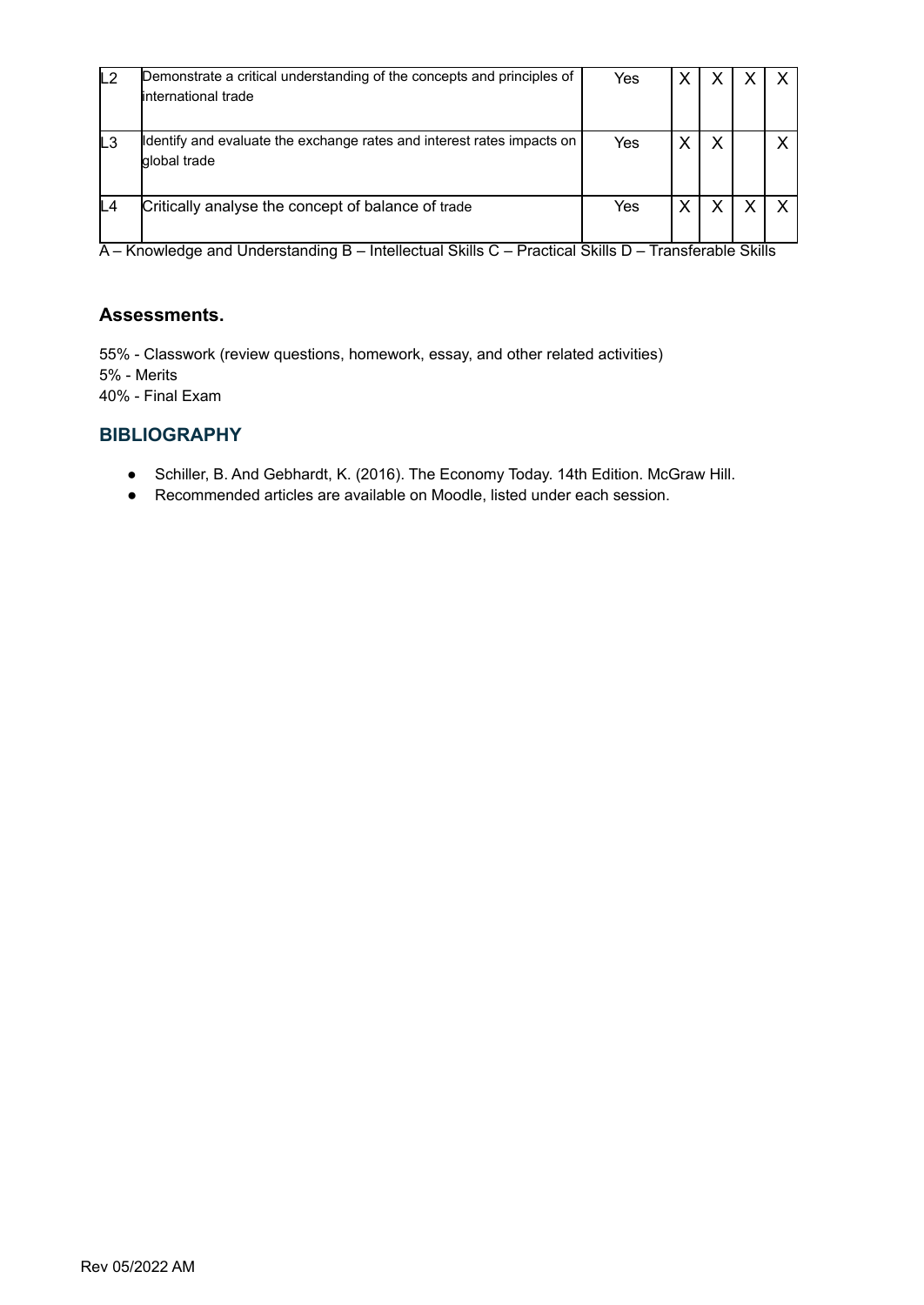| L <sub>2</sub> | Demonstrate a critical understanding of the concepts and principles of<br>linternational trade | Yes |   |  |
|----------------|------------------------------------------------------------------------------------------------|-----|---|--|
| L <sub>3</sub> | ldentify and evaluate the exchange rates and interest rates impacts on<br>global trade         | Yes | x |  |
| L4             | Critically analyse the concept of balance of trade                                             | Yes |   |  |

#### **Assessments.**

55% - Classwork (review questions, homework, essay, and other related activities) 5% - Merits 40% - Final Exam

#### **BIBLIOGRAPHY**

- Schiller, B. And Gebhardt, K. (2016). The Economy Today. 14th Edition. McGraw Hill.
- Recommended articles are available on Moodle, listed under each session.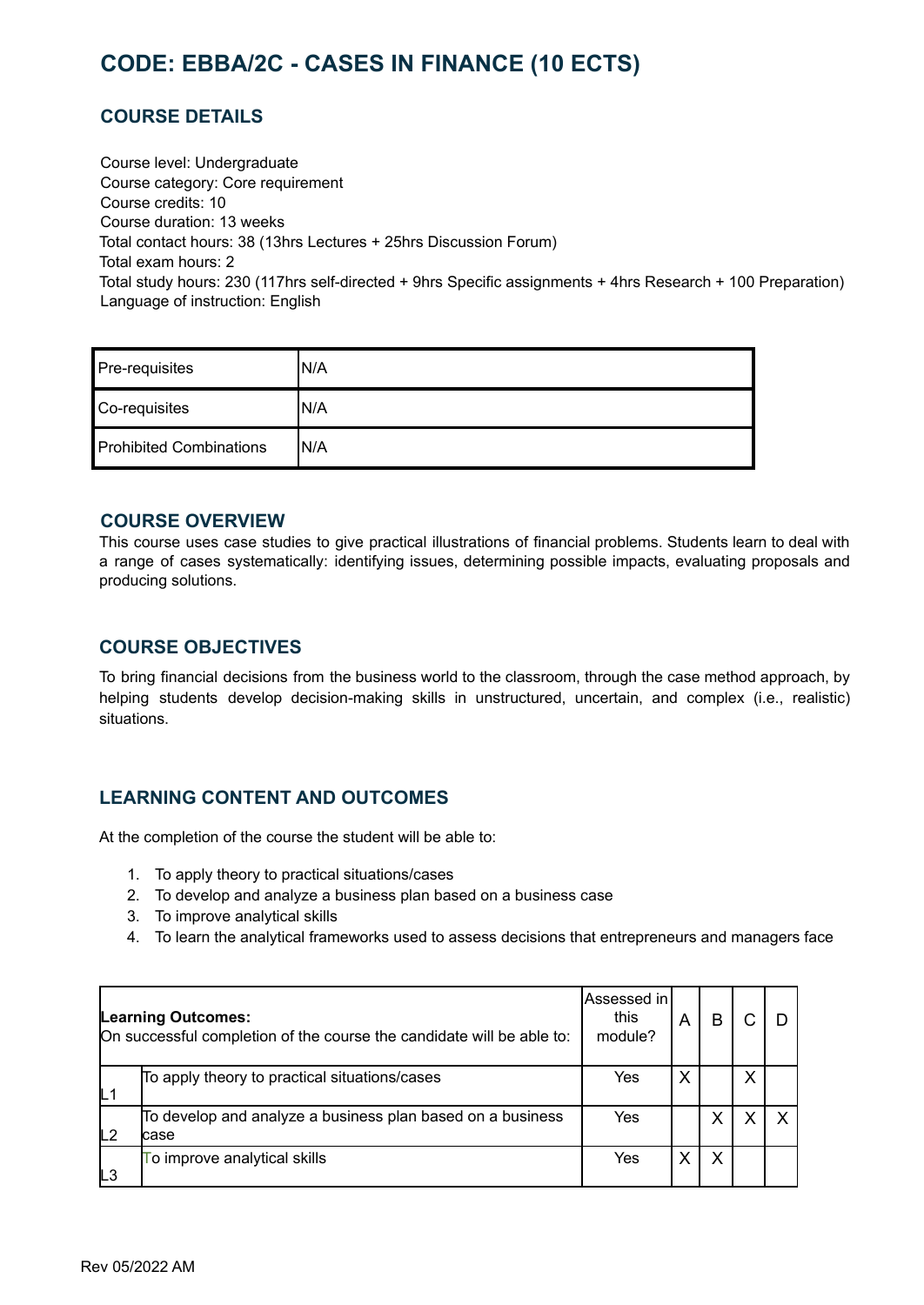# <span id="page-23-0"></span>**CODE: EBBA/2C - CASES IN FINANCE (10 ECTS)**

# **COURSE DETAILS**

Course level: Undergraduate Course category: Core requirement Course credits: 10 Course duration: 13 weeks Total contact hours: 38 (13hrs Lectures + 25hrs Discussion Forum) Total exam hours: 2 Total study hours: 230 (117hrs self-directed + 9hrs Specific assignments + 4hrs Research + 100 Preparation) Language of instruction: English

| Pre-requisites                 | 'N/A |
|--------------------------------|------|
| Co-requisites                  | 'N/A |
| <b>Prohibited Combinations</b> | 'N/A |

#### **COURSE OVERVIEW**

This course uses case studies to give practical illustrations of financial problems. Students learn to deal with a range of cases systematically: identifying issues, determining possible impacts, evaluating proposals and producing solutions.

#### **COURSE OBJECTIVES**

To bring financial decisions from the business world to the classroom, through the case method approach, by helping students develop decision-making skills in unstructured, uncertain, and complex (i.e., realistic) situations.

#### **LEARNING CONTENT AND OUTCOMES**

At the completion of the course the student will be able to:

- 1. To apply theory to practical situations/cases
- 2. To develop and analyze a business plan based on a business case
- 3. To improve analytical skills
- 4. To learn the analytical frameworks used to assess decisions that entrepreneurs and managers face

|                | <b>Learning Outcomes:</b><br>On successful completion of the course the candidate will be able to: | Assessed in<br>this<br>module? | A | R |   |  |
|----------------|----------------------------------------------------------------------------------------------------|--------------------------------|---|---|---|--|
| L <sub>1</sub> | To apply theory to practical situations/cases                                                      | Yes                            | X |   | X |  |
| L2             | To develop and analyze a business plan based on a business<br>lcase                                | Yes                            |   | X |   |  |
| L <sub>3</sub> | To improve analytical skills                                                                       | Yes                            |   | X |   |  |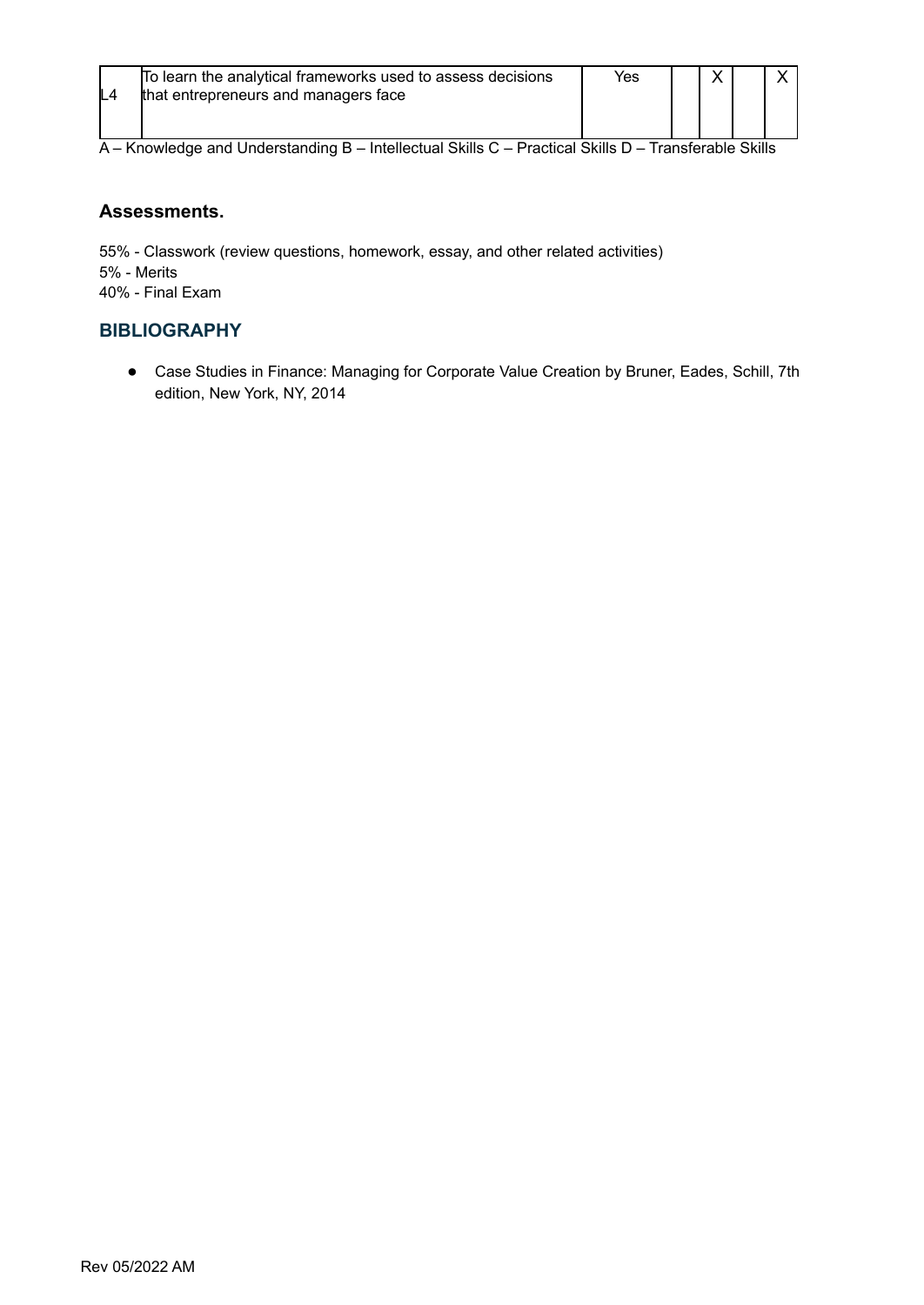|     | To learn the analytical frameworks used to assess decisions | Yes |  |  |
|-----|-------------------------------------------------------------|-----|--|--|
| IL4 | that entrepreneurs and managers face                        |     |  |  |
|     |                                                             |     |  |  |

#### **Assessments.**

55% - Classwork (review questions, homework, essay, and other related activities) 5% - Merits 40% - Final Exam

### **BIBLIOGRAPHY**

● Case Studies in Finance: Managing for Corporate Value Creation by Bruner, Eades, Schill, 7th edition, New York, NY, 2014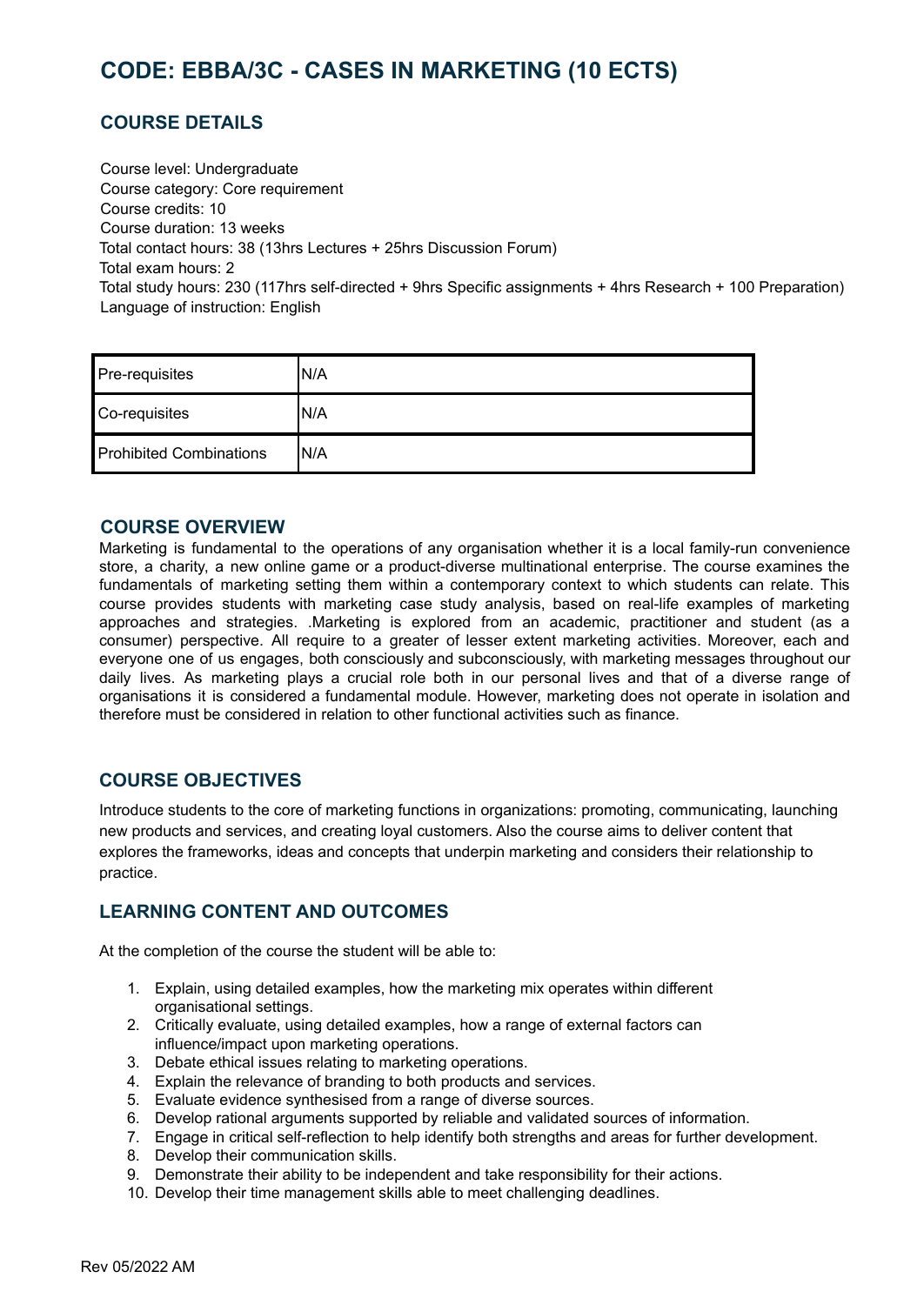# <span id="page-25-0"></span>**CODE: EBBA/3C - CASES IN MARKETING (10 ECTS)**

### **COURSE DETAILS**

Course level: Undergraduate Course category: Core requirement Course credits: 10 Course duration: 13 weeks Total contact hours: 38 (13hrs Lectures + 25hrs Discussion Forum) Total exam hours: 2 Total study hours: 230 (117hrs self-directed + 9hrs Specific assignments + 4hrs Research + 100 Preparation) Language of instruction: English

| Pre-requisites                 | 'N/A |
|--------------------------------|------|
| Co-requisites                  | 'N/A |
| <b>Prohibited Combinations</b> | IN/A |

#### **COURSE OVERVIEW**

Marketing is fundamental to the operations of any organisation whether it is a local family-run convenience store, a charity, a new online game or a product-diverse multinational enterprise. The course examines the fundamentals of marketing setting them within a contemporary context to which students can relate. This course provides students with marketing case study analysis, based on real-life examples of marketing approaches and strategies. .Marketing is explored from an academic, practitioner and student (as a consumer) perspective. All require to a greater of lesser extent marketing activities. Moreover, each and everyone one of us engages, both consciously and subconsciously, with marketing messages throughout our daily lives. As marketing plays a crucial role both in our personal lives and that of a diverse range of organisations it is considered a fundamental module. However, marketing does not operate in isolation and therefore must be considered in relation to other functional activities such as finance.

#### **COURSE OBJECTIVES**

Introduce students to the core of marketing functions in organizations: promoting, communicating, launching new products and services, and creating loyal customers. Also the course aims to deliver content that explores the frameworks, ideas and concepts that underpin marketing and considers their relationship to practice.

#### **LEARNING CONTENT AND OUTCOMES**

At the completion of the course the student will be able to:

- 1. Explain, using detailed examples, how the marketing mix operates within different organisational settings.
- 2. Critically evaluate, using detailed examples, how a range of external factors can influence/impact upon marketing operations.
- 3. Debate ethical issues relating to marketing operations.
- 4. Explain the relevance of branding to both products and services.
- 5. Evaluate evidence synthesised from a range of diverse sources.
- 6. Develop rational arguments supported by reliable and validated sources of information.
- 7. Engage in critical self-reflection to help identify both strengths and areas for further development.
- 8. Develop their communication skills.
- 9. Demonstrate their ability to be independent and take responsibility for their actions.
- 10. Develop their time management skills able to meet challenging deadlines.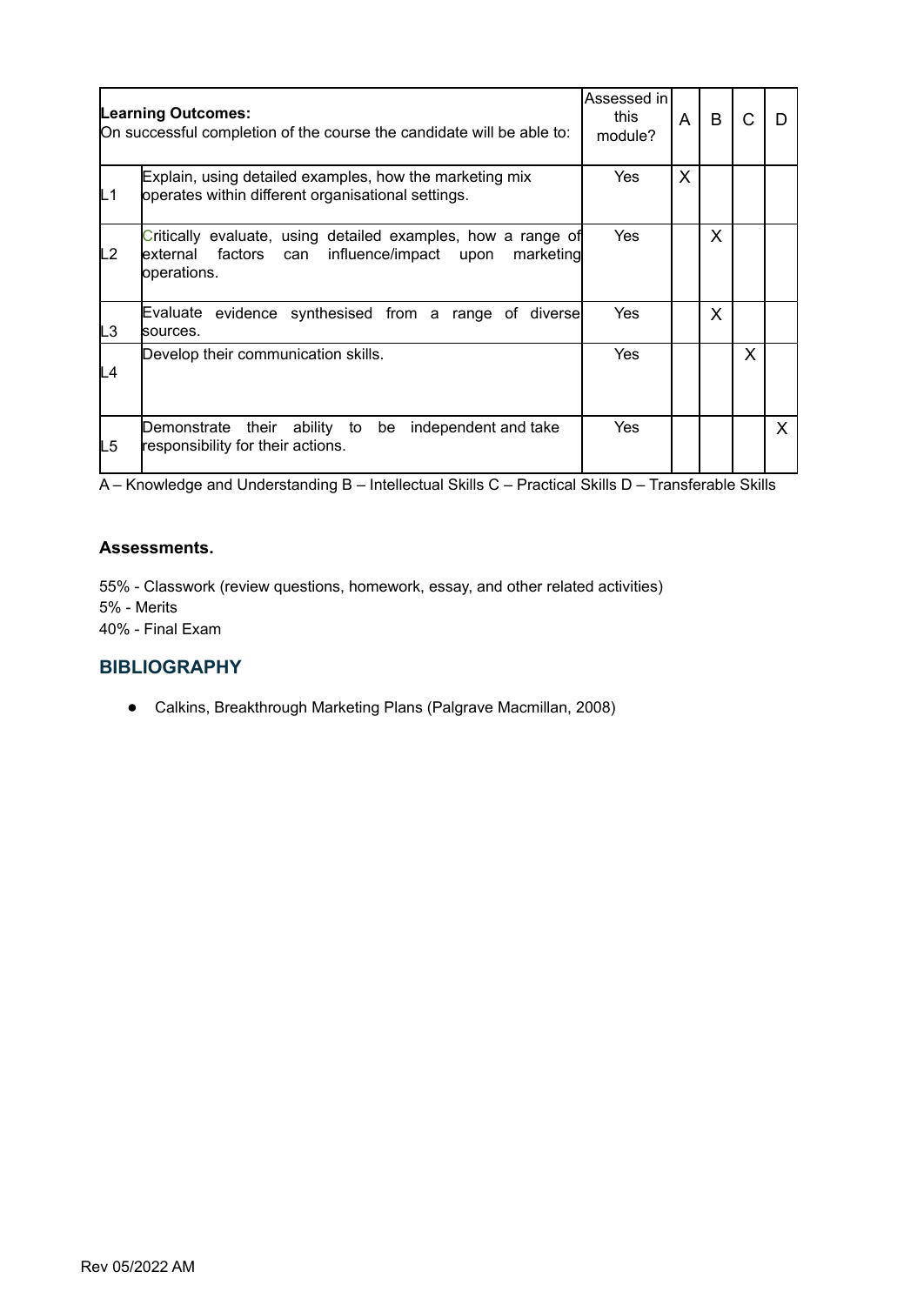|    | <b>Learning Outcomes:</b><br>On successful completion of the course the candidate will be able to:                                               |            | Assessed in<br>A | B       |   |   |
|----|--------------------------------------------------------------------------------------------------------------------------------------------------|------------|------------------|---------|---|---|
| L1 | Explain, using detailed examples, how the marketing mix<br>operates within different organisational settings.                                    | Yes        | X                |         |   |   |
| L2 | Critically evaluate, using detailed examples, how a range of<br>influence/impact upon<br>marketing<br>lexternal<br>factors<br>can<br>operations. | <b>Yes</b> |                  | $\sf X$ |   |   |
| L3 | evidence synthesised from a range of diverse<br>Evaluate<br>lsources.                                                                            | Yes        |                  | X       |   |   |
| L4 | Develop their communication skills.                                                                                                              | Yes        |                  |         | X |   |
| L5 | their ability to be<br>independent and take<br>Demonstrate<br>responsibility for their actions.                                                  | Yes        |                  |         |   | X |

#### **Assessments.**

55% - Classwork (review questions, homework, essay, and other related activities) 5% - Merits 40% - Final Exam

#### **BIBLIOGRAPHY**

● Calkins, Breakthrough Marketing Plans (Palgrave Macmillan, 2008)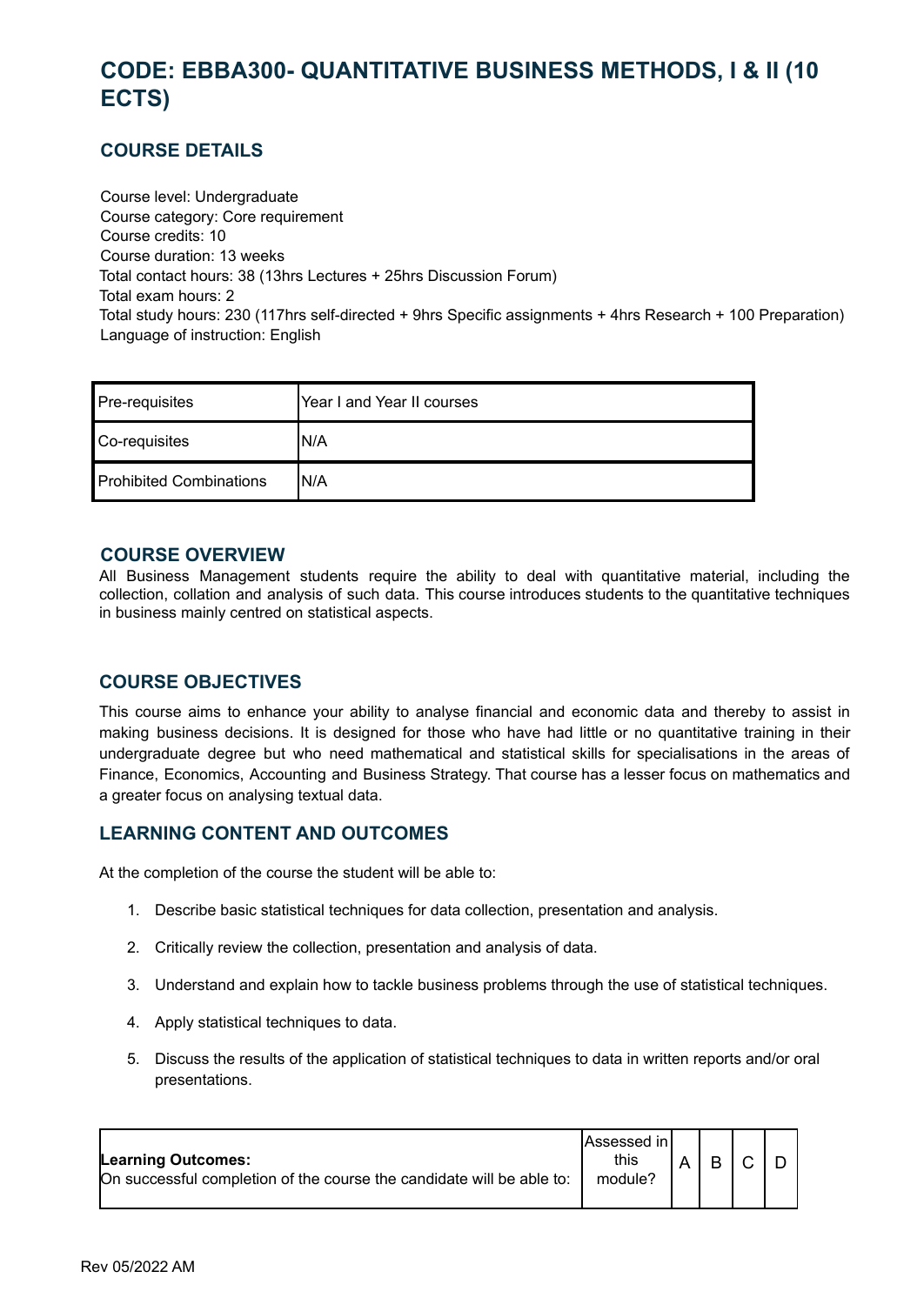# <span id="page-27-0"></span>**CODE: EBBA300- QUANTITATIVE BUSINESS METHODS, I & II (10 ECTS)**

# **COURSE DETAILS**

Course level: Undergraduate Course category: Core requirement Course credits: 10 Course duration: 13 weeks Total contact hours: 38 (13hrs Lectures + 25hrs Discussion Forum) Total exam hours: 2 Total study hours: 230 (117hrs self-directed + 9hrs Specific assignments + 4hrs Research + 100 Preparation) Language of instruction: English

| Pre-requisites          | Year I and Year II courses |
|-------------------------|----------------------------|
| Co-requisites           | IN/A                       |
| Prohibited Combinations | IN/A                       |

#### **COURSE OVERVIEW**

All Business Management students require the ability to deal with quantitative material, including the collection, collation and analysis of such data. This course introduces students to the quantitative techniques in business mainly centred on statistical aspects.

#### **COURSE OBJECTIVES**

This course aims to enhance your ability to analyse financial and economic data and thereby to assist in making business decisions. It is designed for those who have had little or no quantitative training in their undergraduate degree but who need mathematical and statistical skills for specialisations in the areas of Finance, Economics, Accounting and Business Strategy. That course has a lesser focus on mathematics and a greater focus on analysing textual data.

# **LEARNING CONTENT AND OUTCOMES**

At the completion of the course the student will be able to:

- 1. Describe basic statistical techniques for data collection, presentation and analysis.
- 2. Critically review the collection, presentation and analysis of data.
- 3. Understand and explain how to tackle business problems through the use of statistical techniques.
- 4. Apply statistical techniques to data.
- 5. Discuss the results of the application of statistical techniques to data in written reports and/or oral presentations.

| Learning Outcomes:<br>On successful completion of the course the candidate will be able to: | <b>IAssessed</b> in I<br>this<br>module? |  |  |  |  |  |
|---------------------------------------------------------------------------------------------|------------------------------------------|--|--|--|--|--|
|---------------------------------------------------------------------------------------------|------------------------------------------|--|--|--|--|--|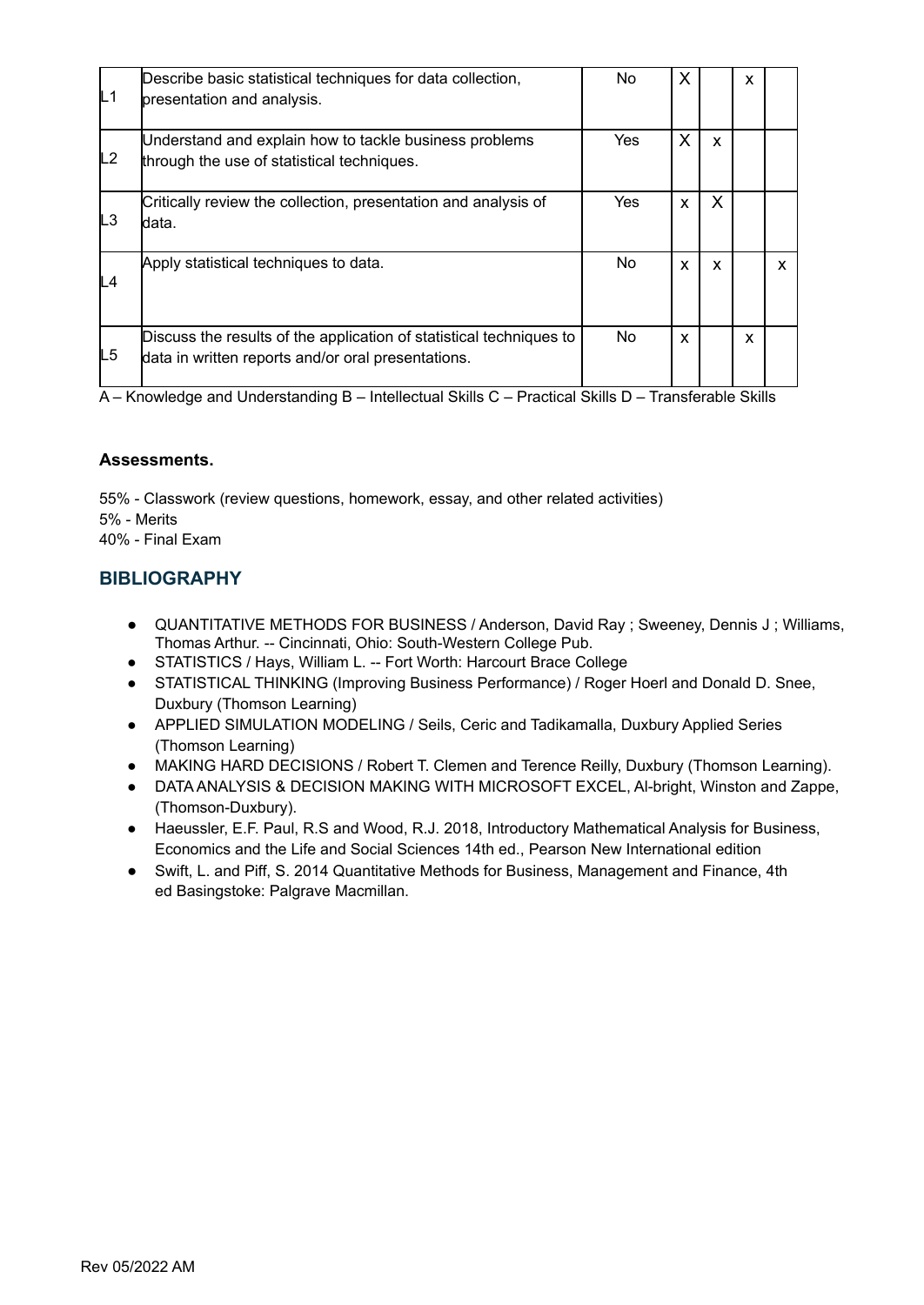| L1 | Describe basic statistical techniques for data collection,<br>presentation and analysis.                                  | No        | X |   | x |  |
|----|---------------------------------------------------------------------------------------------------------------------------|-----------|---|---|---|--|
| L2 | Understand and explain how to tackle business problems<br>through the use of statistical techniques.                      | Yes       | X | X |   |  |
| LЗ | Critically review the collection, presentation and analysis of<br>ldata.                                                  | Yes       | X | X |   |  |
| L4 | Apply statistical techniques to data.                                                                                     | <b>No</b> | X | X |   |  |
| L5 | Discuss the results of the application of statistical techniques to<br>data in written reports and/or oral presentations. | No.       | X |   | x |  |

#### **Assessments.**

55% - Classwork (review questions, homework, essay, and other related activities) 5% - Merits 40% - Final Exam

### **BIBLIOGRAPHY**

- QUANTITATIVE METHODS FOR BUSINESS / Anderson, David Ray ; Sweeney, Dennis J ; Williams, Thomas Arthur. -- Cincinnati, Ohio: South-Western College Pub.
- STATISTICS / Hays, William L. -- Fort Worth: Harcourt Brace College
- STATISTICAL THINKING (Improving Business Performance) / Roger Hoerl and Donald D. Snee, Duxbury (Thomson Learning)
- APPLIED SIMULATION MODELING / Seils, Ceric and Tadikamalla, Duxbury Applied Series (Thomson Learning)
- MAKING HARD DECISIONS / Robert T. Clemen and Terence Reilly, Duxbury (Thomson Learning).
- DATA ANALYSIS & DECISION MAKING WITH MICROSOFT EXCEL, Al-bright, Winston and Zappe, (Thomson-Duxbury).
- Haeussler, E.F. Paul, R.S and Wood, R.J. 2018, Introductory Mathematical Analysis for Business, Economics and the Life and Social Sciences 14th ed., Pearson New International edition
- Swift, L. and Piff, S. 2014 Quantitative Methods for Business, Management and Finance, 4th ed Basingstoke: Palgrave Macmillan.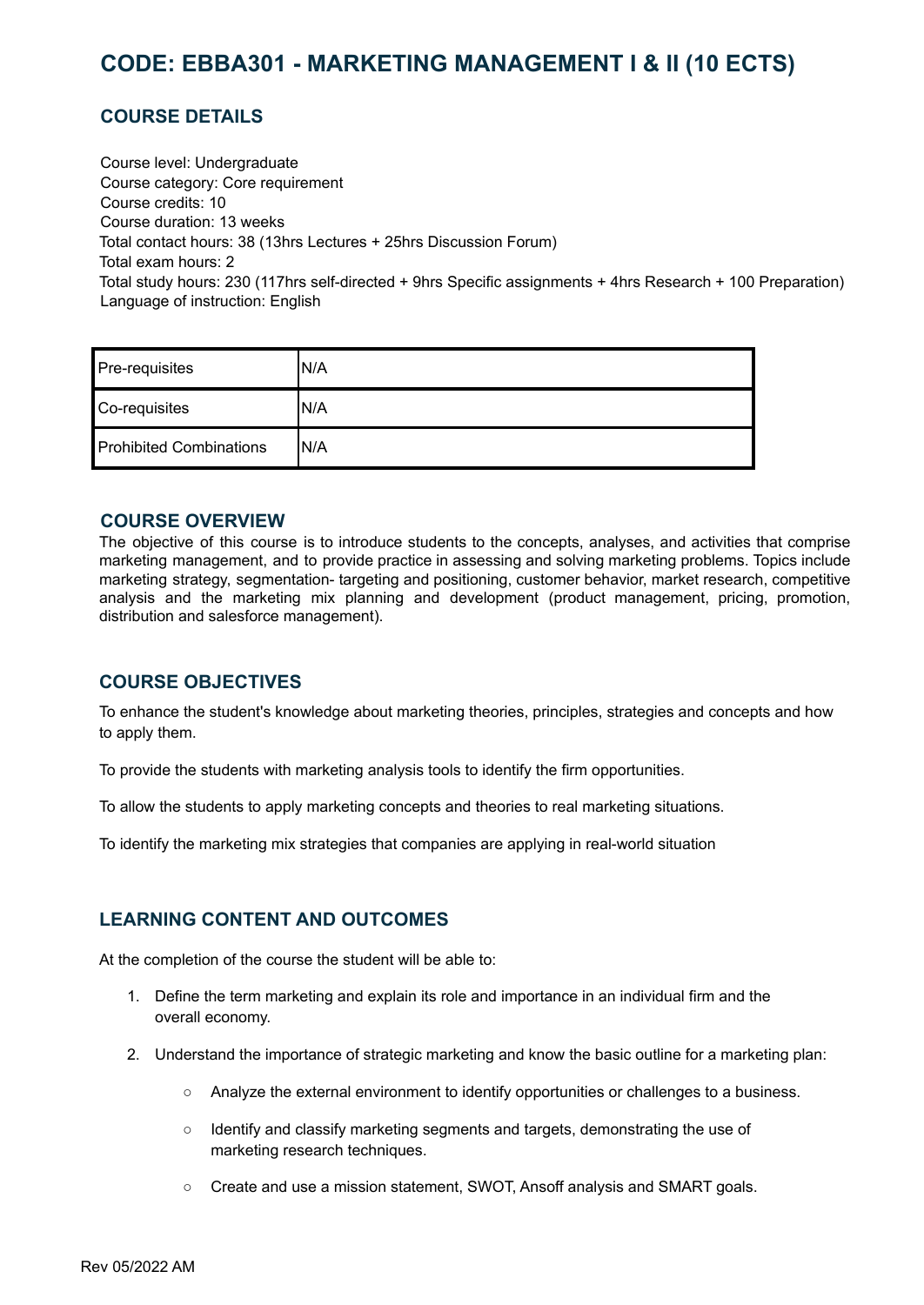# <span id="page-29-0"></span>**CODE: EBBA301 - MARKETING MANAGEMENT I & II (10 ECTS)**

# **COURSE DETAILS**

Course level: Undergraduate Course category: Core requirement Course credits: 10 Course duration: 13 weeks Total contact hours: 38 (13hrs Lectures + 25hrs Discussion Forum) Total exam hours: 2 Total study hours: 230 (117hrs self-directed + 9hrs Specific assignments + 4hrs Research + 100 Preparation) Language of instruction: English

| Pre-requisites                 | 'N/A |
|--------------------------------|------|
| Co-requisites                  | 'N/A |
| <b>Prohibited Combinations</b> | 'N/A |

#### **COURSE OVERVIEW**

The objective of this course is to introduce students to the concepts, analyses, and activities that comprise marketing management, and to provide practice in assessing and solving marketing problems. Topics include marketing strategy, segmentation- targeting and positioning, customer behavior, market research, competitive analysis and the marketing mix planning and development (product management, pricing, promotion, distribution and salesforce management).

#### **COURSE OBJECTIVES**

To enhance the student's knowledge about marketing theories, principles, strategies and concepts and how to apply them.

To provide the students with marketing analysis tools to identify the firm opportunities.

To allow the students to apply marketing concepts and theories to real marketing situations.

To identify the marketing mix strategies that companies are applying in real-world situation

#### **LEARNING CONTENT AND OUTCOMES**

At the completion of the course the student will be able to:

- 1. Define the term marketing and explain its role and importance in an individual firm and the overall economy.
- 2. Understand the importance of strategic marketing and know the basic outline for a marketing plan:
	- Analyze the external environment to identify opportunities or challenges to a business.
	- Identify and classify marketing segments and targets, demonstrating the use of marketing research techniques.
	- Create and use a mission statement, SWOT, Ansoff analysis and SMART goals.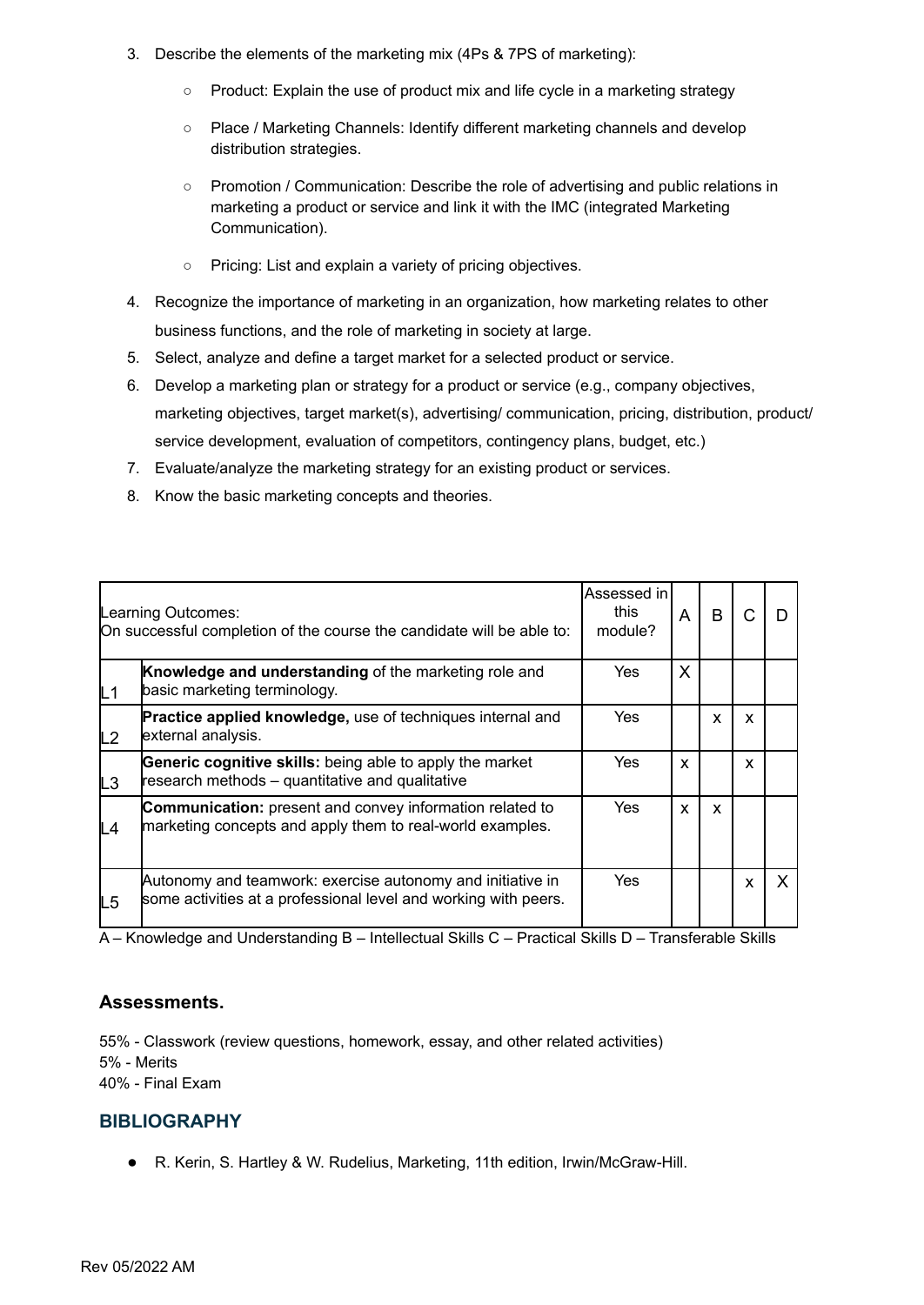- 3. Describe the elements of the marketing mix (4Ps & 7PS of marketing):
	- Product: Explain the use of product mix and life cycle in a marketing strategy
	- Place / Marketing Channels: Identify different marketing channels and develop distribution strategies.
	- Promotion / Communication: Describe the role of advertising and public relations in marketing a product or service and link it with the IMC (integrated Marketing Communication).
	- Pricing: List and explain a variety of pricing objectives.
- 4. Recognize the importance of marketing in an organization, how marketing relates to other business functions, and the role of marketing in society at large.
- 5. Select, analyze and define a target market for a selected product or service.
- 6. Develop a marketing plan or strategy for a product or service (e.g., company objectives, marketing objectives, target market(s), advertising/ communication, pricing, distribution, product/ service development, evaluation of competitors, contingency plans, budget, etc.)
- 7. Evaluate/analyze the marketing strategy for an existing product or services.
- 8. Know the basic marketing concepts and theories.

|                | Learning Outcomes:<br>On successful completion of the course the candidate will be able to:                                   | Assessed in<br>this<br>module? | A | B |   |   |
|----------------|-------------------------------------------------------------------------------------------------------------------------------|--------------------------------|---|---|---|---|
| L1             | Knowledge and understanding of the marketing role and<br>basic marketing terminology.                                         | Yes                            | X |   |   |   |
| L2             | Practice applied knowledge, use of techniques internal and<br>external analysis.                                              | Yes                            |   | X | X |   |
| L <sub>3</sub> | Generic cognitive skills: being able to apply the market<br>research methods – quantitative and qualitative                   | Yes                            | X |   | X |   |
| L4             | <b>Communication:</b> present and convey information related to<br>marketing concepts and apply them to real-world examples.  | Yes                            | x | X |   |   |
| L5             | Autonomy and teamwork: exercise autonomy and initiative in<br>some activities at a professional level and working with peers. | Yes                            |   |   | x | X |

#### **Assessments.**

55% - Classwork (review questions, homework, essay, and other related activities) 5% - Merits 40% - Final Exam

#### **BIBLIOGRAPHY**

● R. Kerin, S. Hartley & W. Rudelius, Marketing, 11th edition, Irwin/McGraw-Hill.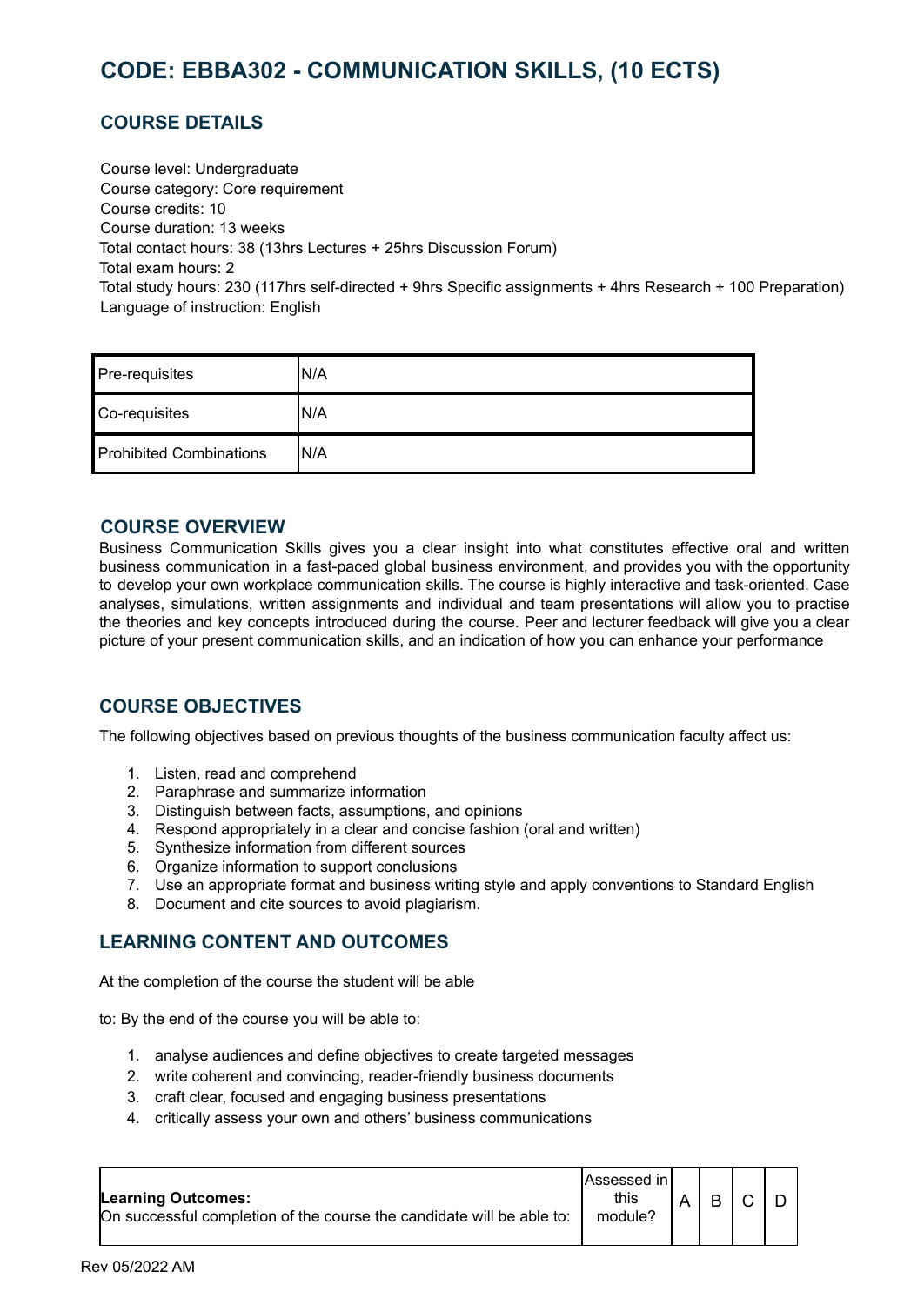# <span id="page-31-0"></span>**CODE: EBBA302 - COMMUNICATION SKILLS, (10 ECTS)**

### **COURSE DETAILS**

Course level: Undergraduate Course category: Core requirement Course credits: 10 Course duration: 13 weeks Total contact hours: 38 (13hrs Lectures + 25hrs Discussion Forum) Total exam hours: 2 Total study hours: 230 (117hrs self-directed + 9hrs Specific assignments + 4hrs Research + 100 Preparation) Language of instruction: English

| Pre-requisites                 | 'N/A |
|--------------------------------|------|
| Co-requisites                  | 'N/A |
| <b>Prohibited Combinations</b> | 'N/A |

#### **COURSE OVERVIEW**

Business Communication Skills gives you a clear insight into what constitutes effective oral and written business communication in a fast-paced global business environment, and provides you with the opportunity to develop your own workplace communication skills. The course is highly interactive and task-oriented. Case analyses, simulations, written assignments and individual and team presentations will allow you to practise the theories and key concepts introduced during the course. Peer and lecturer feedback will give you a clear picture of your present communication skills, and an indication of how you can enhance your performance

#### **COURSE OBJECTIVES**

The following objectives based on previous thoughts of the business communication faculty affect us:

- 1. Listen, read and comprehend
- 2. Paraphrase and summarize information
- 3. Distinguish between facts, assumptions, and opinions
- 4. Respond appropriately in a clear and concise fashion (oral and written)
- 5. Synthesize information from different sources
- 6. Organize information to support conclusions
- 7. Use an appropriate format and business writing style and apply conventions to Standard English
- 8. Document and cite sources to avoid plagiarism.

#### **LEARNING CONTENT AND OUTCOMES**

At the completion of the course the student will be able

to: By the end of the course you will be able to:

- 1. analyse audiences and define objectives to create targeted messages
- 2. write coherent and convincing, reader-friendly business documents
- 3. craft clear, focused and engaging business presentations
- 4. critically assess your own and others' business communications

| <b>Learning Outcomes:</b>                                             | lAssessed in l<br>this |   |  |
|-----------------------------------------------------------------------|------------------------|---|--|
| On successful completion of the course the candidate will be able to: | module?                | B |  |
|                                                                       |                        |   |  |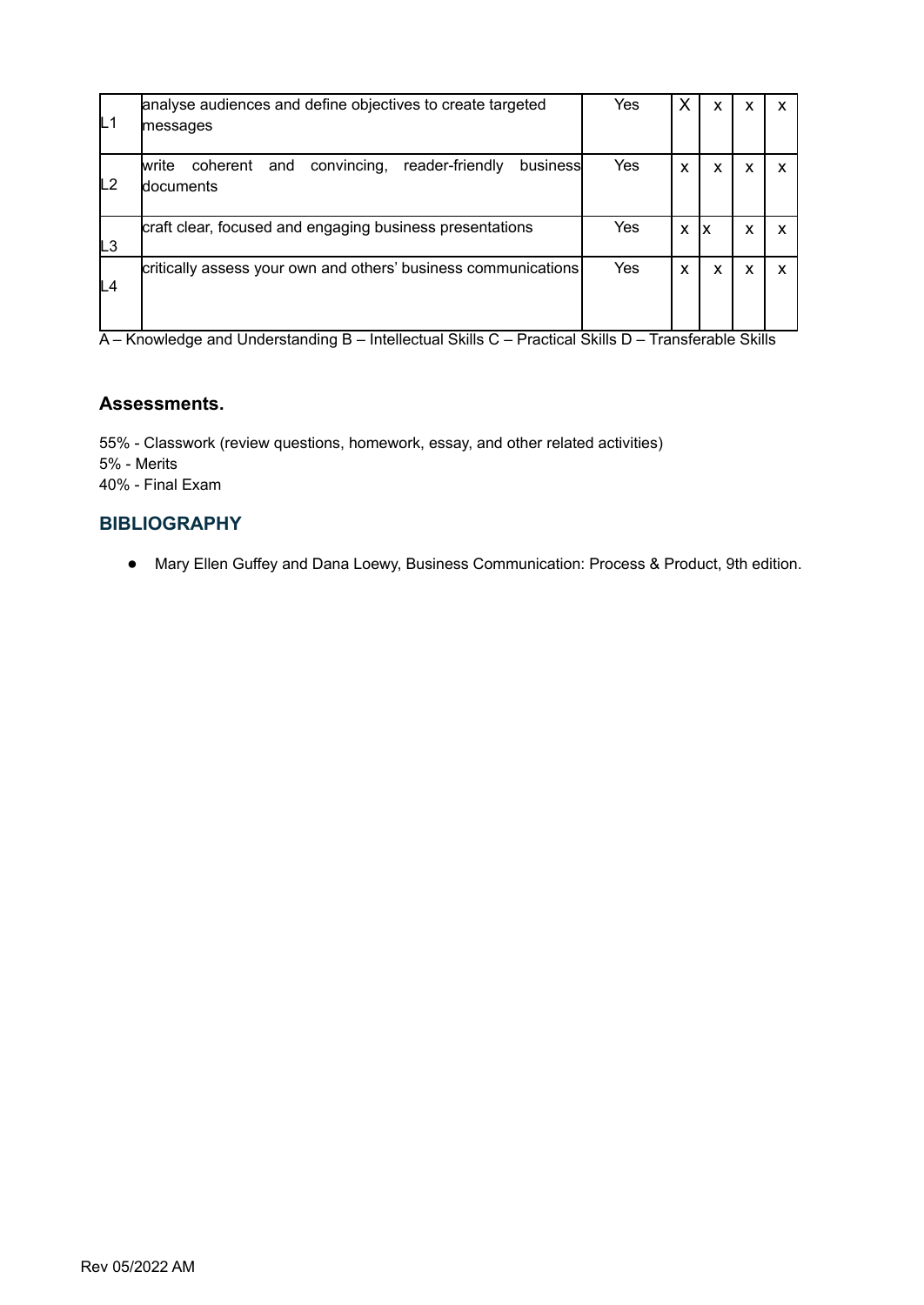|    | analyse audiences and define objectives to create targeted                                  | Yes | Х | X  | x |  |
|----|---------------------------------------------------------------------------------------------|-----|---|----|---|--|
| L1 | messages                                                                                    |     |   |    |   |  |
| L2 | reader-friendly<br>convincing,<br>business<br>coherent<br>and<br>lwrite<br><b>documents</b> | Yes | X | X  | x |  |
| LЗ | craft clear, focused and engaging business presentations                                    | Yes | X | lχ | x |  |
| L4 | critically assess your own and others' business communications                              | Yes | X | X  | x |  |

#### **Assessments.**

55% - Classwork (review questions, homework, essay, and other related activities) 5% - Merits 40% - Final Exam

#### **BIBLIOGRAPHY**

● Mary Ellen Guffey and Dana Loewy, Business Communication: Process & Product, 9th edition.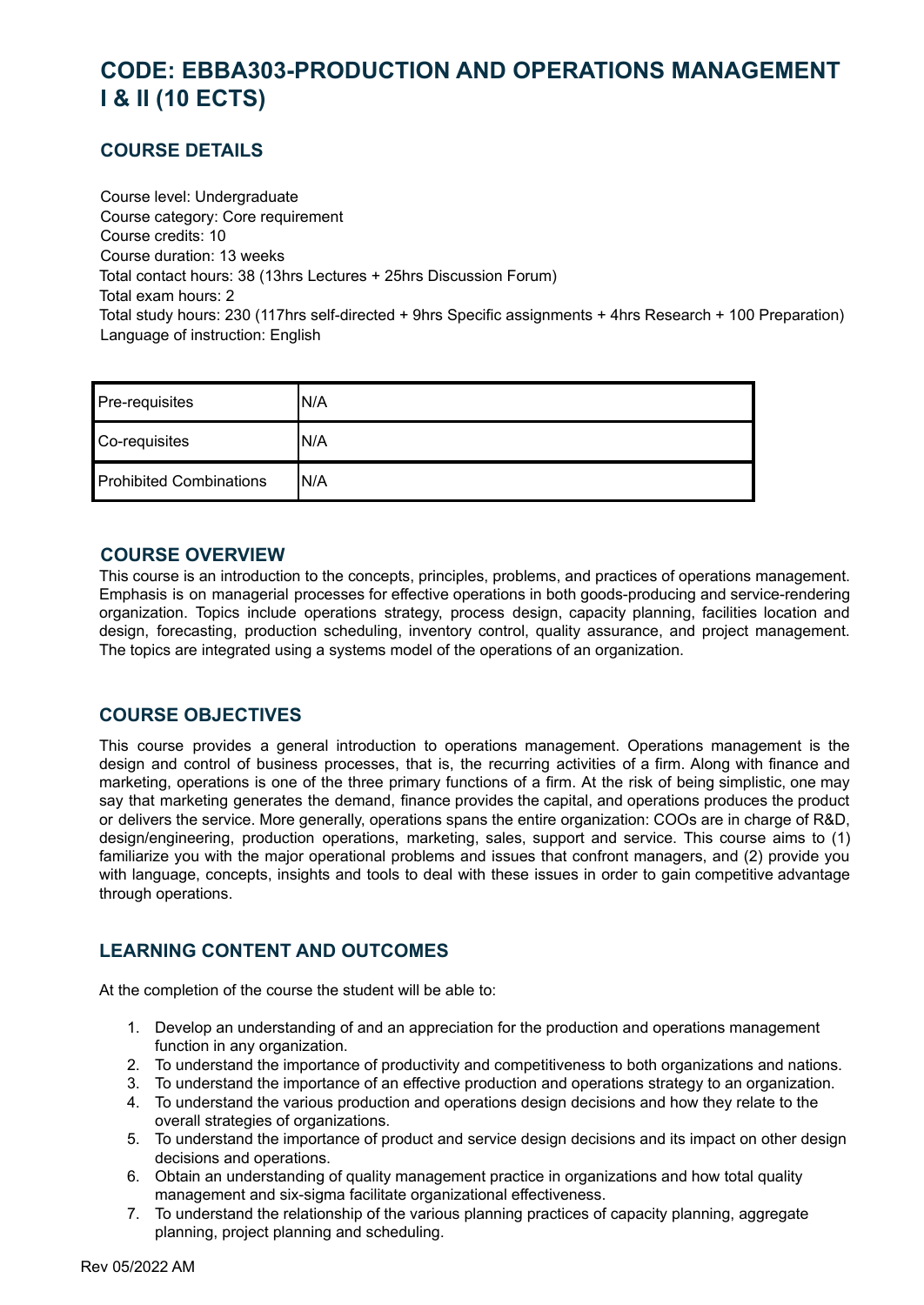# <span id="page-33-0"></span>**CODE: EBBA303-PRODUCTION AND OPERATIONS MANAGEMENT I & II (10 ECTS)**

# **COURSE DETAILS**

Course level: Undergraduate Course category: Core requirement Course credits: 10 Course duration: 13 weeks Total contact hours: 38 (13hrs Lectures + 25hrs Discussion Forum) Total exam hours: 2 Total study hours: 230 (117hrs self-directed + 9hrs Specific assignments + 4hrs Research + 100 Preparation) Language of instruction: English

| Pre-requisites                 | N/A |
|--------------------------------|-----|
| Co-requisites                  | N/A |
| <b>Prohibited Combinations</b> | N/A |

#### **COURSE OVERVIEW**

This course is an introduction to the concepts, principles, problems, and practices of operations management. Emphasis is on managerial processes for effective operations in both goods-producing and service-rendering organization. Topics include operations strategy, process design, capacity planning, facilities location and design, forecasting, production scheduling, inventory control, quality assurance, and project management. The topics are integrated using a systems model of the operations of an organization.

# **COURSE OBJECTIVES**

This course provides a general introduction to operations management. Operations management is the design and control of business processes, that is, the recurring activities of a firm. Along with finance and marketing, operations is one of the three primary functions of a firm. At the risk of being simplistic, one may say that marketing generates the demand, finance provides the capital, and operations produces the product or delivers the service. More generally, operations spans the entire organization: COOs are in charge of R&D, design/engineering, production operations, marketing, sales, support and service. This course aims to (1) familiarize you with the major operational problems and issues that confront managers, and (2) provide you with language, concepts, insights and tools to deal with these issues in order to gain competitive advantage through operations.

# **LEARNING CONTENT AND OUTCOMES**

At the completion of the course the student will be able to:

- 1. Develop an understanding of and an appreciation for the production and operations management function in any organization.
- 2. To understand the importance of productivity and competitiveness to both organizations and nations.
- 3. To understand the importance of an effective production and operations strategy to an organization.
- 4. To understand the various production and operations design decisions and how they relate to the overall strategies of organizations.
- 5. To understand the importance of product and service design decisions and its impact on other design decisions and operations.
- 6. Obtain an understanding of quality management practice in organizations and how total quality management and six-sigma facilitate organizational effectiveness.
- 7. To understand the relationship of the various planning practices of capacity planning, aggregate planning, project planning and scheduling.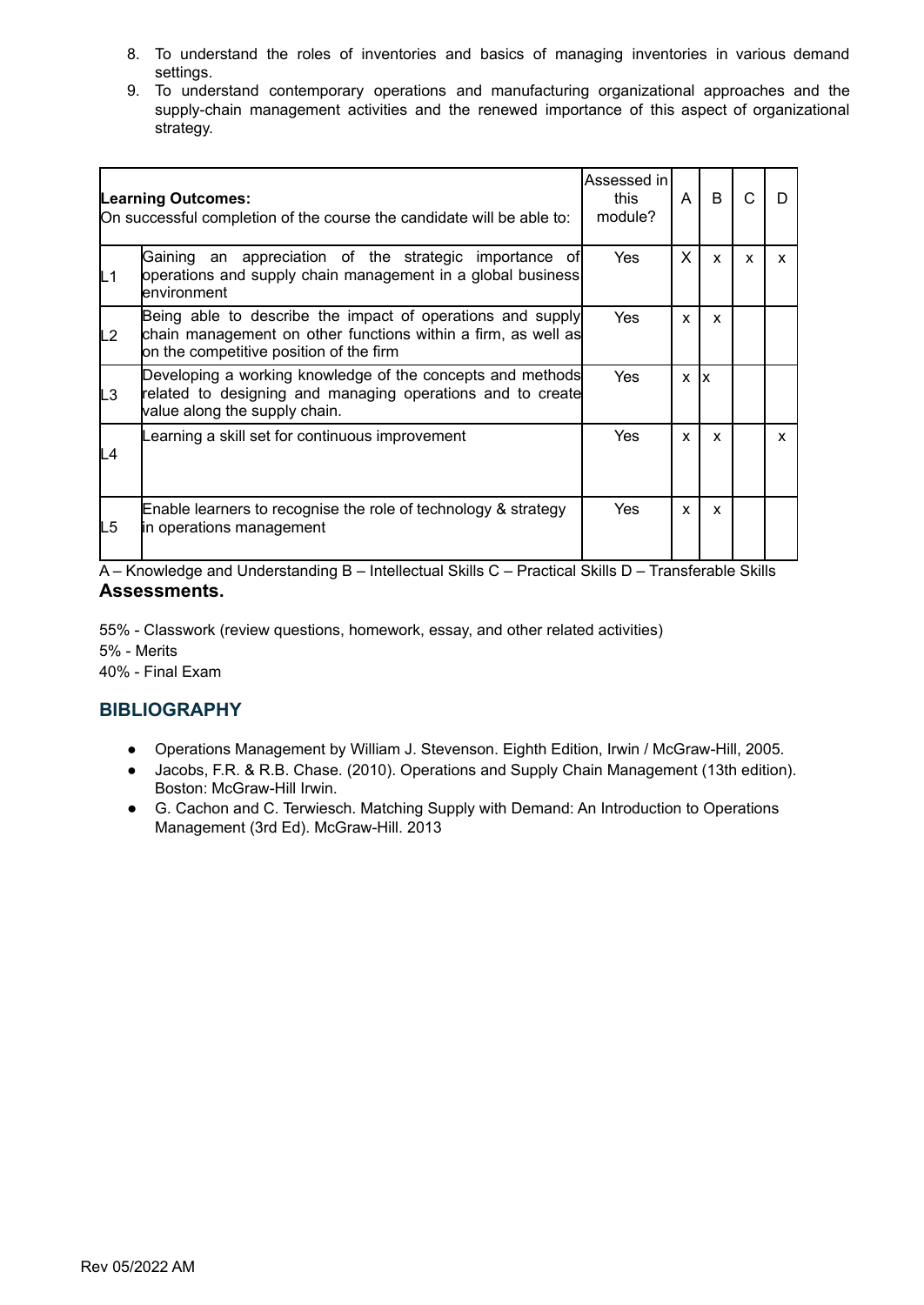- 8. To understand the roles of inventories and basics of managing inventories in various demand settings.
- 9. To understand contemporary operations and manufacturing organizational approaches and the supply-chain management activities and the renewed importance of this aspect of organizational strategy.

|    | <b>Learning Outcomes:</b><br>On successful completion of the course the candidate will be able to:                                                                     | Assessed in l<br>this<br>module? | A            | <sub>B</sub> |              | D |
|----|------------------------------------------------------------------------------------------------------------------------------------------------------------------------|----------------------------------|--------------|--------------|--------------|---|
| L1 | Gaining an appreciation of the strategic importance of<br>operations and supply chain management in a global business<br>lenvironment                                  | <b>Yes</b>                       | X            | $\mathsf{x}$ | $\mathbf{x}$ | X |
| L2 | Being able to describe the impact of operations and supply<br>chain management on other functions within a firm, as well as<br>on the competitive position of the firm | Yes                              | X            | X            |              |   |
| L3 | Developing a working knowledge of the concepts and methods<br>related to designing and managing operations and to create<br>value along the supply chain.              | <b>Yes</b>                       | X            | Ix.          |              |   |
| L4 | earning a skill set for continuous improvement                                                                                                                         | <b>Yes</b>                       | $\mathbf{x}$ | $\mathsf{x}$ |              | x |
| L5 | Enable learners to recognise the role of technology & strategy<br>in operations management                                                                             | Yes                              | $\mathbf{x}$ | $\mathsf{x}$ |              |   |

55% - Classwork (review questions, homework, essay, and other related activities) 5% - Merits 40% - Final Exam

# **BIBLIOGRAPHY**

- Operations Management by William J. Stevenson. Eighth Edition, Irwin / McGraw-Hill, 2005.
- Jacobs, F.R. & R.B. Chase. (2010). Operations and Supply Chain Management (13th edition). Boston: McGraw-Hill Irwin.
- G. Cachon and C. Terwiesch. Matching Supply with Demand: An Introduction to Operations Management (3rd Ed). McGraw-Hill. 2013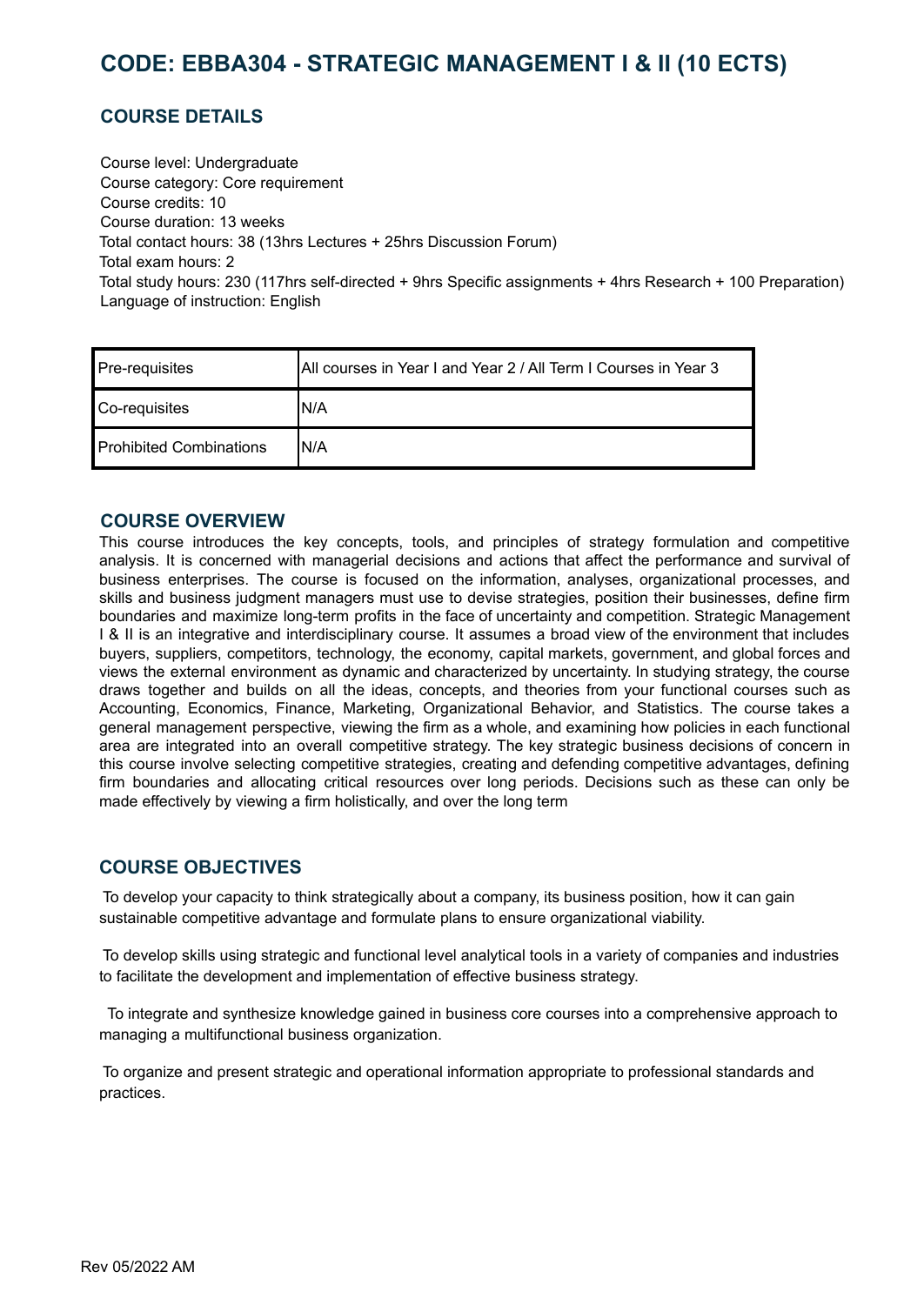# <span id="page-35-0"></span>**CODE: EBBA304 - STRATEGIC MANAGEMENT I & II (10 ECTS)**

# **COURSE DETAILS**

Course level: Undergraduate Course category: Core requirement Course credits: 10 Course duration: 13 weeks Total contact hours: 38 (13hrs Lectures + 25hrs Discussion Forum) Total exam hours: 2 Total study hours: 230 (117hrs self-directed + 9hrs Specific assignments + 4hrs Research + 100 Preparation) Language of instruction: English

| Pre-requisites                 | All courses in Year I and Year 2 / All Term I Courses in Year 3 |
|--------------------------------|-----------------------------------------------------------------|
| Co-requisites                  | IN/A                                                            |
| <b>Prohibited Combinations</b> | 'N/A                                                            |

#### **COURSE OVERVIEW**

This course introduces the key concepts, tools, and principles of strategy formulation and competitive analysis. It is concerned with managerial decisions and actions that affect the performance and survival of business enterprises. The course is focused on the information, analyses, organizational processes, and skills and business judgment managers must use to devise strategies, position their businesses, define firm boundaries and maximize long-term profits in the face of uncertainty and competition. Strategic Management I & II is an integrative and interdisciplinary course. It assumes a broad view of the environment that includes buyers, suppliers, competitors, technology, the economy, capital markets, government, and global forces and views the external environment as dynamic and characterized by uncertainty. In studying strategy, the course draws together and builds on all the ideas, concepts, and theories from your functional courses such as Accounting, Economics, Finance, Marketing, Organizational Behavior, and Statistics. The course takes a general management perspective, viewing the firm as a whole, and examining how policies in each functional area are integrated into an overall competitive strategy. The key strategic business decisions of concern in this course involve selecting competitive strategies, creating and defending competitive advantages, defining firm boundaries and allocating critical resources over long periods. Decisions such as these can only be made effectively by viewing a firm holistically, and over the long term

#### **COURSE OBJECTIVES**

To develop your capacity to think strategically about a company, its business position, how it can gain sustainable competitive advantage and formulate plans to ensure organizational viability.

To develop skills using strategic and functional level analytical tools in a variety of companies and industries to facilitate the development and implementation of effective business strategy.

To integrate and synthesize knowledge gained in business core courses into a comprehensive approach to managing a multifunctional business organization.

To organize and present strategic and operational information appropriate to professional standards and practices.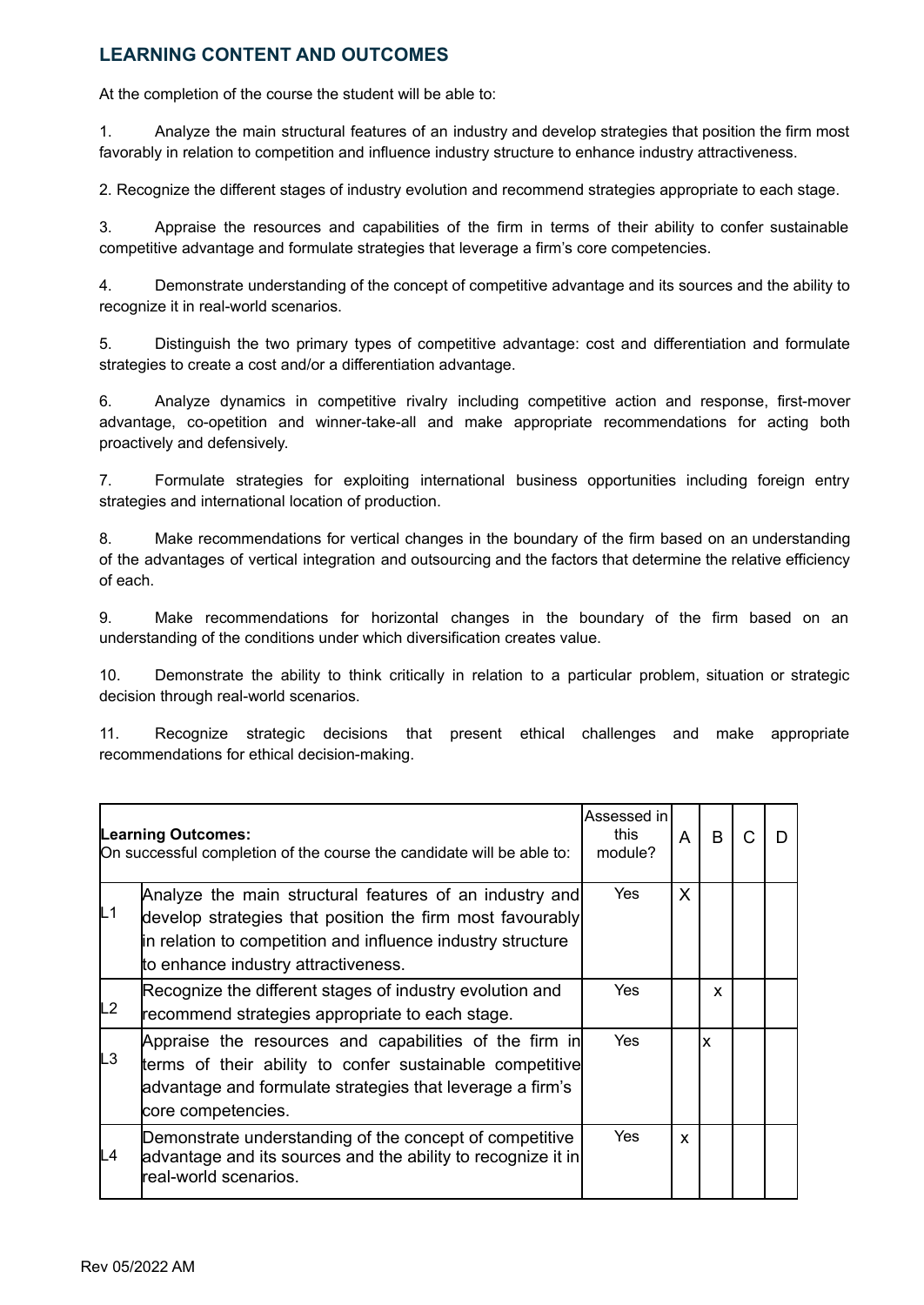### **LEARNING CONTENT AND OUTCOMES**

At the completion of the course the student will be able to:

1. Analyze the main structural features of an industry and develop strategies that position the firm most favorably in relation to competition and influence industry structure to enhance industry attractiveness.

2. Recognize the different stages of industry evolution and recommend strategies appropriate to each stage.

3. Appraise the resources and capabilities of the firm in terms of their ability to confer sustainable competitive advantage and formulate strategies that leverage a firm's core competencies.

4. Demonstrate understanding of the concept of competitive advantage and its sources and the ability to recognize it in real-world scenarios.

5. Distinguish the two primary types of competitive advantage: cost and differentiation and formulate strategies to create a cost and/or a differentiation advantage.

6. Analyze dynamics in competitive rivalry including competitive action and response, first-mover advantage, co-opetition and winner-take-all and make appropriate recommendations for acting both proactively and defensively.

7. Formulate strategies for exploiting international business opportunities including foreign entry strategies and international location of production.

8. Make recommendations for vertical changes in the boundary of the firm based on an understanding of the advantages of vertical integration and outsourcing and the factors that determine the relative efficiency of each.

9. Make recommendations for horizontal changes in the boundary of the firm based on an understanding of the conditions under which diversification creates value.

10. Demonstrate the ability to think critically in relation to a particular problem, situation or strategic decision through real-world scenarios.

11. Recognize strategic decisions that present ethical challenges and make appropriate recommendations for ethical decision-making.

|                | <b>Learning Outcomes:</b><br>On successful completion of the course the candidate will be able to:                                                                                                                         |     | A | B | C |  |
|----------------|----------------------------------------------------------------------------------------------------------------------------------------------------------------------------------------------------------------------------|-----|---|---|---|--|
| L1             | Analyze the main structural features of an industry and<br>develop strategies that position the firm most favourably<br>in relation to competition and influence industry structure<br>to enhance industry attractiveness. | Yes | X |   |   |  |
| L <sub>2</sub> | Recognize the different stages of industry evolution and<br>recommend strategies appropriate to each stage.                                                                                                                | Yes |   | x |   |  |
| L <sub>3</sub> | Appraise the resources and capabilities of the firm in<br>terms of their ability to confer sustainable competitive<br>advantage and formulate strategies that leverage a firm's<br>core competencies.                      | Yes |   | X |   |  |
| L4             | Demonstrate understanding of the concept of competitive<br>advantage and its sources and the ability to recognize it in<br>real-world scenarios.                                                                           | Yes | X |   |   |  |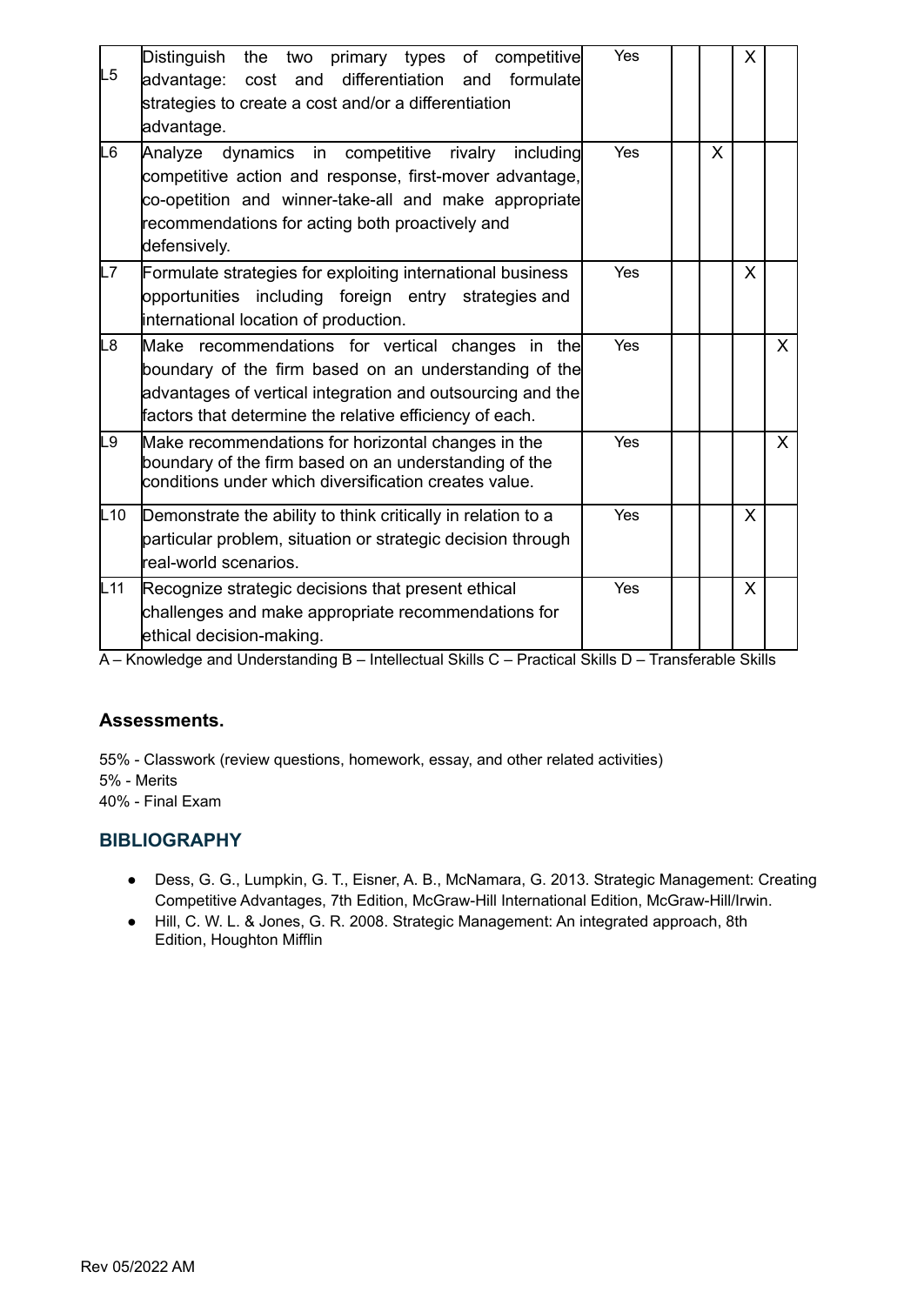| L5     | Distinguish<br>the two primary types of competitive<br>advantage: cost and differentiation and<br>formulatel<br>strategies to create a cost and/or a differentiation<br>advantage.                                                       | Yes |   | X |              |
|--------|------------------------------------------------------------------------------------------------------------------------------------------------------------------------------------------------------------------------------------------|-----|---|---|--------------|
| L6     | Analyze dynamics in competitive rivalry including<br>competitive action and response, first-mover advantage,<br>co-opetition and winner-take-all and make appropriate<br>recommendations for acting both proactively and<br>defensively. | Yes | X |   |              |
| L7     | Formulate strategies for exploiting international business<br>opportunities including foreign entry strategies and<br>international location of production.                                                                              | Yes |   | X |              |
| L8     | Make recommendations for vertical changes in the<br>boundary of the firm based on an understanding of the<br>advantages of vertical integration and outsourcing and the<br>factors that determine the relative efficiency of each.       | Yes |   |   | $\mathsf{X}$ |
| L9     | Make recommendations for horizontal changes in the<br>boundary of the firm based on an understanding of the<br>conditions under which diversification creates value.                                                                     | Yes |   |   | X            |
| L10    | Demonstrate the ability to think critically in relation to a<br>particular problem, situation or strategic decision through<br>lreal-world scenarios.                                                                                    | Yes |   | X |              |
| $L$ 11 | Recognize strategic decisions that present ethical<br>challenges and make appropriate recommendations for<br>ethical decision-making.                                                                                                    | Yes |   | X |              |

#### **Assessments.**

55% - Classwork (review questions, homework, essay, and other related activities) 5% - Merits 40% - Final Exam

#### **BIBLIOGRAPHY**

- Dess, G. G., Lumpkin, G. T., Eisner, A. B., McNamara, G. 2013. Strategic Management: Creating Competitive Advantages, 7th Edition, McGraw-Hill International Edition, McGraw-Hill/Irwin.
- Hill, C. W. L. & Jones, G. R. 2008. Strategic Management: An integrated approach, 8th Edition, Houghton Mifflin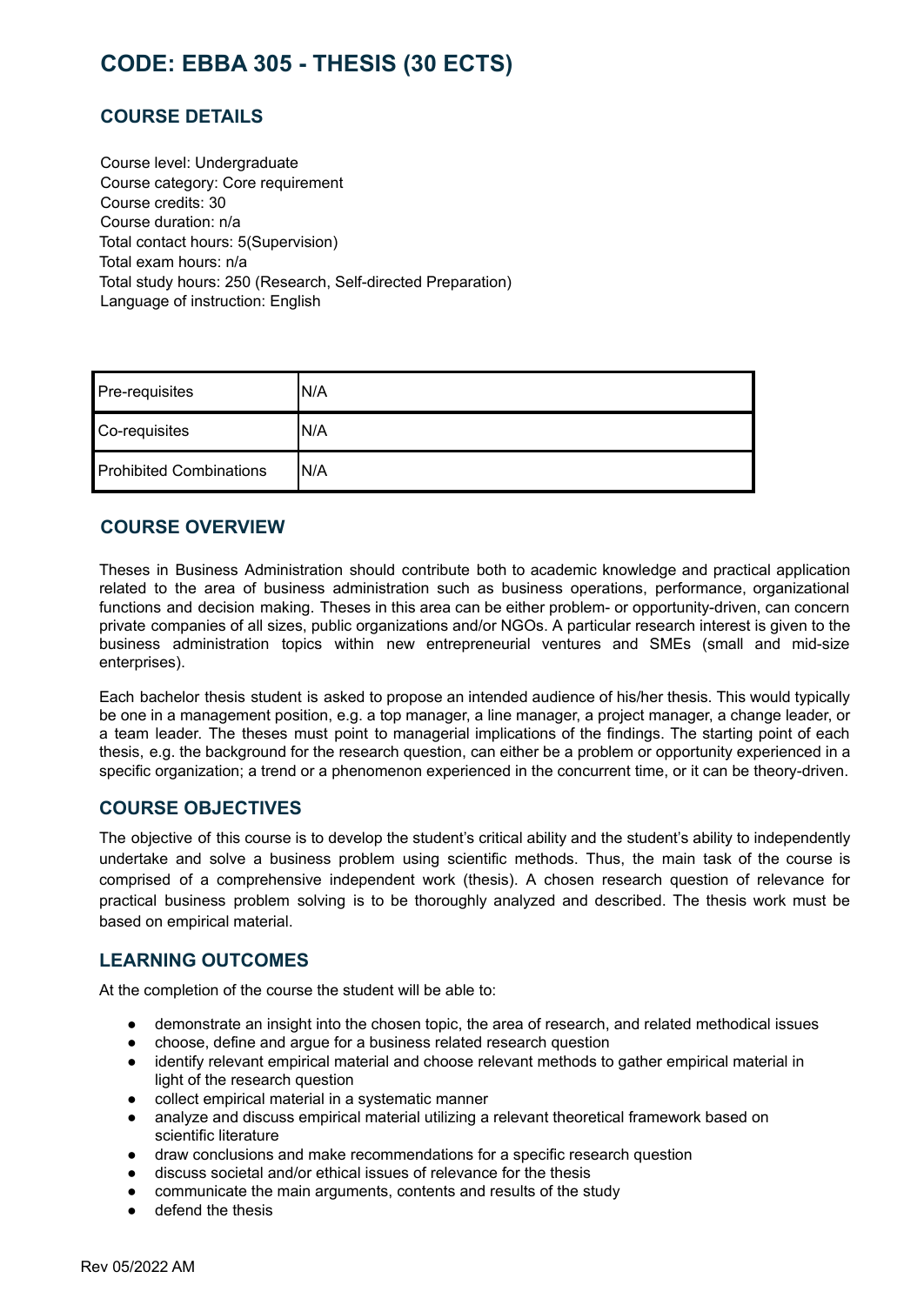# <span id="page-38-0"></span>**CODE: EBBA 305 - THESIS (30 ECTS)**

# **COURSE DETAILS**

Course level: Undergraduate Course category: Core requirement Course credits: 30 Course duration: n/a Total contact hours: 5(Supervision) Total exam hours: n/a Total study hours: 250 (Research, Self-directed Preparation) Language of instruction: English

| Pre-requisites                 | IN/A |
|--------------------------------|------|
| Co-requisites                  | IN/A |
| <b>Prohibited Combinations</b> | IN/A |

#### **COURSE OVERVIEW**

Theses in Business Administration should contribute both to academic knowledge and practical application related to the area of business administration such as business operations, performance, organizational functions and decision making. Theses in this area can be either problem- or opportunity-driven, can concern private companies of all sizes, public organizations and/or NGOs. A particular research interest is given to the business administration topics within new entrepreneurial ventures and SMEs (small and mid-size enterprises).

Each bachelor thesis student is asked to propose an intended audience of his/her thesis. This would typically be one in a management position, e.g. a top manager, a line manager, a project manager, a change leader, or a team leader. The theses must point to managerial implications of the findings. The starting point of each thesis, e.g. the background for the research question, can either be a problem or opportunity experienced in a specific organization; a trend or a phenomenon experienced in the concurrent time, or it can be theory-driven.

#### **COURSE OBJECTIVES**

The objective of this course is to develop the student's critical ability and the student's ability to independently undertake and solve a business problem using scientific methods. Thus, the main task of the course is comprised of a comprehensive independent work (thesis). A chosen research question of relevance for practical business problem solving is to be thoroughly analyzed and described. The thesis work must be based on empirical material.

#### **LEARNING OUTCOMES**

At the completion of the course the student will be able to:

- demonstrate an insight into the chosen topic, the area of research, and related methodical issues
- choose, define and argue for a business related research question
- identify relevant empirical material and choose relevant methods to gather empirical material in light of the research question
- collect empirical material in a systematic manner
- analyze and discuss empirical material utilizing a relevant theoretical framework based on scientific literature
- draw conclusions and make recommendations for a specific research question
- discuss societal and/or ethical issues of relevance for the thesis
- communicate the main arguments, contents and results of the study
- defend the thesis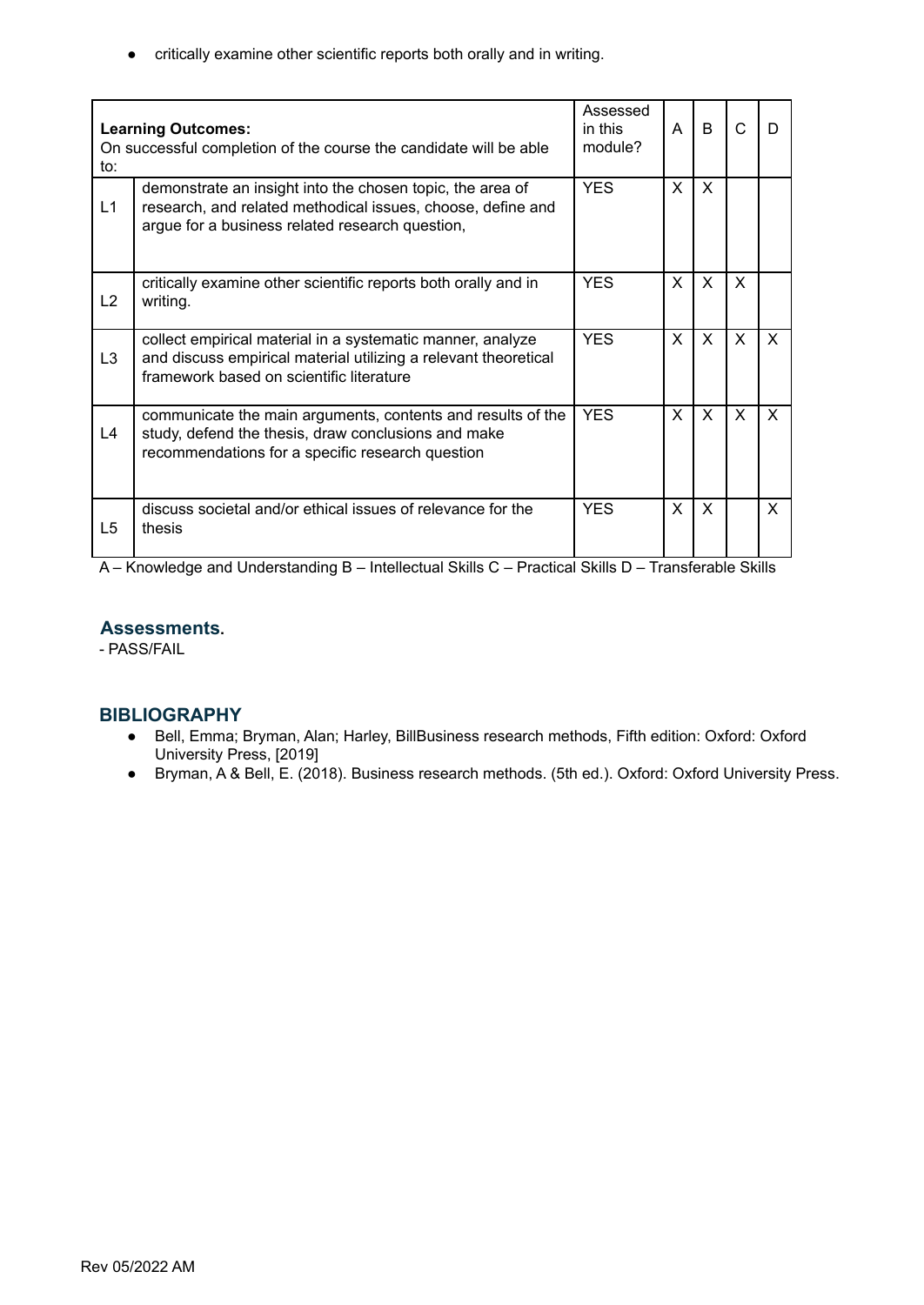● critically examine other scientific reports both orally and in writing.

| to:            | <b>Learning Outcomes:</b><br>On successful completion of the course the candidate will be able                                                                              | Assessed<br>in this<br>module? | A        | B            | C            | D            |
|----------------|-----------------------------------------------------------------------------------------------------------------------------------------------------------------------------|--------------------------------|----------|--------------|--------------|--------------|
| L1             | demonstrate an insight into the chosen topic, the area of<br>research, and related methodical issues, choose, define and<br>argue for a business related research question, | <b>YES</b>                     | X        | $\times$     |              |              |
| L2             | critically examine other scientific reports both orally and in<br>writing.                                                                                                  | <b>YES</b>                     | X        | $\mathsf{X}$ | $\mathsf{x}$ |              |
| L <sub>3</sub> | collect empirical material in a systematic manner, analyze<br>and discuss empirical material utilizing a relevant theoretical<br>framework based on scientific literature   | <b>YES</b>                     | <b>X</b> | $\mathsf{X}$ | $\mathsf{X}$ | $\mathsf{X}$ |
| L4             | communicate the main arguments, contents and results of the<br>study, defend the thesis, draw conclusions and make<br>recommendations for a specific research question      | <b>YES</b>                     | X.       | $\mathsf{X}$ | $\times$     | X            |
| L5             | discuss societal and/or ethical issues of relevance for the<br>thesis                                                                                                       | <b>YES</b>                     | X        | $\times$     |              | X            |

A – Knowledge and Understanding B – Intellectual Skills C – Practical Skills D – Transferable Skills

#### **Assessments.**

- PASS/FAIL

#### **BIBLIOGRAPHY**

- Bell, Emma; Bryman, Alan; Harley, BillBusiness research methods, Fifth edition: Oxford: Oxford University Press, [2019]
- Bryman, A & Bell, E. (2018). Business research methods. (5th ed.). Oxford: Oxford University Press.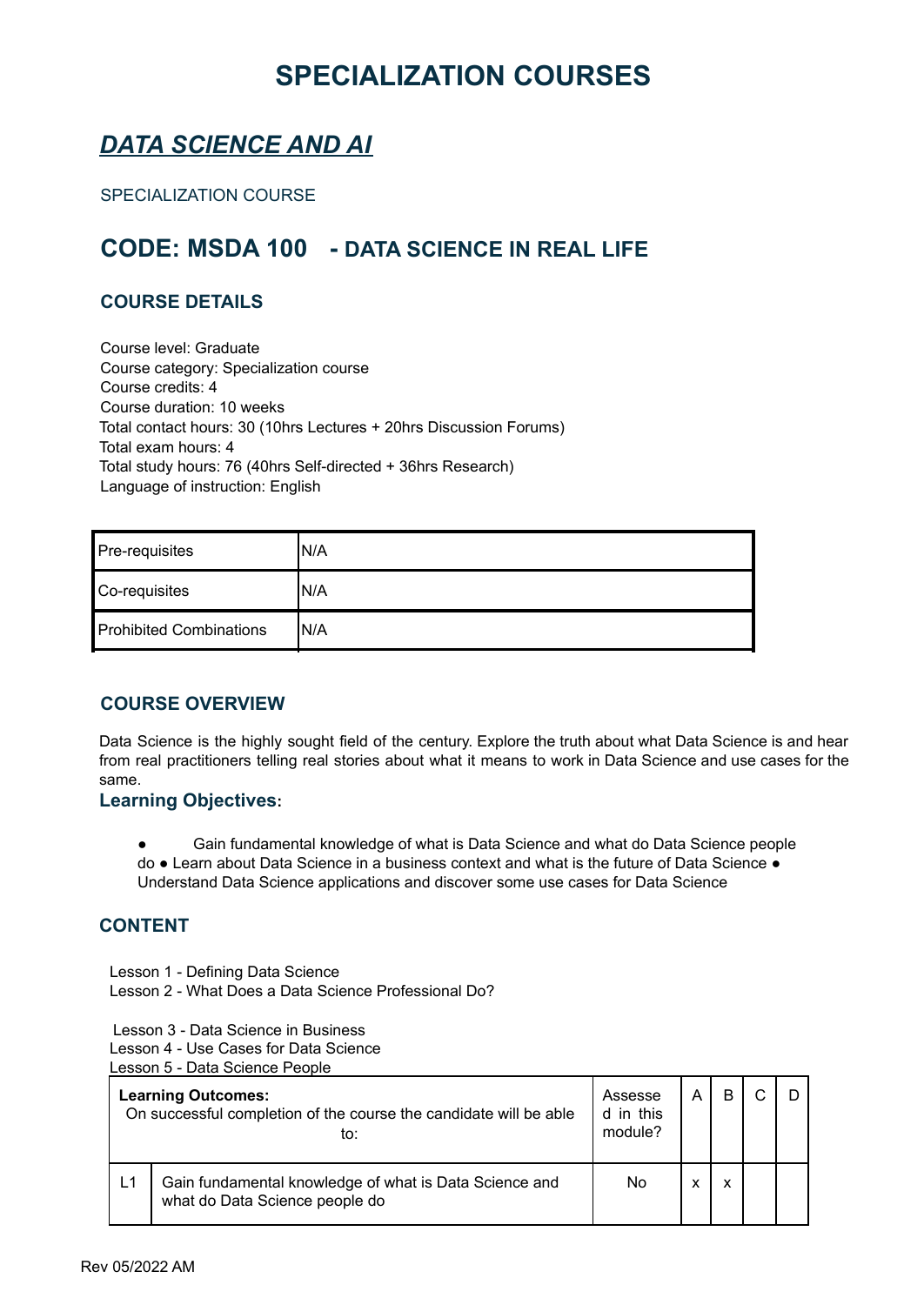# **SPECIALIZATION COURSES**

# <span id="page-40-1"></span><span id="page-40-0"></span>*DATA SCIENCE AND AI*

SPECIALIZATION COURSE

# **CODE: MSDA 100 - DATA SCIENCE IN REAL LIFE**

### **COURSE DETAILS**

Course level: Graduate Course category: Specialization course Course credits: 4 Course duration: 10 weeks Total contact hours: 30 (10hrs Lectures + 20hrs Discussion Forums) Total exam hours: 4 Total study hours: 76 (40hrs Self-directed + 36hrs Research) Language of instruction: English

| Pre-requisites                 | 'N/A |
|--------------------------------|------|
| Co-requisites                  | N/A  |
| <b>Prohibited Combinations</b> | 'N/A |

# **COURSE OVERVIEW**

Data Science is the highly sought field of the century. Explore the truth about what Data Science is and hear from real practitioners telling real stories about what it means to work in Data Science and use cases for the same.

#### **Learning Objectives:**

- Gain fundamental knowledge of what is Data Science and what do Data Science people
- do Learn about Data Science in a business context and what is the future of Data Science Understand Data Science applications and discover some use cases for Data Science

#### **CONTENT**

Lesson 1 - Defining Data Science Lesson 2 - What Does a Data Science Professional Do?

Lesson 3 - Data Science in Business

Lesson 4 - Use Cases for Data Science

Lesson 5 - Data Science People

|    | <b>Learning Outcomes:</b><br>On successful completion of the course the candidate will be able<br>to: |    | А | B |  |
|----|-------------------------------------------------------------------------------------------------------|----|---|---|--|
| L1 | Gain fundamental knowledge of what is Data Science and<br>what do Data Science people do              | No | x | x |  |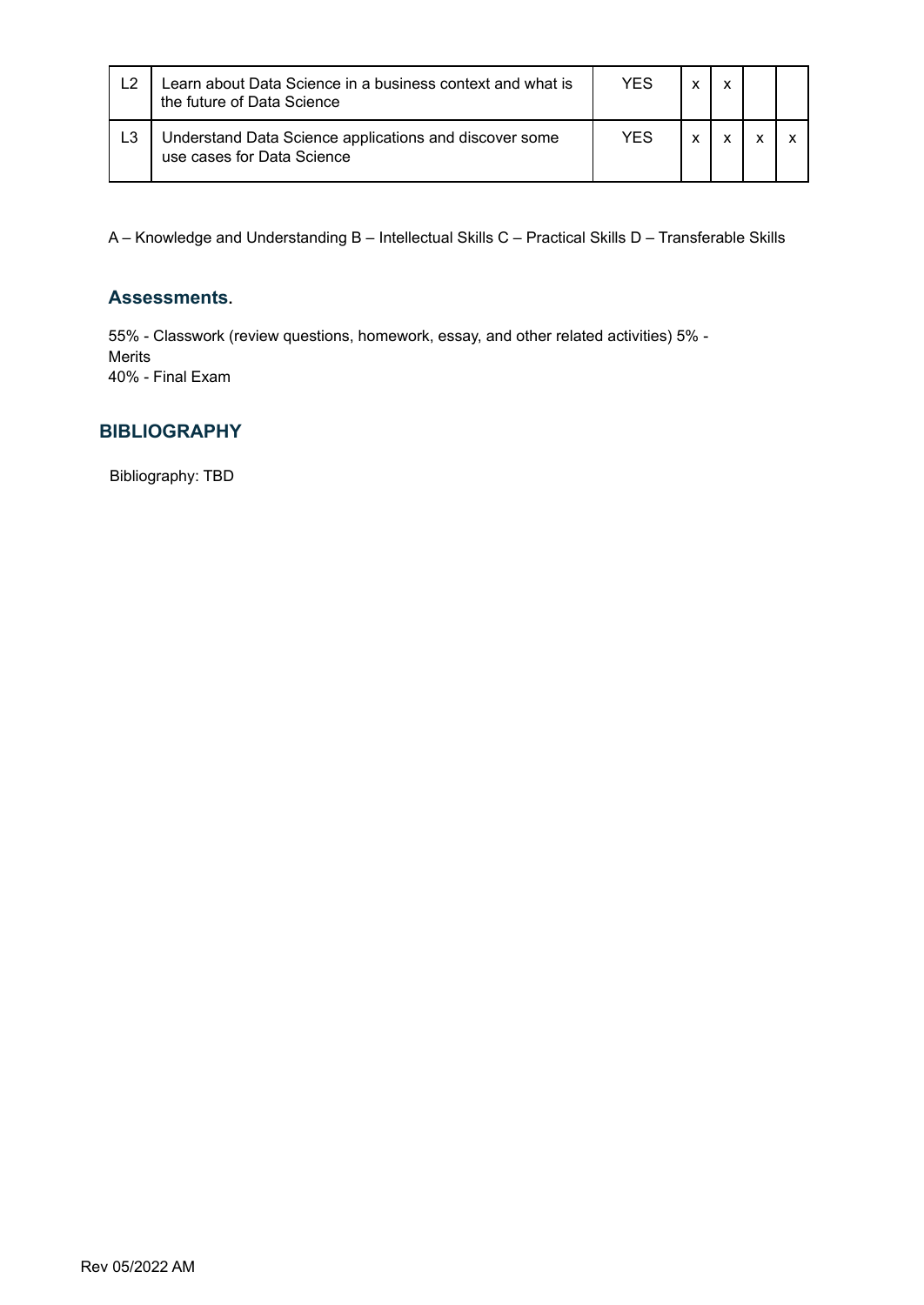| L <sub>2</sub> | Learn about Data Science in a business context and what is<br>the future of Data Science | YFS | x |  |
|----------------|------------------------------------------------------------------------------------------|-----|---|--|
| L <sub>3</sub> | Understand Data Science applications and discover some<br>use cases for Data Science     | YES | v |  |

#### **Assessments.**

55% - Classwork (review questions, homework, essay, and other related activities) 5% - Merits 40% - Final Exam

#### **BIBLIOGRAPHY**

Bibliography: TBD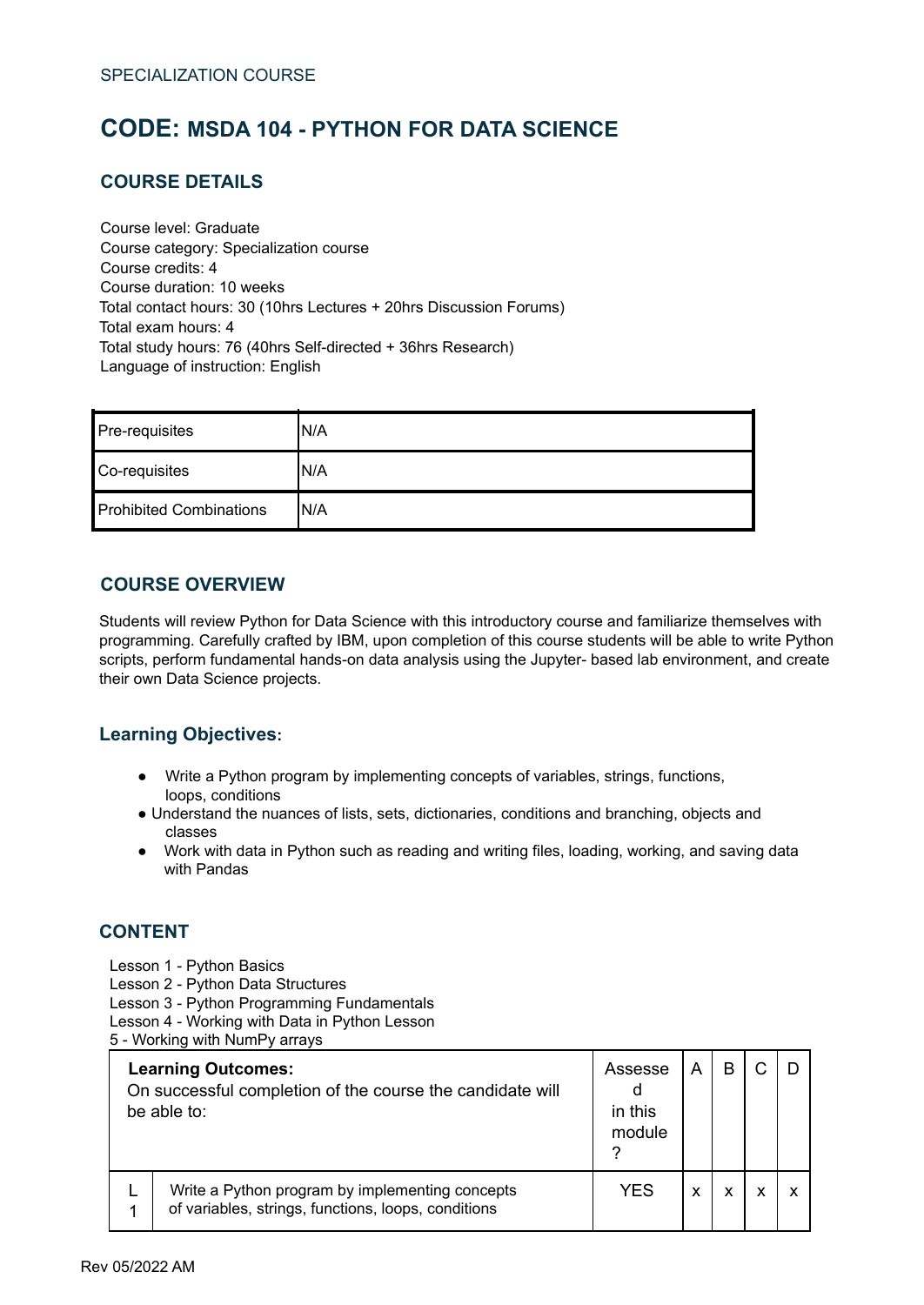# <span id="page-42-0"></span>**CODE: MSDA 104 - PYTHON FOR DATA SCIENCE**

# **COURSE DETAILS**

Course level: Graduate Course category: Specialization course Course credits: 4 Course duration: 10 weeks Total contact hours: 30 (10hrs Lectures + 20hrs Discussion Forums) Total exam hours: 4 Total study hours: 76 (40hrs Self-directed + 36hrs Research) Language of instruction: English

| Pre-requisites                 | N/A  |
|--------------------------------|------|
| Co-requisites                  | IN/A |
| <b>Prohibited Combinations</b> | IN/A |

#### **COURSE OVERVIEW**

Students will review Python for Data Science with this introductory course and familiarize themselves with programming. Carefully crafted by IBM, upon completion of this course students will be able to write Python scripts, perform fundamental hands-on data analysis using the Jupyter- based lab environment, and create their own Data Science projects.

#### **Learning Objectives:**

- Write a Python program by implementing concepts of variables, strings, functions, loops, conditions
- Understand the nuances of lists, sets, dictionaries, conditions and branching, objects and classes
- Work with data in Python such as reading and writing files, loading, working, and saving data with Pandas

#### **CONTENT**

- Lesson 1 Python Basics
- Lesson 2 Python Data Structures
- Lesson 3 Python Programming Fundamentals
- Lesson 4 Working with Data in Python Lesson
- 5 Working with NumPy arrays

| <b>Learning Outcomes:</b><br>On successful completion of the course the candidate will<br>be able to: |                                                                                                        | Assesse<br>in this<br>module | A |   |  |
|-------------------------------------------------------------------------------------------------------|--------------------------------------------------------------------------------------------------------|------------------------------|---|---|--|
|                                                                                                       | Write a Python program by implementing concepts<br>of variables, strings, functions, loops, conditions | <b>YES</b>                   | x | x |  |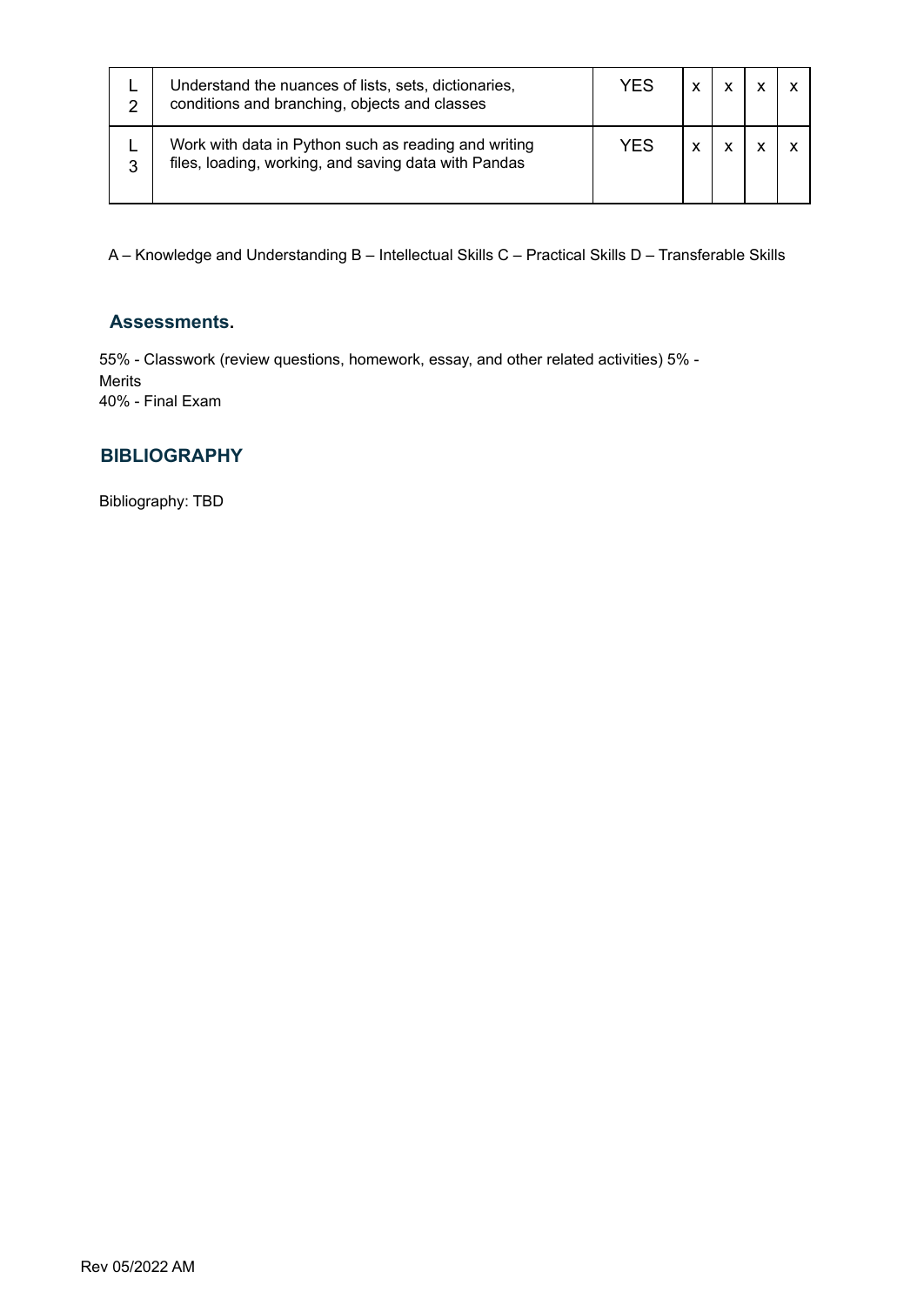| 2 | Understand the nuances of lists, sets, dictionaries,<br>conditions and branching, objects and classes        | YES | ν |  |  |
|---|--------------------------------------------------------------------------------------------------------------|-----|---|--|--|
| 3 | Work with data in Python such as reading and writing<br>files, loading, working, and saving data with Pandas | YES | v |  |  |

#### **Assessments.**

55% - Classwork (review questions, homework, essay, and other related activities) 5% - Merits 40% - Final Exam

#### **BIBLIOGRAPHY**

Bibliography: TBD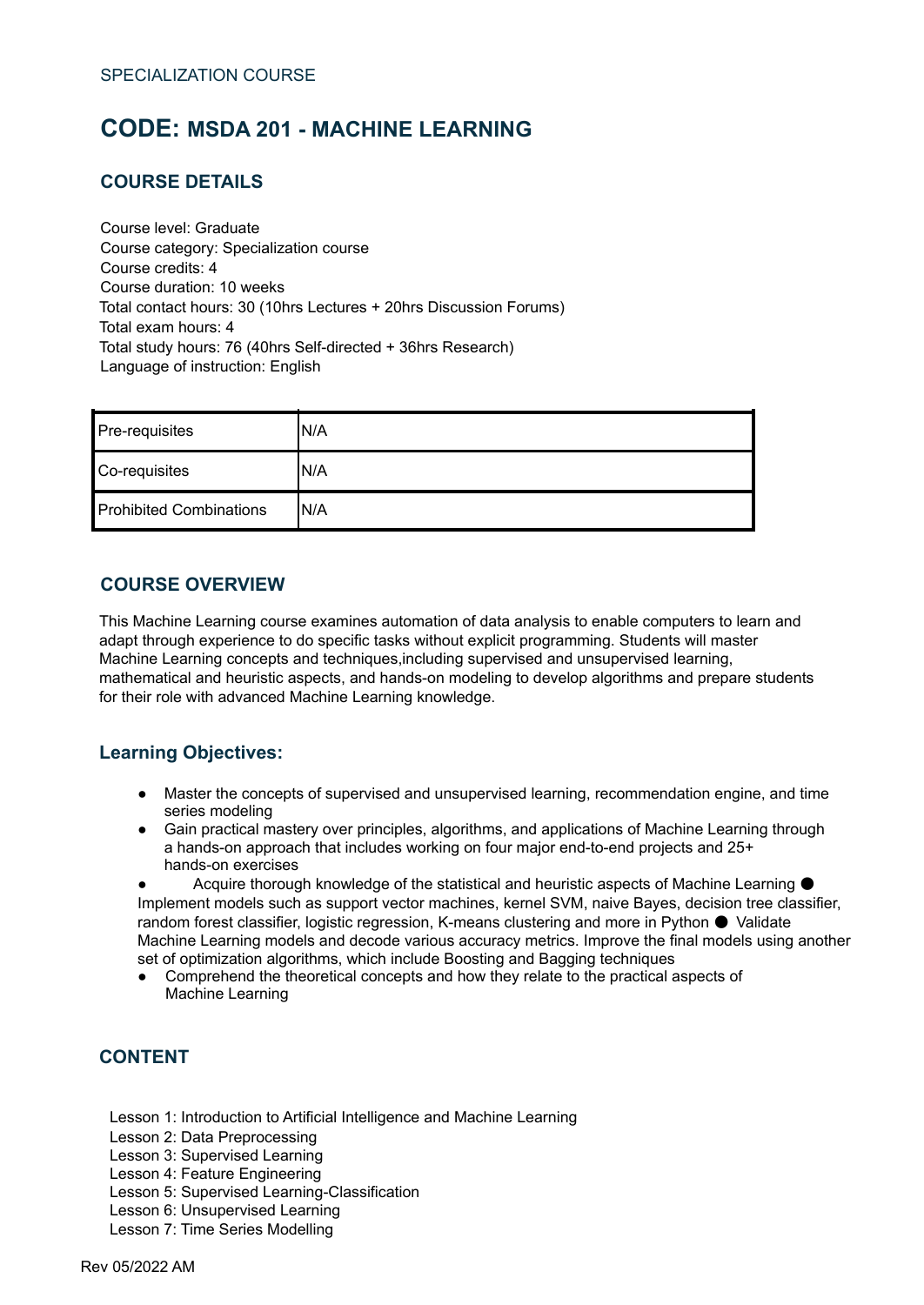# <span id="page-44-0"></span>**CODE: MSDA 201 - MACHINE LEARNING**

# **COURSE DETAILS**

Course level: Graduate Course category: Specialization course Course credits: 4 Course duration: 10 weeks Total contact hours: 30 (10hrs Lectures + 20hrs Discussion Forums) Total exam hours: 4 Total study hours: 76 (40hrs Self-directed + 36hrs Research) Language of instruction: English

| Pre-requisites                 | N/A  |
|--------------------------------|------|
| Co-requisites                  | IN/A |
| <b>Prohibited Combinations</b> | IN/A |

#### **COURSE OVERVIEW**

This Machine Learning course examines automation of data analysis to enable computers to learn and adapt through experience to do specific tasks without explicit programming. Students will master Machine Learning concepts and techniques,including supervised and unsupervised learning, mathematical and heuristic aspects, and hands-on modeling to develop algorithms and prepare students for their role with advanced Machine Learning knowledge.

# **Learning Objectives:**

- Master the concepts of supervised and unsupervised learning, recommendation engine, and time series modeling
- Gain practical mastery over principles, algorithms, and applications of Machine Learning through a hands-on approach that includes working on four major end-to-end projects and 25+ hands-on exercises

Acquire thorough knowledge of the statistical and heuristic aspects of Machine Learning Implement models such as support vector machines, kernel SVM, naive Bayes, decision tree classifier, random forest classifier, logistic regression, K-means clustering and more in Python ● Validate Machine Learning models and decode various accuracy metrics. Improve the final models using another set of optimization algorithms, which include Boosting and Bagging techniques

● Comprehend the theoretical concepts and how they relate to the practical aspects of Machine Learning

# **CONTENT**

- Lesson 1: Introduction to Artificial Intelligence and Machine Learning
- Lesson 2: Data Preprocessing
- Lesson 3: Supervised Learning
- Lesson 4: Feature Engineering
- Lesson 5: Supervised Learning-Classification
- Lesson 6: Unsupervised Learning
- Lesson 7: Time Series Modelling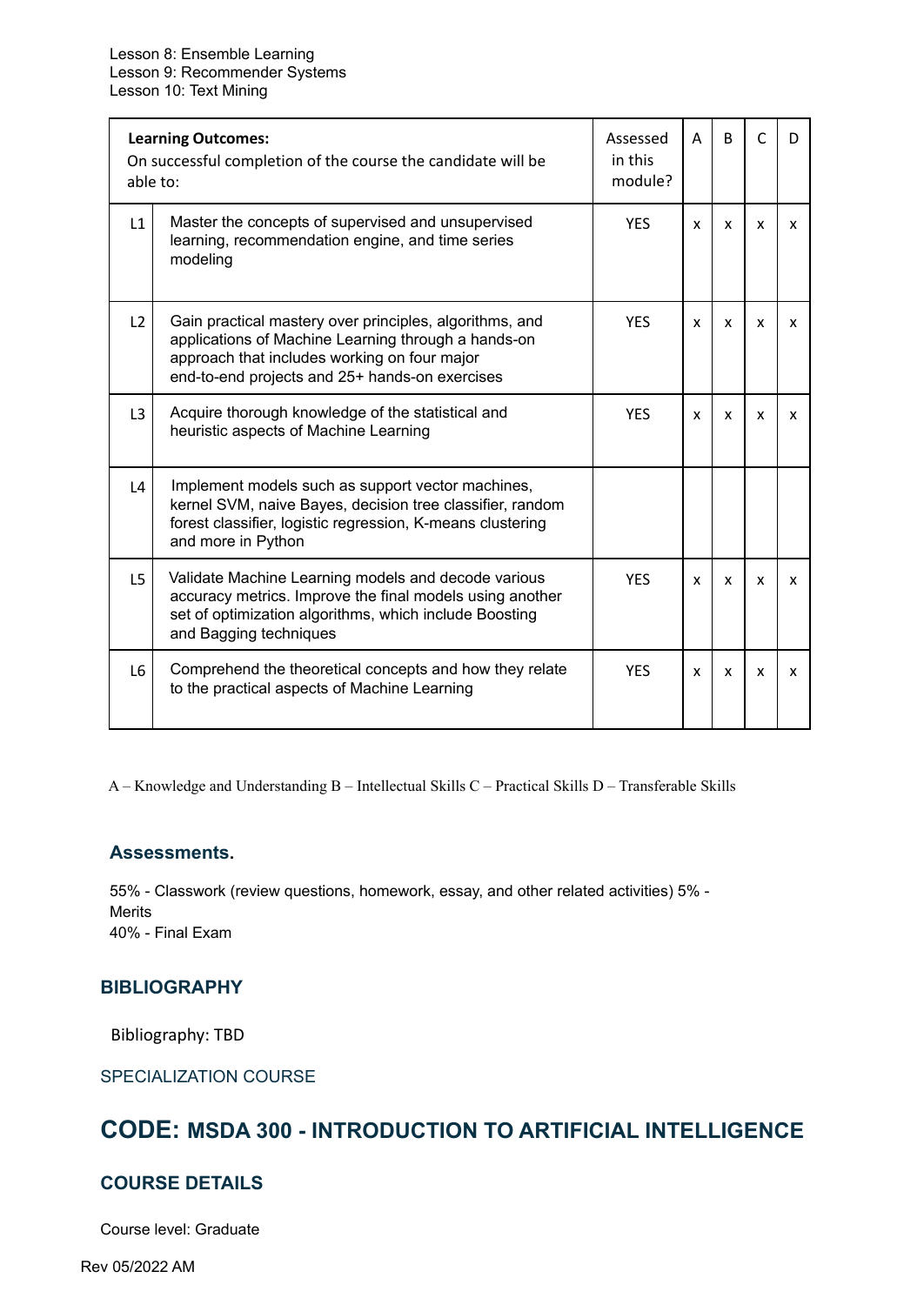| <b>Learning Outcomes:</b><br>On successful completion of the course the candidate will be<br>able to: |                                                                                                                                                                                                                  | Assessed<br>in this<br>module? | A            | <sub>B</sub> | C | D            |
|-------------------------------------------------------------------------------------------------------|------------------------------------------------------------------------------------------------------------------------------------------------------------------------------------------------------------------|--------------------------------|--------------|--------------|---|--------------|
| L1                                                                                                    | Master the concepts of supervised and unsupervised<br>learning, recommendation engine, and time series<br>modeling                                                                                               | <b>YFS</b>                     | x            | X            | x | x            |
| L2                                                                                                    | Gain practical mastery over principles, algorithms, and<br>applications of Machine Learning through a hands-on<br>approach that includes working on four major<br>end-to-end projects and 25+ hands-on exercises | <b>YES</b>                     | $\mathsf{x}$ | x            | x | x            |
| L <sub>3</sub>                                                                                        | Acquire thorough knowledge of the statistical and<br>heuristic aspects of Machine Learning                                                                                                                       | <b>YFS</b>                     | x            | x            | x | x            |
| $\lfloor 4 \rfloor$                                                                                   | Implement models such as support vector machines,<br>kernel SVM, naive Bayes, decision tree classifier, random<br>forest classifier, logistic regression, K-means clustering<br>and more in Python               |                                |              |              |   |              |
| L5                                                                                                    | Validate Machine Learning models and decode various<br>accuracy metrics. Improve the final models using another<br>set of optimization algorithms, which include Boosting<br>and Bagging techniques              | <b>YES</b>                     | x            | x            | x | x            |
| L <sub>6</sub>                                                                                        | Comprehend the theoretical concepts and how they relate<br>to the practical aspects of Machine Learning                                                                                                          | <b>YES</b>                     | x            | X            | x | $\mathsf{x}$ |

#### **Assessments.**

55% - Classwork (review questions, homework, essay, and other related activities) 5% - **Merits** 40% - Final Exam

#### **BIBLIOGRAPHY**

Bibliography: TBD

SPECIALIZATION COURSE

# <span id="page-45-0"></span>**CODE: MSDA 300 - INTRODUCTION TO ARTIFICIAL INTELLIGENCE**

### **COURSE DETAILS**

Course level: Graduate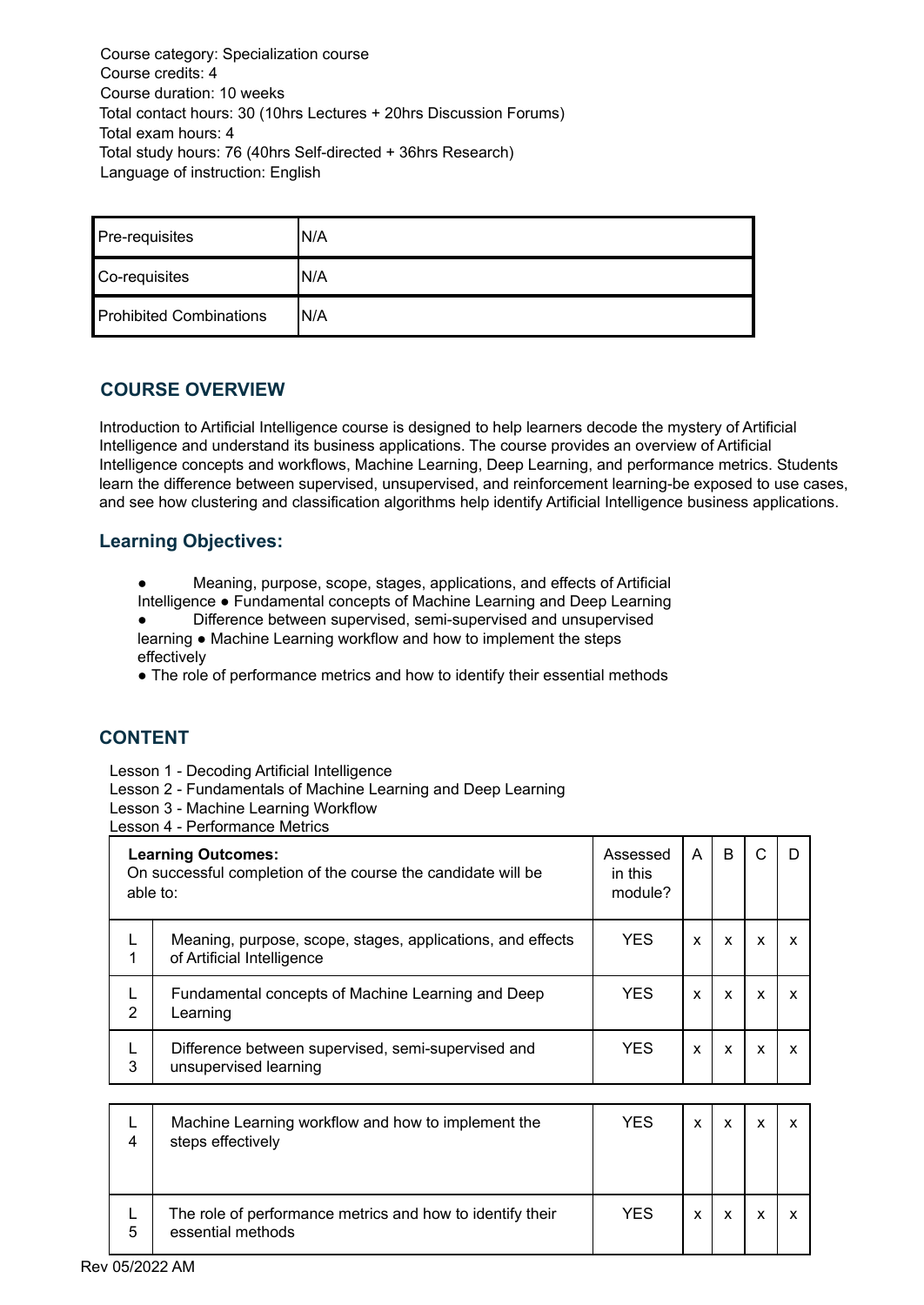Course category: Specialization course Course credits: 4 Course duration: 10 weeks Total contact hours: 30 (10hrs Lectures + 20hrs Discussion Forums) Total exam hours: 4 Total study hours: 76 (40hrs Self-directed + 36hrs Research) Language of instruction: English

| Pre-requisites                 | IN/A |
|--------------------------------|------|
| Co-requisites                  | N/A  |
| <b>Prohibited Combinations</b> | IN/A |

### **COURSE OVERVIEW**

Introduction to Artificial Intelligence course is designed to help learners decode the mystery of Artificial Intelligence and understand its business applications. The course provides an overview of Artificial Intelligence concepts and workflows, Machine Learning, Deep Learning, and performance metrics. Students learn the difference between supervised, unsupervised, and reinforcement learning-be exposed to use cases, and see how clustering and classification algorithms help identify Artificial Intelligence business applications.

#### **Learning Objectives:**

Meaning, purpose, scope, stages, applications, and effects of Artificial

Intelligence ● Fundamental concepts of Machine Learning and Deep Learning ● Difference between supervised, semi-supervised and unsupervised learning ● Machine Learning workflow and how to implement the steps

effectively

• The role of performance metrics and how to identify their essential methods

# **CONTENT**

Lesson 1 - Decoding Artificial Intelligence

Lesson 2 - Fundamentals of Machine Learning and Deep Learning

Lesson 3 - Machine Learning Workflow

Lesson 4 - Performance Metrics

| <b>Learning Outcomes:</b><br>On successful completion of the course the candidate will be<br>able to: |                                                                                          | Assessed<br>in this<br>module? | A | в |   |   |
|-------------------------------------------------------------------------------------------------------|------------------------------------------------------------------------------------------|--------------------------------|---|---|---|---|
|                                                                                                       | Meaning, purpose, scope, stages, applications, and effects<br>of Artificial Intelligence | <b>YES</b>                     | X | X | X | x |
| $\overline{2}$                                                                                        | Fundamental concepts of Machine Learning and Deep<br>Learning                            | <b>YES</b>                     | x | X | X | X |
| 3                                                                                                     | Difference between supervised, semi-supervised and<br>unsupervised learning              | <b>YES</b>                     | X | x | x | x |

| 4 | Machine Learning workflow and how to implement the<br>steps effectively        | <b>YES</b> | x |  |  |
|---|--------------------------------------------------------------------------------|------------|---|--|--|
| 5 | The role of performance metrics and how to identify their<br>essential methods | <b>YES</b> | x |  |  |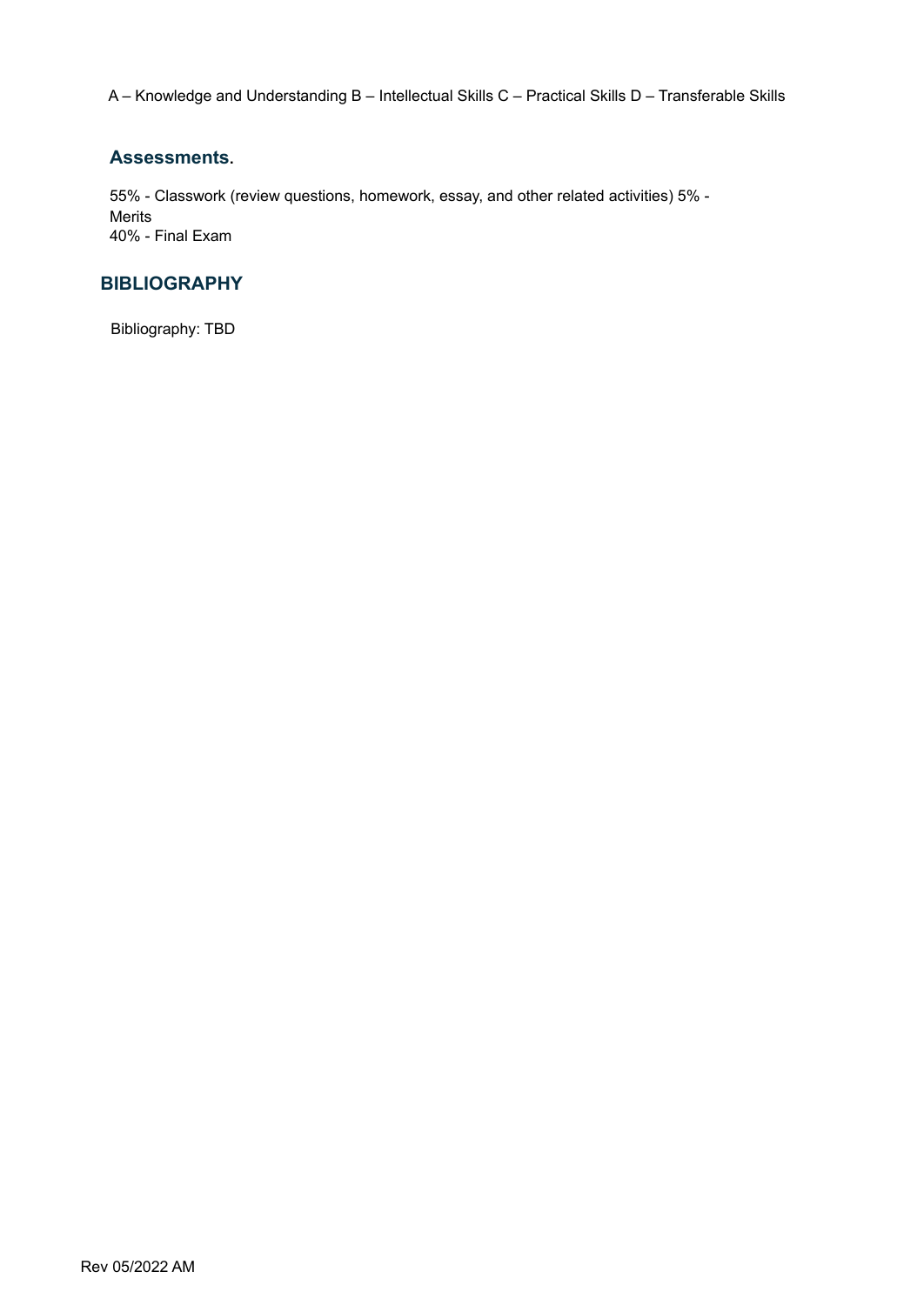#### **Assessments.**

55% - Classwork (review questions, homework, essay, and other related activities) 5% - Merits 40% - Final Exam

# **BIBLIOGRAPHY**

Bibliography: TBD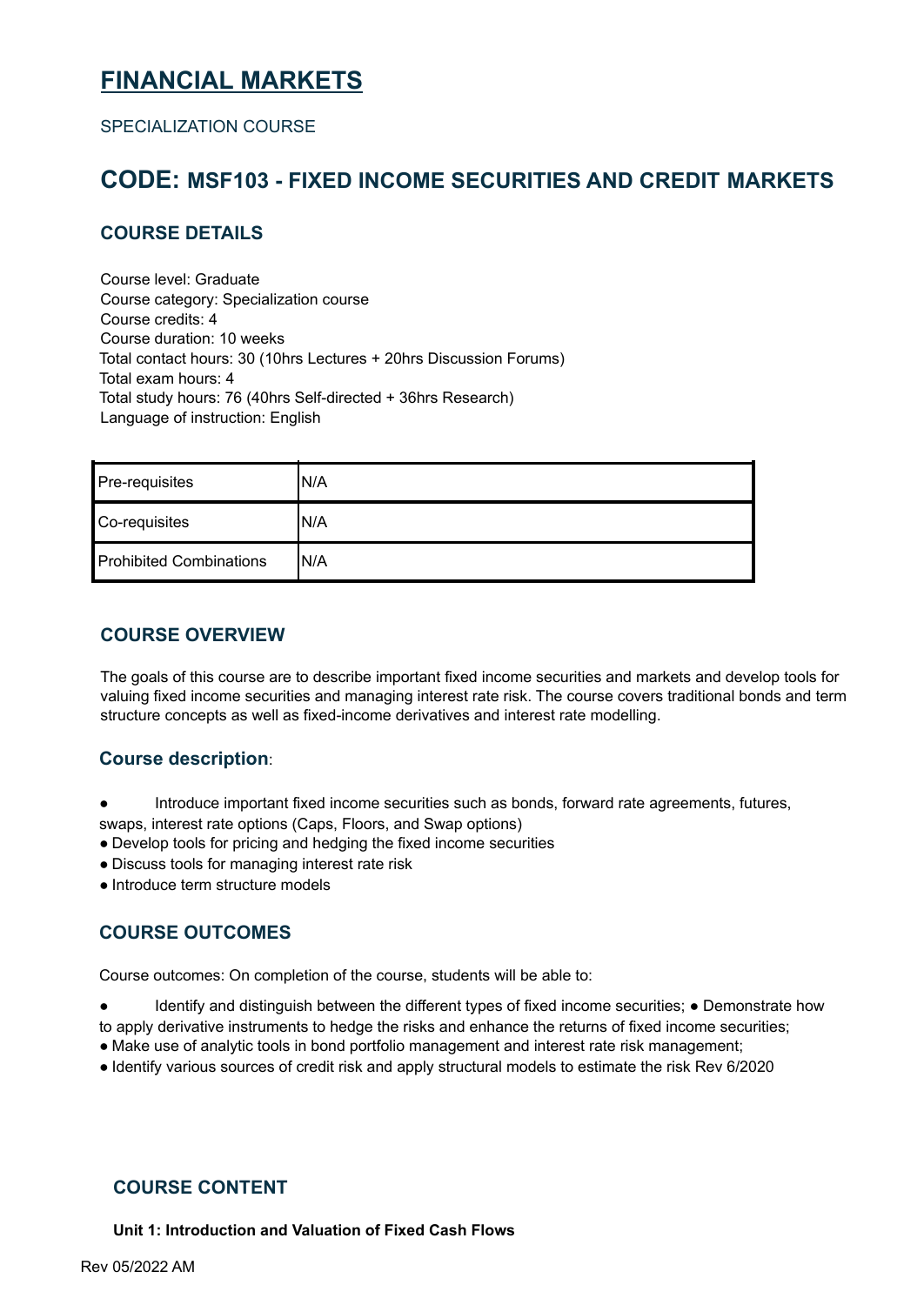# <span id="page-49-0"></span>**FINANCIAL MARKETS**

SPECIALIZATION COURSE

# <span id="page-49-1"></span>**CODE: MSF103 - FIXED INCOME SECURITIES AND CREDIT MARKETS**

# **COURSE DETAILS**

Course level: Graduate Course category: Specialization course Course credits: 4 Course duration: 10 weeks Total contact hours: 30 (10hrs Lectures + 20hrs Discussion Forums) Total exam hours: 4 Total study hours: 76 (40hrs Self-directed + 36hrs Research) Language of instruction: English

| Pre-requisites                 | 'N/A |
|--------------------------------|------|
| Co-requisites                  | N/A  |
| <b>Prohibited Combinations</b> | 'N/A |

### **COURSE OVERVIEW**

The goals of this course are to describe important fixed income securities and markets and develop tools for valuing fixed income securities and managing interest rate risk. The course covers traditional bonds and term structure concepts as well as fixed-income derivatives and interest rate modelling.

#### **Course description**:

- Introduce important fixed income securities such as bonds, forward rate agreements, futures, swaps, interest rate options (Caps, Floors, and Swap options)
- Develop tools for pricing and hedging the fixed income securities
- Discuss tools for managing interest rate risk
- Introduce term structure models

# **COURSE OUTCOMES**

Course outcomes: On completion of the course, students will be able to:

- Identify and distinguish between the different types of fixed income securities; Demonstrate how
- to apply derivative instruments to hedge the risks and enhance the returns of fixed income securities;
- Make use of analytic tools in bond portfolio management and interest rate risk management;
- Identify various sources of credit risk and apply structural models to estimate the risk Rev 6/2020

#### **COURSE CONTENT**

**Unit 1: Introduction and Valuation of Fixed Cash Flows**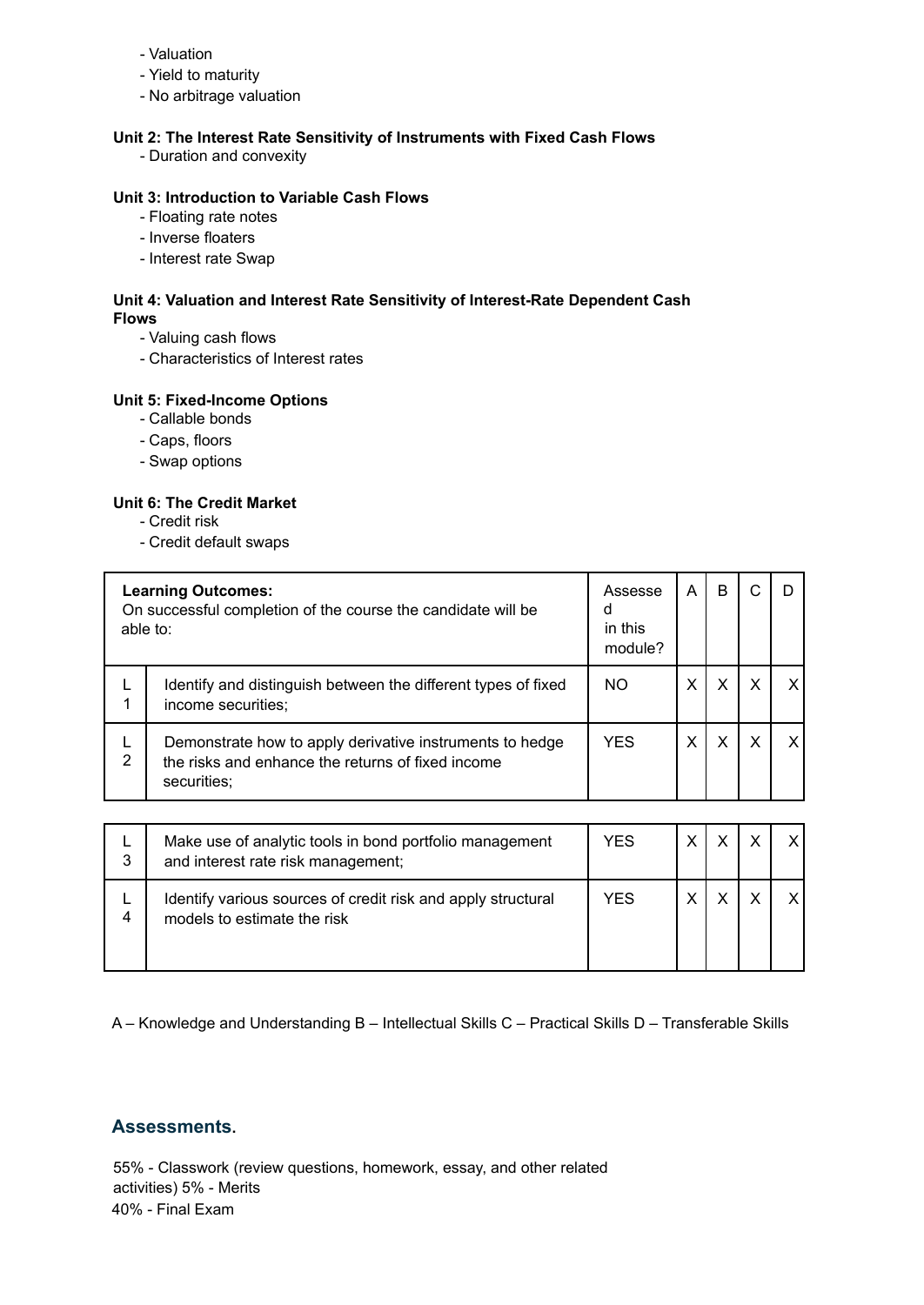- Valuation
- Yield to maturity
- No arbitrage valuation

#### **Unit 2: The Interest Rate Sensitivity of Instruments with Fixed Cash Flows**

- Duration and convexity

#### **Unit 3: Introduction to Variable Cash Flows**

- Floating rate notes
- Inverse floaters
- Interest rate Swap

#### **Unit 4: Valuation and Interest Rate Sensitivity of Interest-Rate Dependent Cash Flows**

- Valuing cash flows
- Characteristics of Interest rates

#### **Unit 5: Fixed-Income Options**

- Callable bonds
- Caps, floors
- Swap options

#### **Unit 6: The Credit Market**

- Credit risk
- Credit default swaps

| <b>Learning Outcomes:</b><br>On successful completion of the course the candidate will be<br>able to: |                                                                                                                              | Assesse<br>a<br>in this<br>module? | A | B |   |   |
|-------------------------------------------------------------------------------------------------------|------------------------------------------------------------------------------------------------------------------------------|------------------------------------|---|---|---|---|
|                                                                                                       | Identify and distinguish between the different types of fixed<br>income securities;                                          | NO                                 |   | X | x | x |
| 2                                                                                                     | Demonstrate how to apply derivative instruments to hedge<br>the risks and enhance the returns of fixed income<br>securities; | <b>YES</b>                         |   | X | X | x |

| 3 | Make use of analytic tools in bond portfolio management<br>and interest rate risk management; | <b>YES</b> |  | $\mathbf{Y}$ |
|---|-----------------------------------------------------------------------------------------------|------------|--|--------------|
| 4 | Identify various sources of credit risk and apply structural<br>models to estimate the risk   | YES        |  |              |

A – Knowledge and Understanding B – Intellectual Skills C – Practical Skills D – Transferable Skills

#### **Assessments.**

55% - Classwork (review questions, homework, essay, and other related activities) 5% - Merits 40% - Final Exam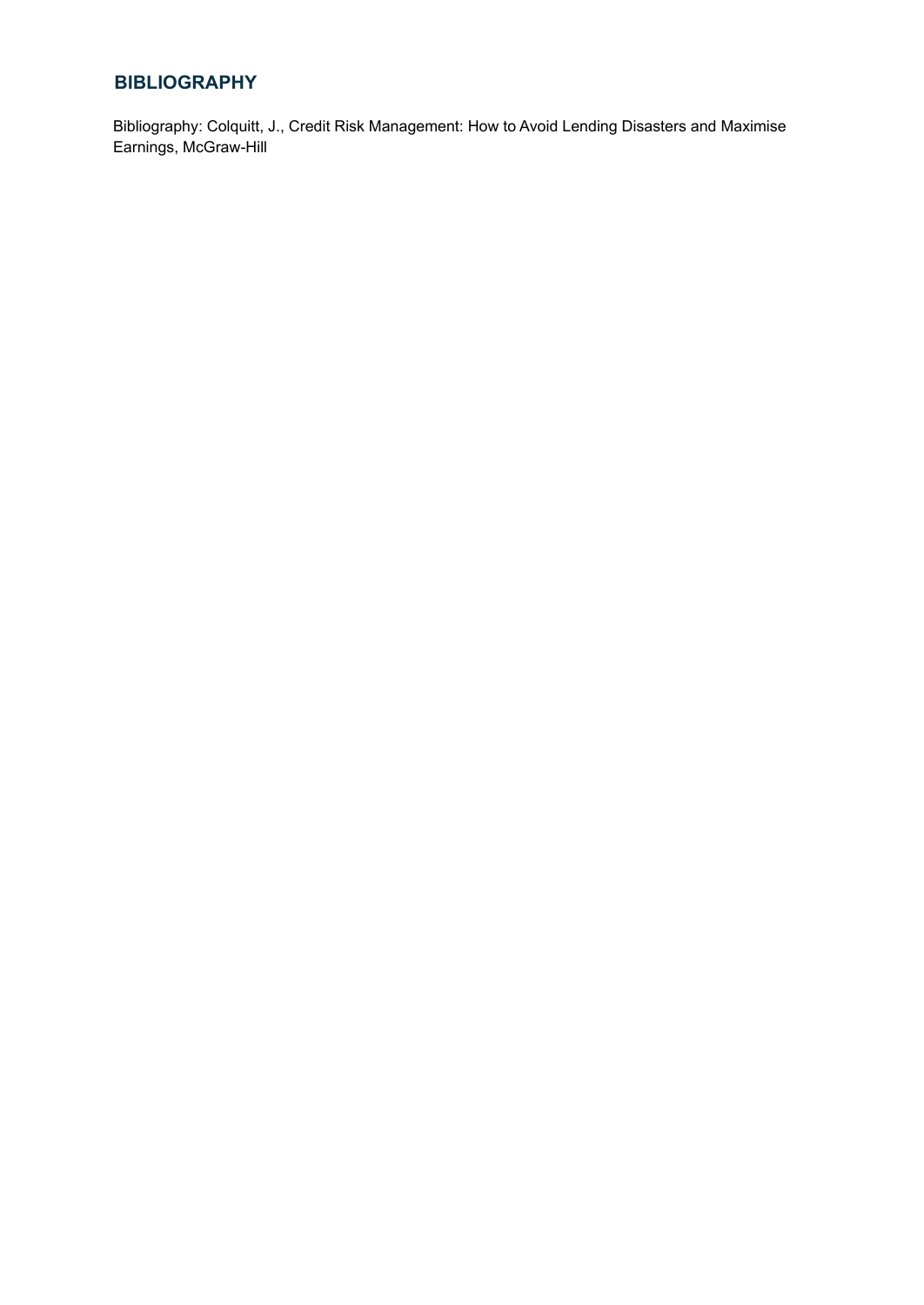# **BIBLIOGRAPHY**

Bibliography: Colquitt, J., Credit Risk Management: How to Avoid Lending Disasters and Maximise Earnings, McGraw-Hill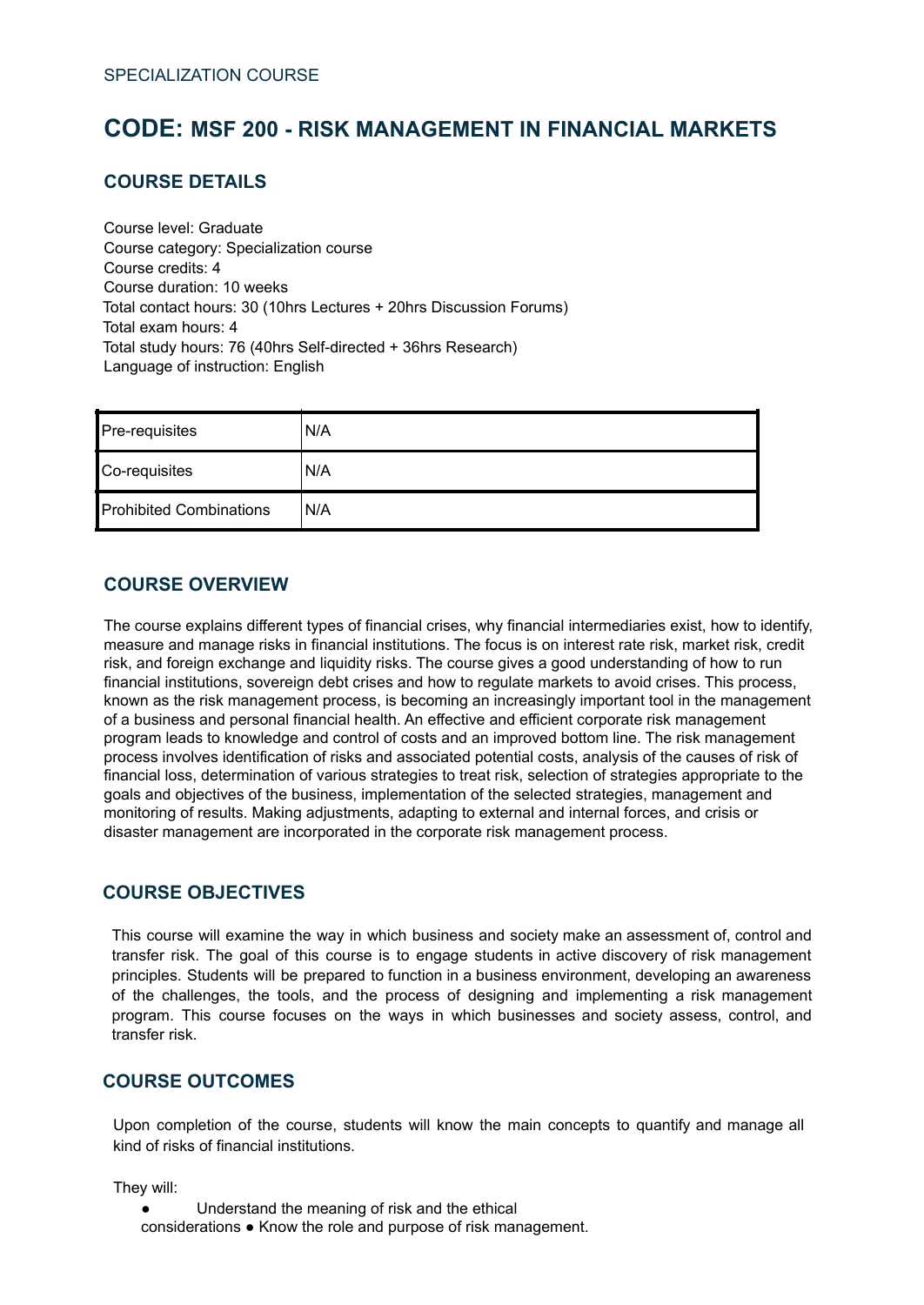# <span id="page-52-0"></span>**CODE: MSF 200 - RISK MANAGEMENT IN FINANCIAL MARKETS**

### **COURSE DETAILS**

Course level: Graduate Course category: Specialization course Course credits: 4 Course duration: 10 weeks Total contact hours: 30 (10hrs Lectures + 20hrs Discussion Forums) Total exam hours: 4 Total study hours: 76 (40hrs Self-directed + 36hrs Research) Language of instruction: English

| Pre-requisites                 | 'N/A |
|--------------------------------|------|
| Co-requisites                  | N/A  |
| <b>Prohibited Combinations</b> | 'N/A |

#### **COURSE OVERVIEW**

The course explains different types of financial crises, why financial intermediaries exist, how to identify, measure and manage risks in financial institutions. The focus is on interest rate risk, market risk, credit risk, and foreign exchange and liquidity risks. The course gives a good understanding of how to run financial institutions, sovereign debt crises and how to regulate markets to avoid crises. This process, known as the risk management process, is becoming an increasingly important tool in the management of a business and personal financial health. An effective and efficient corporate risk management program leads to knowledge and control of costs and an improved bottom line. The risk management process involves identification of risks and associated potential costs, analysis of the causes of risk of financial loss, determination of various strategies to treat risk, selection of strategies appropriate to the goals and objectives of the business, implementation of the selected strategies, management and monitoring of results. Making adjustments, adapting to external and internal forces, and crisis or disaster management are incorporated in the corporate risk management process.

#### **COURSE OBJECTIVES**

This course will examine the way in which business and society make an assessment of, control and transfer risk. The goal of this course is to engage students in active discovery of risk management principles. Students will be prepared to function in a business environment, developing an awareness of the challenges, the tools, and the process of designing and implementing a risk management program. This course focuses on the ways in which businesses and society assess, control, and transfer risk.

### **COURSE OUTCOMES**

Upon completion of the course, students will know the main concepts to quantify and manage all kind of risks of financial institutions.

They will:

● Understand the meaning of risk and the ethical considerations ● Know the role and purpose of risk management.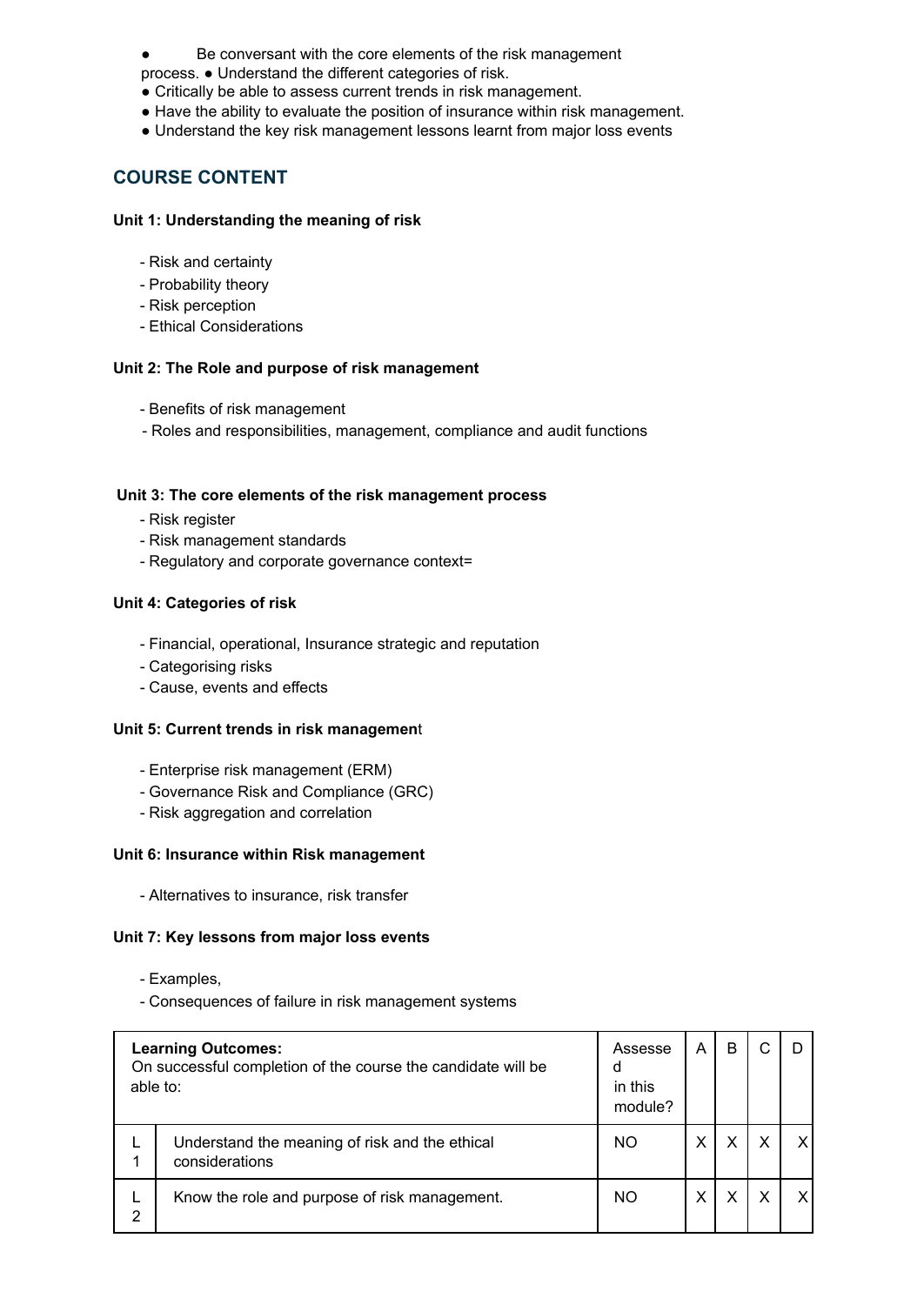- Be conversant with the core elements of the risk management
- process. Understand the different categories of risk.
- Critically be able to assess current trends in risk management.
- Have the ability to evaluate the position of insurance within risk management.
- Understand the key risk management lessons learnt from major loss events

### **COURSE CONTENT**

#### **Unit 1: Understanding the meaning of risk**

- Risk and certainty
- Probability theory
- Risk perception
- Ethical Considerations

#### **Unit 2: The Role and purpose of risk management**

- Benefits of risk management
- Roles and responsibilities, management, compliance and audit functions

#### **Unit 3: The core elements of the risk management process**

- Risk register
- Risk management standards
- Regulatory and corporate governance context=

#### **Unit 4: Categories of risk**

- Financial, operational, Insurance strategic and reputation
- Categorising risks
- Cause, events and effects

#### **Unit 5: Current trends in risk managemen**t

- Enterprise risk management (ERM)
- Governance Risk and Compliance (GRC)
- Risk aggregation and correlation

#### **Unit 6: Insurance within Risk management**

- Alternatives to insurance, risk transfer

#### **Unit 7: Key lessons from major loss events**

- Examples,
- Consequences of failure in risk management systems

| <b>Learning Outcomes:</b><br>On successful completion of the course the candidate will be<br>able to: |                                                                  | Assesse<br>d<br>in this<br>module? | A | B |  |
|-------------------------------------------------------------------------------------------------------|------------------------------------------------------------------|------------------------------------|---|---|--|
|                                                                                                       | Understand the meaning of risk and the ethical<br>considerations | NO                                 | х |   |  |
| 2                                                                                                     | Know the role and purpose of risk management.                    | NO                                 | х |   |  |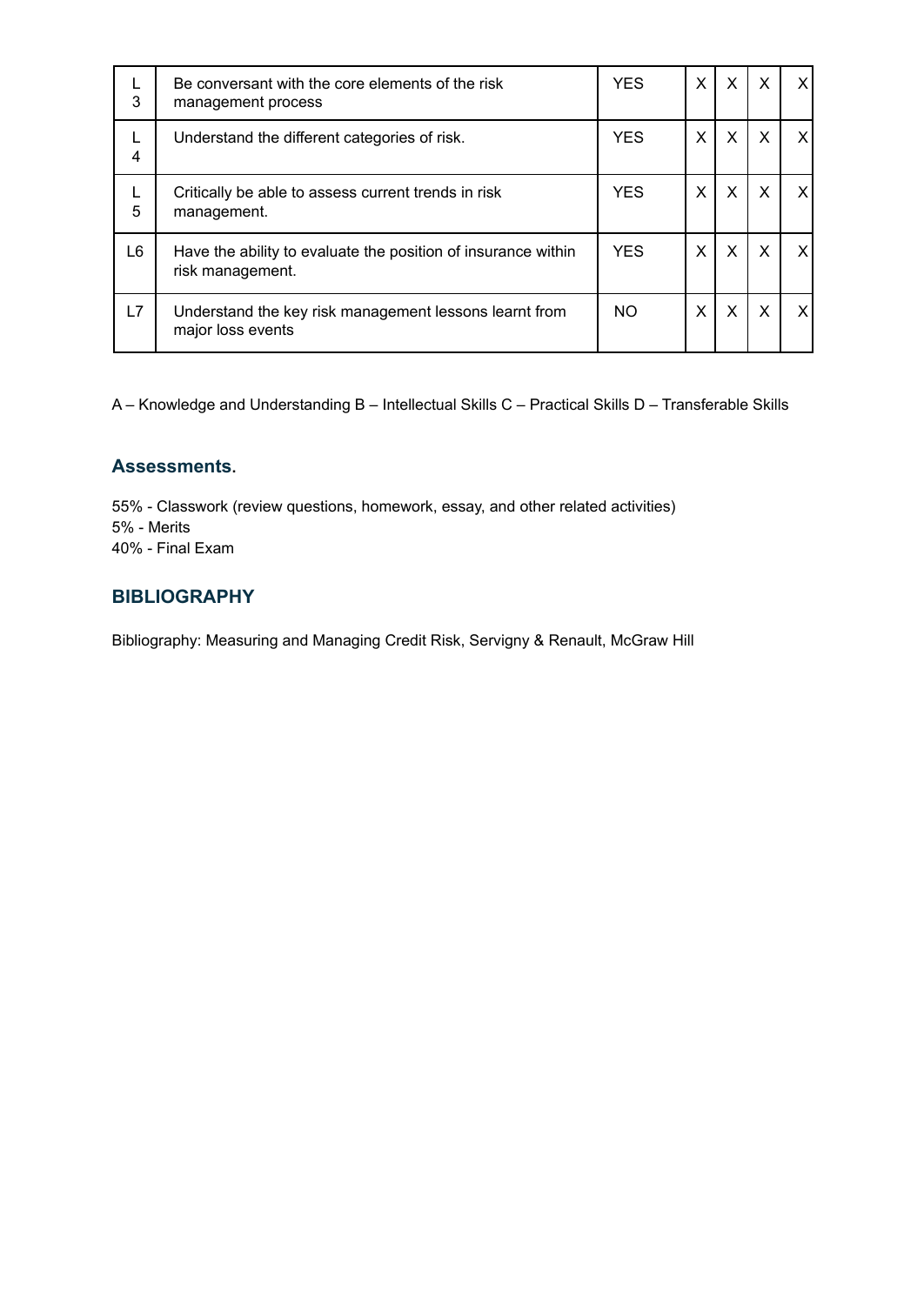| L<br>3 | Be conversant with the core elements of the risk<br>management process            | <b>YES</b> | X | X | X | X  |
|--------|-----------------------------------------------------------------------------------|------------|---|---|---|----|
| L<br>4 | Understand the different categories of risk.                                      | <b>YES</b> | X | X | X | X. |
| L<br>5 | Critically be able to assess current trends in risk<br>management.                | <b>YES</b> | X | X | X | X  |
| L6     | Have the ability to evaluate the position of insurance within<br>risk management. | <b>YES</b> | X | X | X | X. |
| L7     | Understand the key risk management lessons learnt from<br>major loss events       | NO.        | X | X | X | x  |

#### **Assessments.**

55% - Classwork (review questions, homework, essay, and other related activities) 5% - Merits 40% - Final Exam

### **BIBLIOGRAPHY**

Bibliography: Measuring and Managing Credit Risk, Servigny & Renault, McGraw Hill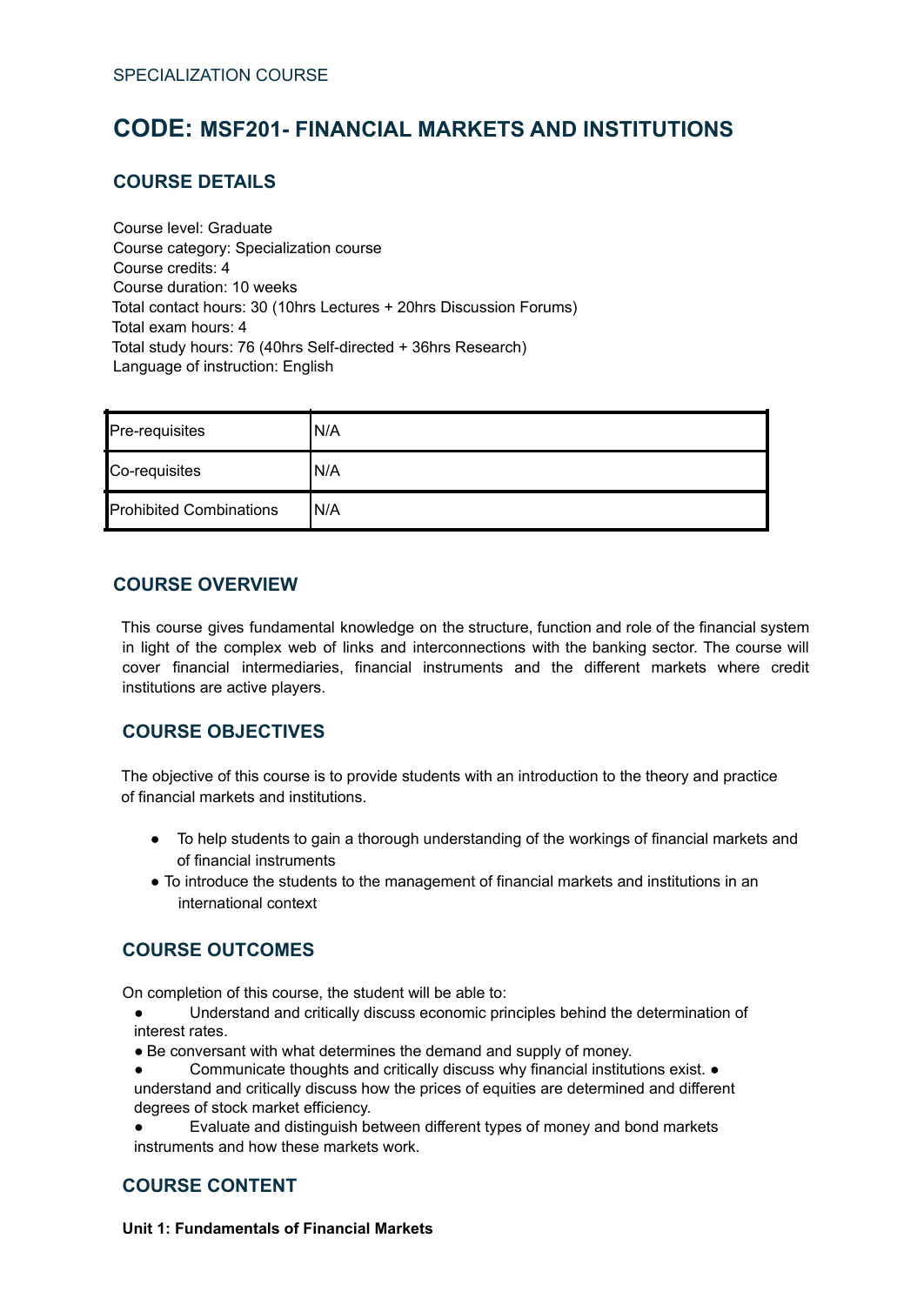# <span id="page-55-0"></span>**CODE: MSF201- FINANCIAL MARKETS AND INSTITUTIONS**

# **COURSE DETAILS**

Course level: Graduate Course category: Specialization course Course credits: 4 Course duration: 10 weeks Total contact hours: 30 (10hrs Lectures + 20hrs Discussion Forums) Total exam hours: 4 Total study hours: 76 (40hrs Self-directed + 36hrs Research) Language of instruction: English

| Pre-requisites                 | 'N/A |
|--------------------------------|------|
| Co-requisites                  | 'N/A |
| <b>Prohibited Combinations</b> | IN/A |

#### **COURSE OVERVIEW**

This course gives fundamental knowledge on the structure, function and role of the financial system in light of the complex web of links and interconnections with the banking sector. The course will cover financial intermediaries, financial instruments and the different markets where credit institutions are active players.

#### **COURSE OBJECTIVES**

The objective of this course is to provide students with an introduction to the theory and practice of financial markets and institutions.

- To help students to gain a thorough understanding of the workings of financial markets and of financial instruments
- To introduce the students to the management of financial markets and institutions in an international context

#### **COURSE OUTCOMES**

On completion of this course, the student will be able to:

- Understand and critically discuss economic principles behind the determination of interest rates.
- Be conversant with what determines the demand and supply of money.
- Communicate thoughts and critically discuss why financial institutions exist. understand and critically discuss how the prices of equities are determined and different degrees of stock market efficiency.
- Evaluate and distinguish between different types of money and bond markets instruments and how these markets work.

#### **COURSE CONTENT**

**Unit 1: Fundamentals of Financial Markets**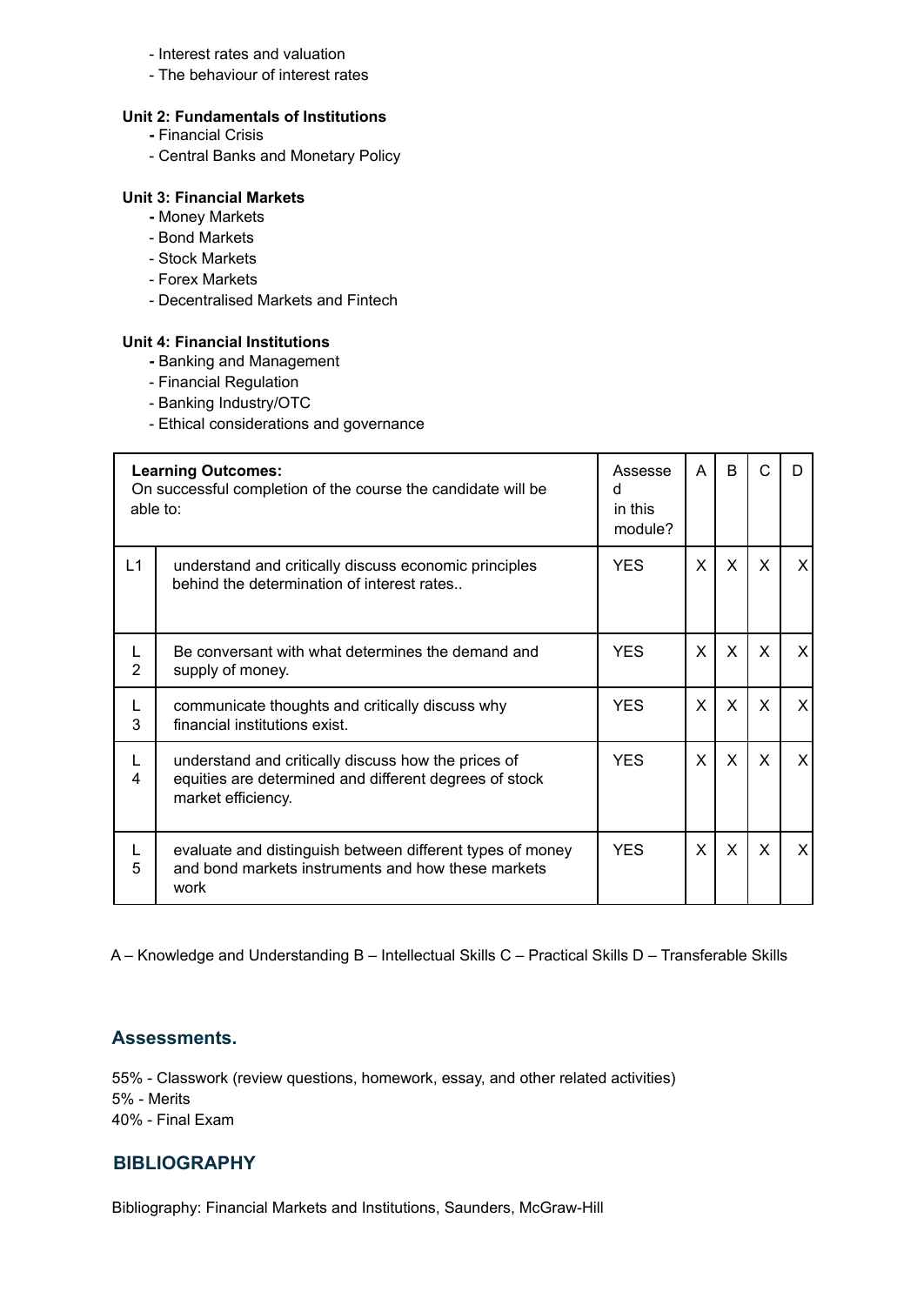#### - Interest rates and valuation

- The behaviour of interest rates

#### **Unit 2: Fundamentals of Institutions**

- **-** Financial Crisis
- Central Banks and Monetary Policy

#### **Unit 3: Financial Markets**

- **-** Money Markets
- Bond Markets
- Stock Markets
- Forex Markets
- Decentralised Markets and Fintech

#### **Unit 4: Financial Institutions**

- **-** Banking and Management
- Financial Regulation
- Banking Industry/OTC
- Ethical considerations and governance

| able to: | <b>Learning Outcomes:</b><br>On successful completion of the course the candidate will be                                           | Assesse<br>d<br>in this<br>module? | A | B            | C        | D |
|----------|-------------------------------------------------------------------------------------------------------------------------------------|------------------------------------|---|--------------|----------|---|
| L1       | understand and critically discuss economic principles<br>behind the determination of interest rates                                 | <b>YES</b>                         | X | $\mathsf{X}$ | X        | X |
| 2        | Be conversant with what determines the demand and<br>supply of money.                                                               | <b>YES</b>                         | X | $\mathsf{x}$ | $\times$ | X |
| L<br>3   | communicate thoughts and critically discuss why<br>financial institutions exist.                                                    | <b>YES</b>                         | X | $\mathsf{X}$ | $\times$ | X |
| 4        | understand and critically discuss how the prices of<br>equities are determined and different degrees of stock<br>market efficiency. | <b>YES</b>                         | X | $\mathsf{X}$ | $\times$ | X |
| L<br>5   | evaluate and distinguish between different types of money<br>and bond markets instruments and how these markets<br>work             | <b>YES</b>                         | X | X            | X        | X |

A – Knowledge and Understanding B – Intellectual Skills C – Practical Skills D – Transferable Skills

#### **Assessments.**

55% - Classwork (review questions, homework, essay, and other related activities) 5% - Merits 40% - Final Exam

#### **BIBLIOGRAPHY**

Bibliography: Financial Markets and Institutions, Saunders, McGraw-Hill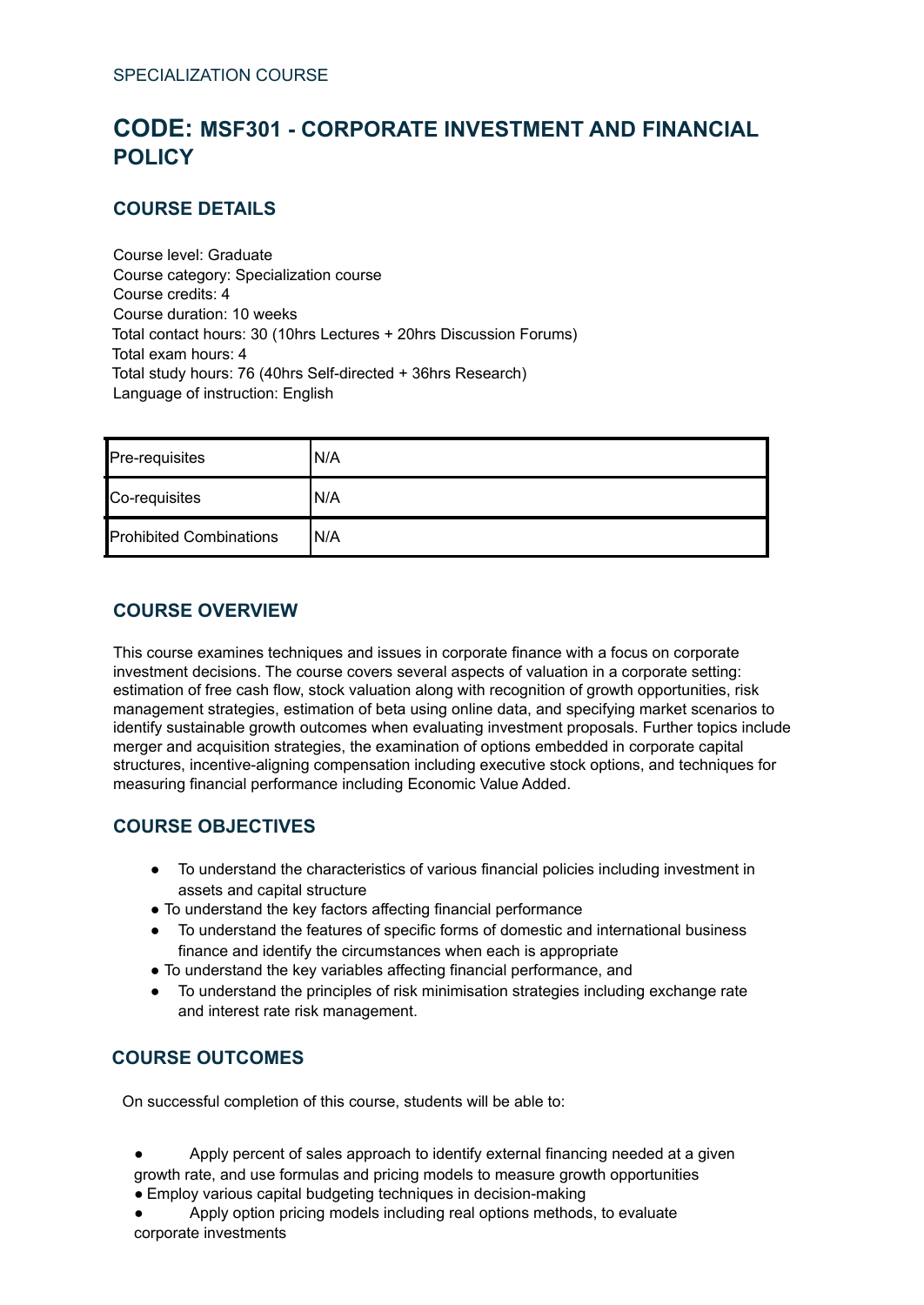# <span id="page-57-0"></span>**CODE: MSF301 - CORPORATE INVESTMENT AND FINANCIAL POLICY**

# **COURSE DETAILS**

Course level: Graduate Course category: Specialization course Course credits: 4 Course duration: 10 weeks Total contact hours: 30 (10hrs Lectures + 20hrs Discussion Forums) Total exam hours: 4 Total study hours: 76 (40hrs Self-directed + 36hrs Research) Language of instruction: English

| Pre-requisites                 | IN/A |
|--------------------------------|------|
| Co-requisites                  | IN/A |
| <b>Prohibited Combinations</b> | IN/A |

### **COURSE OVERVIEW**

This course examines techniques and issues in corporate finance with a focus on corporate investment decisions. The course covers several aspects of valuation in a corporate setting: estimation of free cash flow, stock valuation along with recognition of growth opportunities, risk management strategies, estimation of beta using online data, and specifying market scenarios to identify sustainable growth outcomes when evaluating investment proposals. Further topics include merger and acquisition strategies, the examination of options embedded in corporate capital structures, incentive-aligning compensation including executive stock options, and techniques for measuring financial performance including Economic Value Added.

# **COURSE OBJECTIVES**

- To understand the characteristics of various financial policies including investment in assets and capital structure
- To understand the key factors affecting financial performance
- To understand the features of specific forms of domestic and international business finance and identify the circumstances when each is appropriate
- To understand the key variables affecting financial performance, and
- To understand the principles of risk minimisation strategies including exchange rate and interest rate risk management.

# **COURSE OUTCOMES**

On successful completion of this course, students will be able to:

- Apply percent of sales approach to identify external financing needed at a given growth rate, and use formulas and pricing models to measure growth opportunities
- Employ various capital budgeting techniques in decision-making
- Apply option pricing models including real options methods, to evaluate corporate investments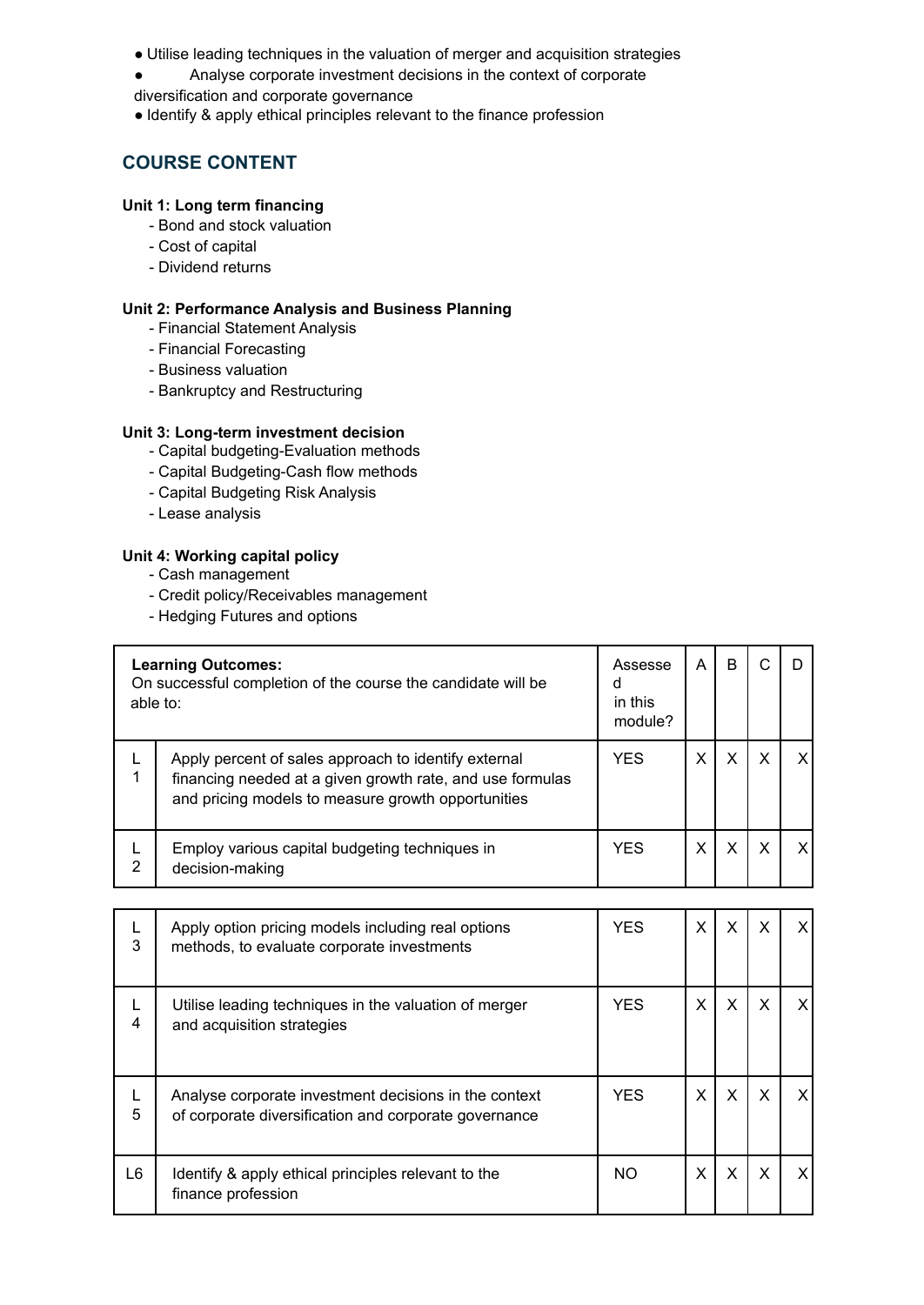- Utilise leading techniques in the valuation of merger and acquisition strategies
- Analyse corporate investment decisions in the context of corporate
- diversification and corporate governance
- Identify & apply ethical principles relevant to the finance profession

### **COURSE CONTENT**

#### **Unit 1: Long term financing**

- Bond and stock valuation
- Cost of capital
- Dividend returns

#### **Unit 2: Performance Analysis and Business Planning**

- Financial Statement Analysis
- Financial Forecasting
- Business valuation
- Bankruptcy and Restructuring

#### **Unit 3: Long-term investment decision**

- Capital budgeting-Evaluation methods
- Capital Budgeting-Cash flow methods
- Capital Budgeting Risk Analysis
- Lease analysis

#### **Unit 4: Working capital policy**

- Cash management
- Credit policy/Receivables management
- Hedging Futures and options

| able to: | <b>Learning Outcomes:</b><br>On successful completion of the course the candidate will be                                                                               | Assesse<br>d<br>in this<br>module? | A | B |   |  |
|----------|-------------------------------------------------------------------------------------------------------------------------------------------------------------------------|------------------------------------|---|---|---|--|
|          | Apply percent of sales approach to identify external<br>financing needed at a given growth rate, and use formulas<br>and pricing models to measure growth opportunities | <b>YES</b>                         | х | X |   |  |
| 2        | Employ various capital budgeting techniques in<br>decision-making                                                                                                       | <b>YES</b>                         | х | X | X |  |

| 3      | Apply option pricing models including real options<br>methods, to evaluate corporate investments               | <b>YES</b> | X | X | X |   |
|--------|----------------------------------------------------------------------------------------------------------------|------------|---|---|---|---|
| 4      | Utilise leading techniques in the valuation of merger<br>and acquisition strategies                            | YES.       | X | X | X | x |
| L<br>5 | Analyse corporate investment decisions in the context<br>of corporate diversification and corporate governance | <b>YES</b> | X | X | X |   |
| L6     | Identify & apply ethical principles relevant to the<br>finance profession                                      | NO         | X | X | x | x |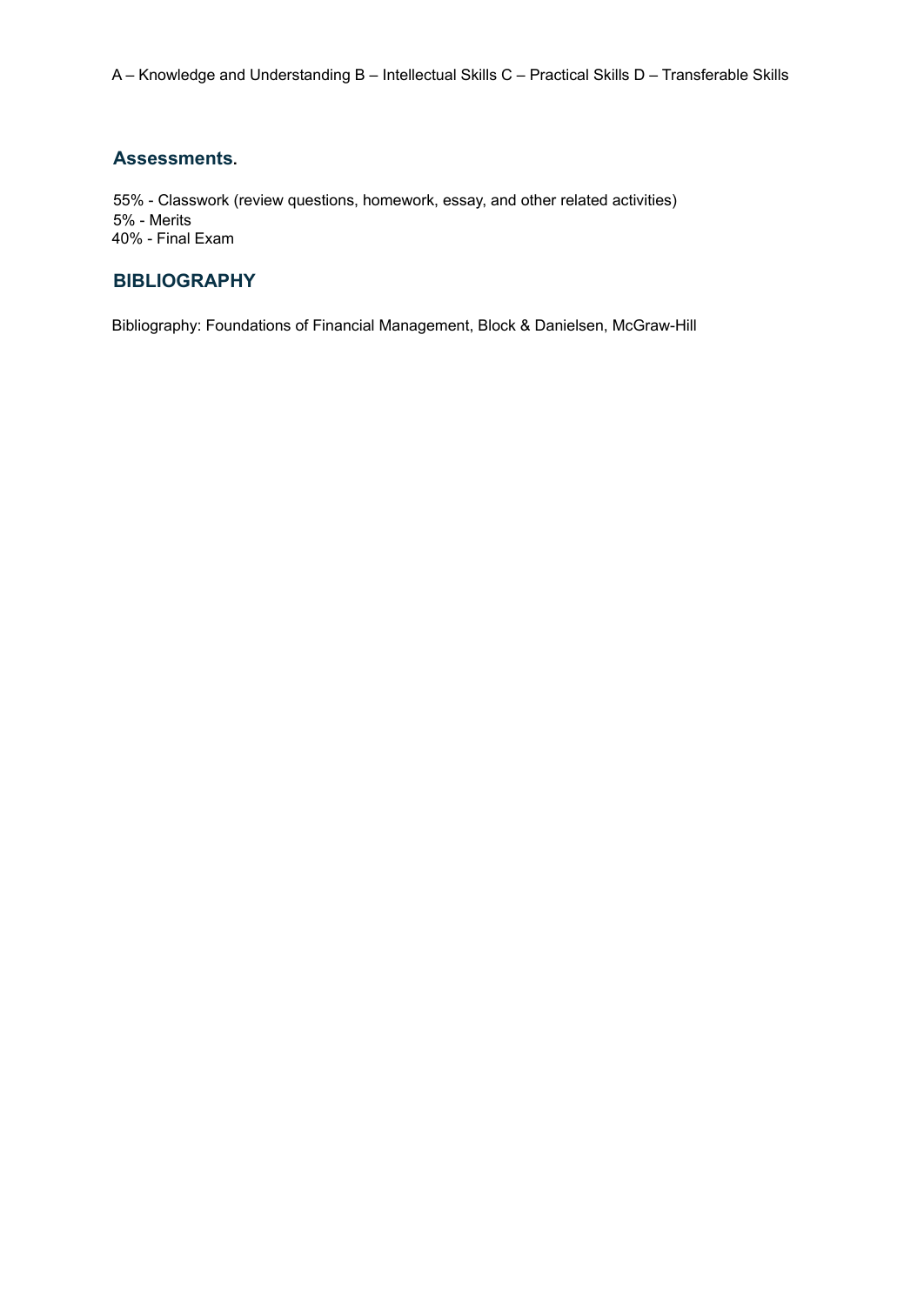#### **Assessments.**

55% - Classwork (review questions, homework, essay, and other related activities) 5% - Merits 40% - Final Exam

# **BIBLIOGRAPHY**

Bibliography: Foundations of Financial Management, Block & Danielsen, McGraw-Hill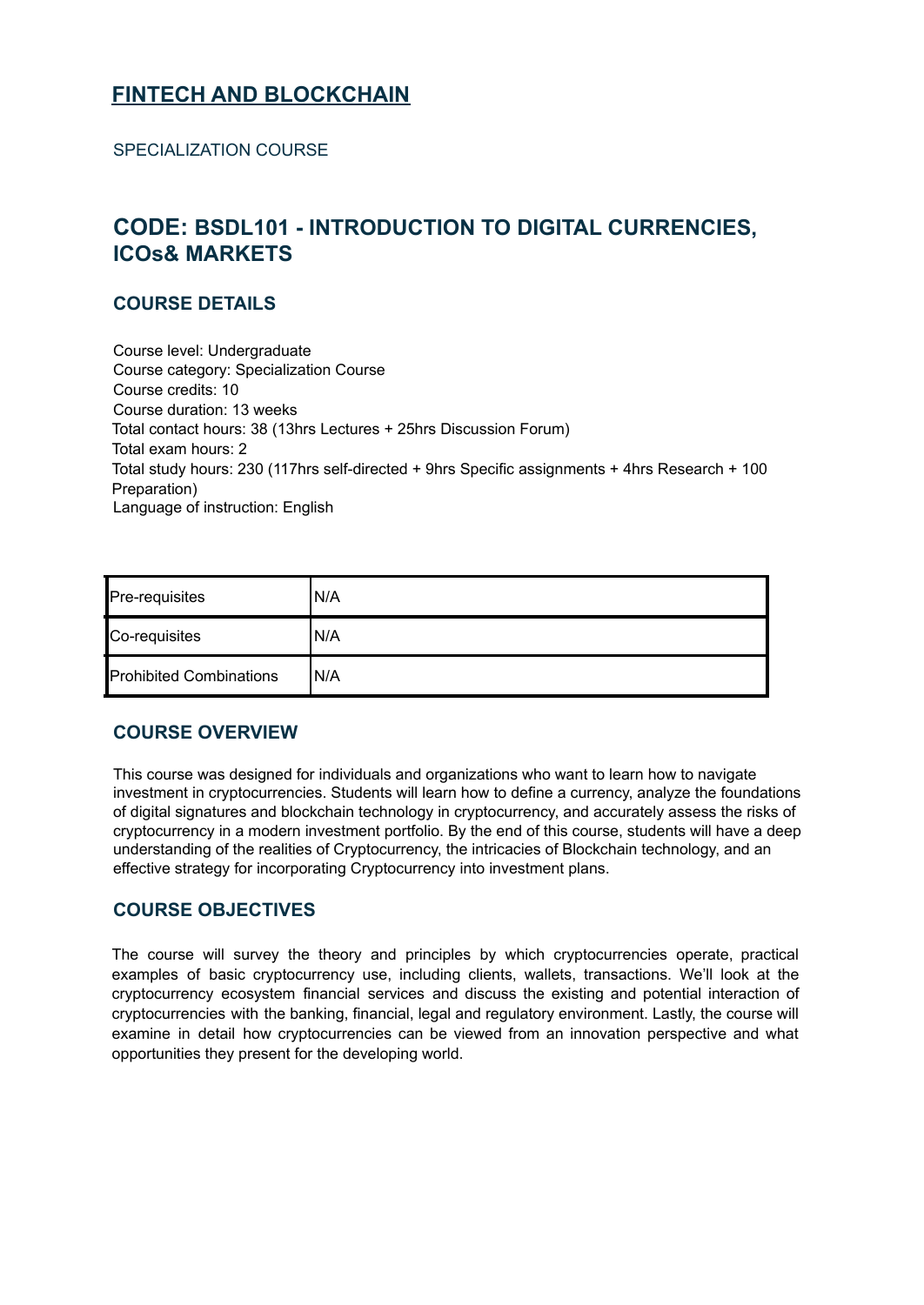# <span id="page-60-0"></span>**FINTECH AND BLOCKCHAIN**

SPECIALIZATION COURSE

# <span id="page-60-1"></span>**CODE: BSDL101 - INTRODUCTION TO DIGITAL CURRENCIES, ICOs& MARKETS**

#### **COURSE DETAILS**

Course level: Undergraduate Course category: Specialization Course Course credits: 10 Course duration: 13 weeks Total contact hours: 38 (13hrs Lectures + 25hrs Discussion Forum) Total exam hours: 2 Total study hours: 230 (117hrs self-directed + 9hrs Specific assignments + 4hrs Research + 100 Preparation) Language of instruction: English

| Pre-requisites                 | N/A  |
|--------------------------------|------|
| Co-requisites                  | 'N/A |
| <b>Prohibited Combinations</b> | IN/A |

#### **COURSE OVERVIEW**

This course was designed for individuals and organizations who want to learn how to navigate investment in cryptocurrencies. Students will learn how to define a currency, analyze the foundations of digital signatures and blockchain technology in cryptocurrency, and accurately assess the risks of cryptocurrency in a modern investment portfolio. By the end of this course, students will have a deep understanding of the realities of Cryptocurrency, the intricacies of Blockchain technology, and an effective strategy for incorporating Cryptocurrency into investment plans.

#### **COURSE OBJECTIVES**

The course will survey the theory and principles by which cryptocurrencies operate, practical examples of basic cryptocurrency use, including clients, wallets, transactions. We'll look at the cryptocurrency ecosystem financial services and discuss the existing and potential interaction of cryptocurrencies with the banking, financial, legal and regulatory environment. Lastly, the course will examine in detail how cryptocurrencies can be viewed from an innovation perspective and what opportunities they present for the developing world.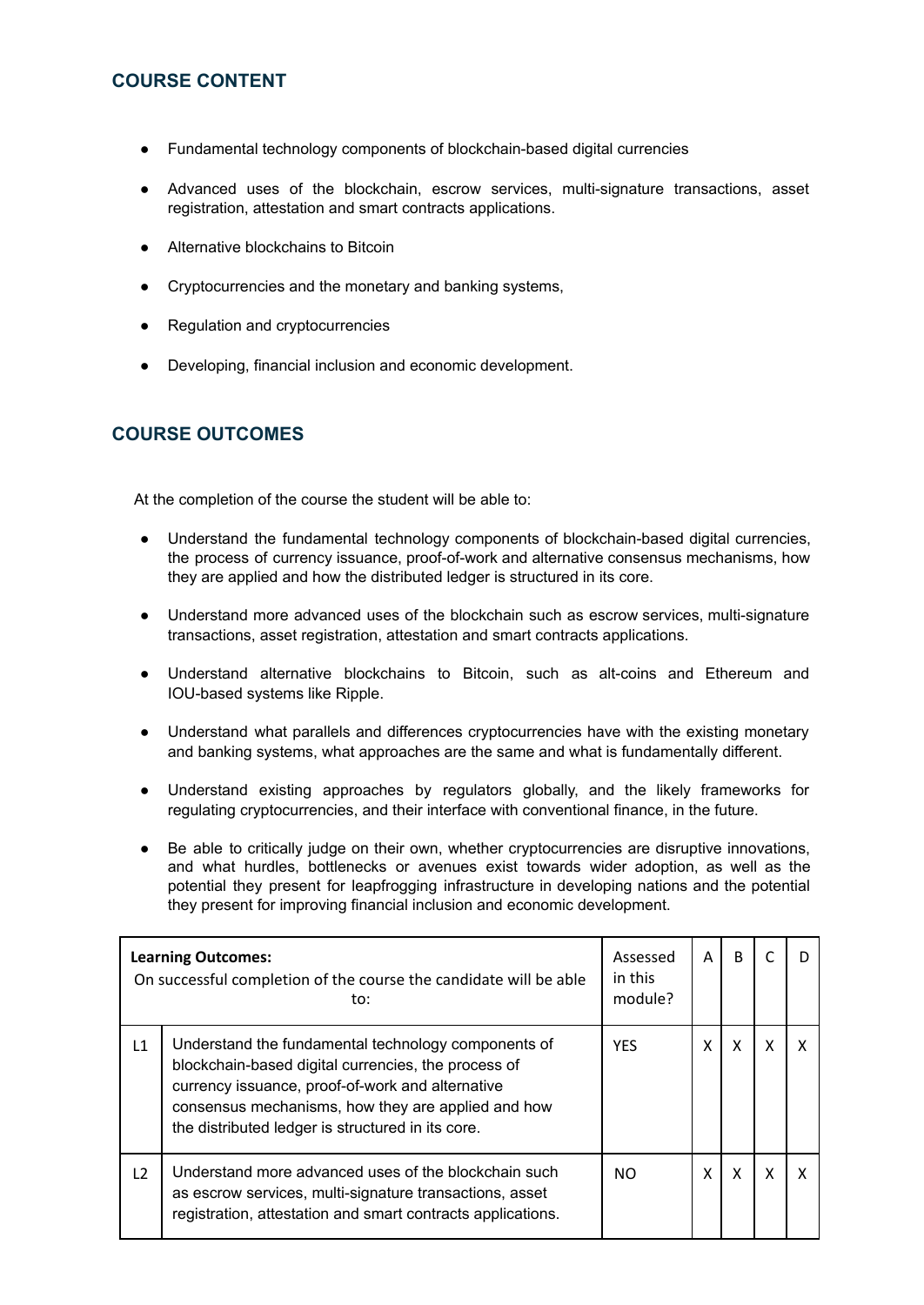#### **COURSE CONTENT**

- Fundamental technology components of blockchain-based digital currencies
- Advanced uses of the blockchain, escrow services, multi-signature transactions, asset registration, attestation and smart contracts applications.
- Alternative blockchains to Bitcoin
- Cryptocurrencies and the monetary and banking systems,
- Regulation and cryptocurrencies
- Developing, financial inclusion and economic development.

#### **COURSE OUTCOMES**

At the completion of the course the student will be able to:

- Understand the fundamental technology components of blockchain-based digital currencies, the process of currency issuance, proof-of-work and alternative consensus mechanisms, how they are applied and how the distributed ledger is structured in its core.
- Understand more advanced uses of the blockchain such as escrow services, multi-signature transactions, asset registration, attestation and smart contracts applications.
- Understand alternative blockchains to Bitcoin, such as alt-coins and Ethereum and IOU-based systems like Ripple.
- Understand what parallels and differences cryptocurrencies have with the existing monetary and banking systems, what approaches are the same and what is fundamentally different.
- Understand existing approaches by regulators globally, and the likely frameworks for regulating cryptocurrencies, and their interface with conventional finance, in the future.
- Be able to critically judge on their own, whether cryptocurrencies are disruptive innovations, and what hurdles, bottlenecks or avenues exist towards wider adoption, as well as the potential they present for leapfrogging infrastructure in developing nations and the potential they present for improving financial inclusion and economic development.

|    | <b>Learning Outcomes:</b><br>On successful completion of the course the candidate will be able<br>to:                                                                                                                                                                     | Assessed<br>in this<br>module? | A | <sub>B</sub> |  |
|----|---------------------------------------------------------------------------------------------------------------------------------------------------------------------------------------------------------------------------------------------------------------------------|--------------------------------|---|--------------|--|
| L1 | Understand the fundamental technology components of<br>blockchain-based digital currencies, the process of<br>currency issuance, proof-of-work and alternative<br>consensus mechanisms, how they are applied and how<br>the distributed ledger is structured in its core. | <b>YES</b>                     |   | X            |  |
| L2 | Understand more advanced uses of the blockchain such<br>as escrow services, multi-signature transactions, asset<br>registration, attestation and smart contracts applications.                                                                                            | NO.                            | χ | X            |  |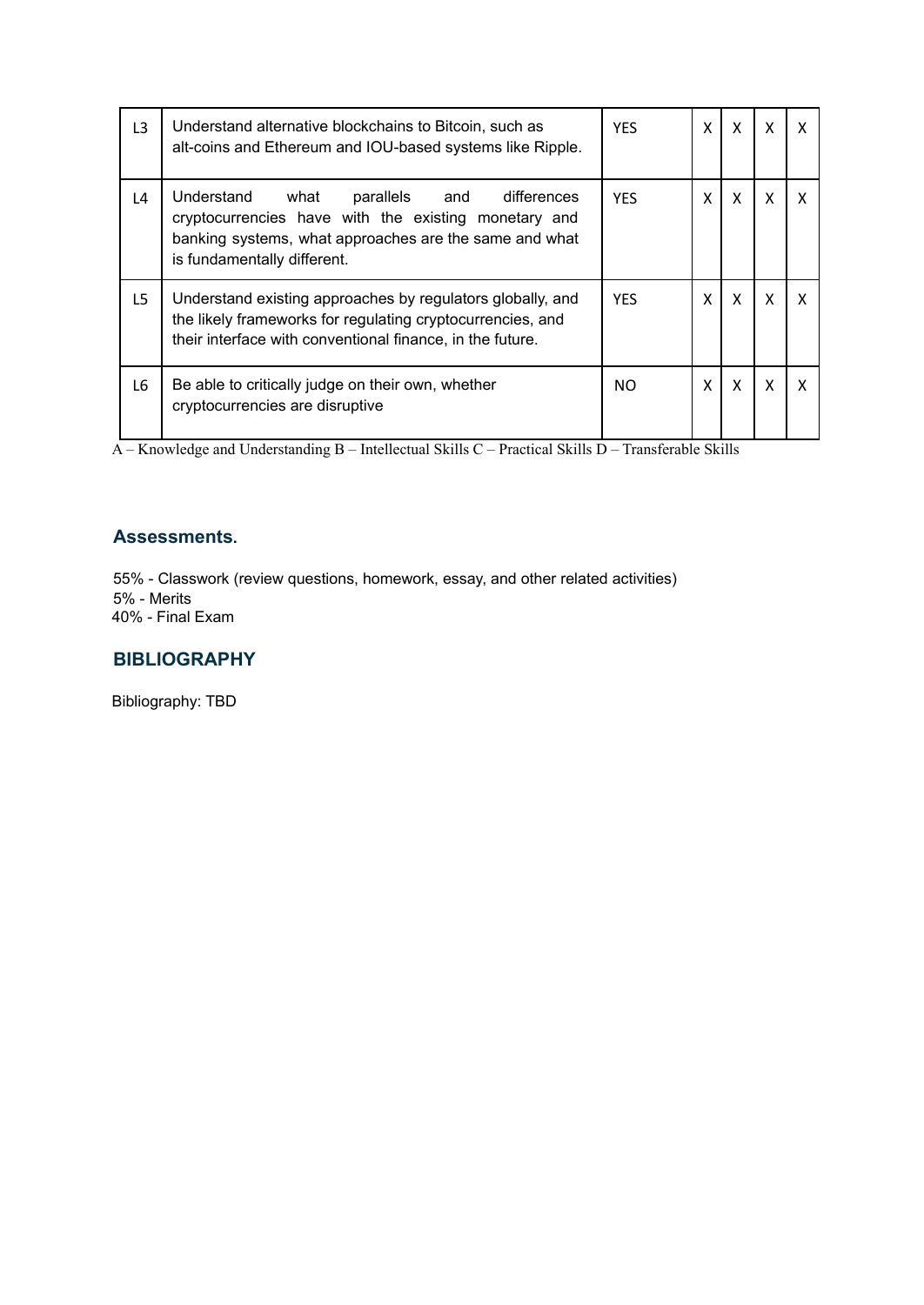| L <sub>3</sub> | Understand alternative blockchains to Bitcoin, such as<br>alt-coins and Ethereum and IOU-based systems like Ripple.                                                                                 | <b>YES</b> | x | X |   |  |
|----------------|-----------------------------------------------------------------------------------------------------------------------------------------------------------------------------------------------------|------------|---|---|---|--|
| L4             | Understand<br>what<br>parallels and<br>differences<br>cryptocurrencies have with the existing monetary and<br>banking systems, what approaches are the same and what<br>is fundamentally different. | <b>YES</b> |   | X | X |  |
| L5             | Understand existing approaches by regulators globally, and<br>the likely frameworks for regulating cryptocurrencies, and<br>their interface with conventional finance, in the future.               | <b>YFS</b> | X | X | X |  |
| L6             | Be able to critically judge on their own, whether<br>cryptocurrencies are disruptive                                                                                                                | NO.        | x | X | x |  |

#### **Assessments.**

55% - Classwork (review questions, homework, essay, and other related activities) 5% - Merits 40% - Final Exam

#### **BIBLIOGRAPHY**

Bibliography: TBD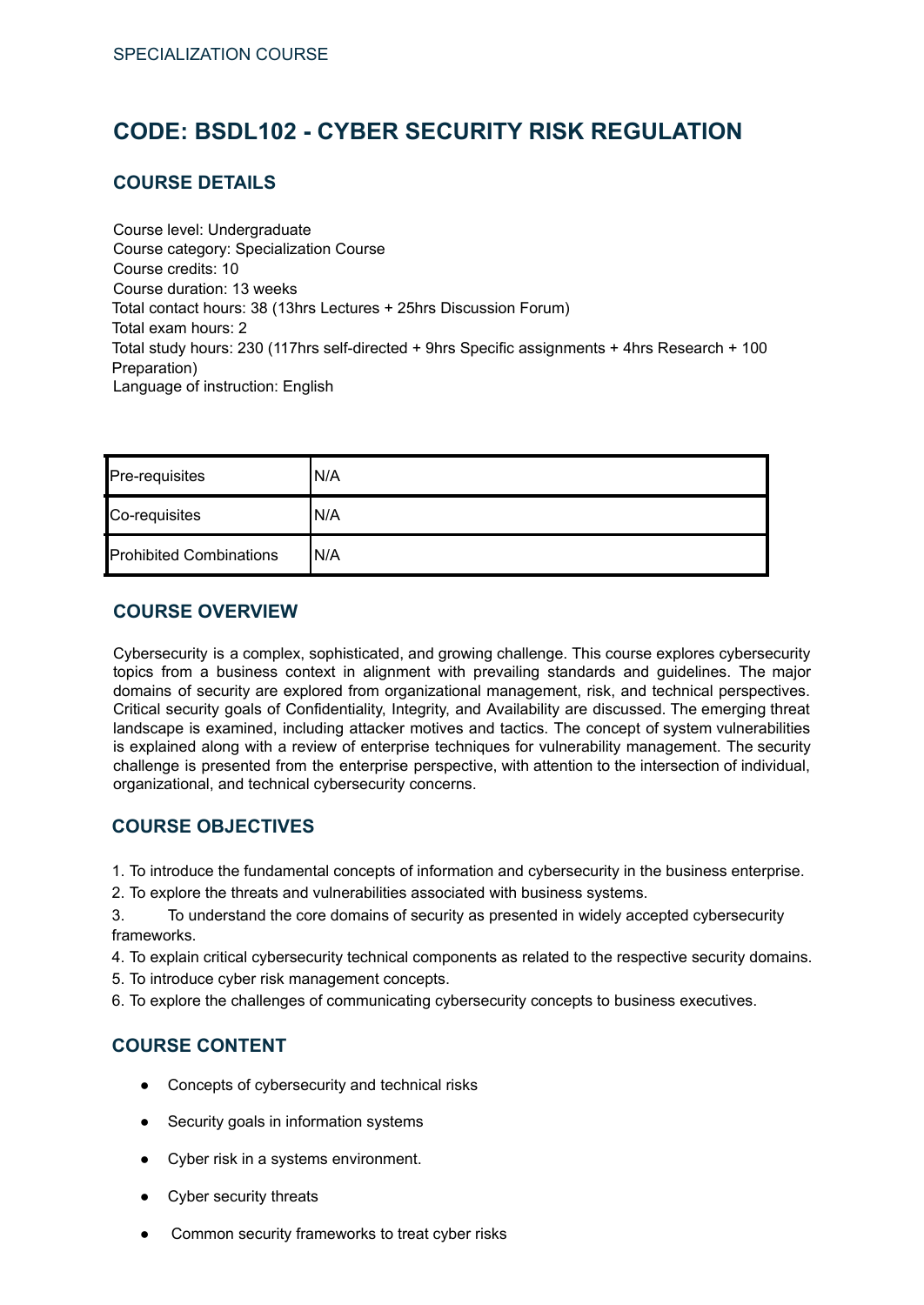# <span id="page-63-0"></span>**CODE: BSDL102 - CYBER SECURITY RISK REGULATION**

#### **COURSE DETAILS**

Course level: Undergraduate Course category: Specialization Course Course credits: 10 Course duration: 13 weeks Total contact hours: 38 (13hrs Lectures + 25hrs Discussion Forum) Total exam hours: 2 Total study hours: 230 (117hrs self-directed + 9hrs Specific assignments + 4hrs Research + 100 Preparation) Language of instruction: English

| Pre-requisites                 | N/A  |
|--------------------------------|------|
| Co-requisites                  | 'N/A |
| <b>Prohibited Combinations</b> | N/A  |

### **COURSE OVERVIEW**

Cybersecurity is a complex, sophisticated, and growing challenge. This course explores cybersecurity topics from a business context in alignment with prevailing standards and guidelines. The major domains of security are explored from organizational management, risk, and technical perspectives. Critical security goals of Confidentiality, Integrity, and Availability are discussed. The emerging threat landscape is examined, including attacker motives and tactics. The concept of system vulnerabilities is explained along with a review of enterprise techniques for vulnerability management. The security challenge is presented from the enterprise perspective, with attention to the intersection of individual, organizational, and technical cybersecurity concerns.

# **COURSE OBJECTIVES**

1. To introduce the fundamental concepts of information and cybersecurity in the business enterprise.

2. To explore the threats and vulnerabilities associated with business systems.

3. To understand the core domains of security as presented in widely accepted cybersecurity frameworks.

4. To explain critical cybersecurity technical components as related to the respective security domains.

- 5. To introduce cyber risk management concepts.
- 6. To explore the challenges of communicating cybersecurity concepts to business executives.

#### **COURSE CONTENT**

- Concepts of cybersecurity and technical risks
- Security goals in information systems
- Cyber risk in a systems environment.
- Cyber security threats
- Common security frameworks to treat cyber risks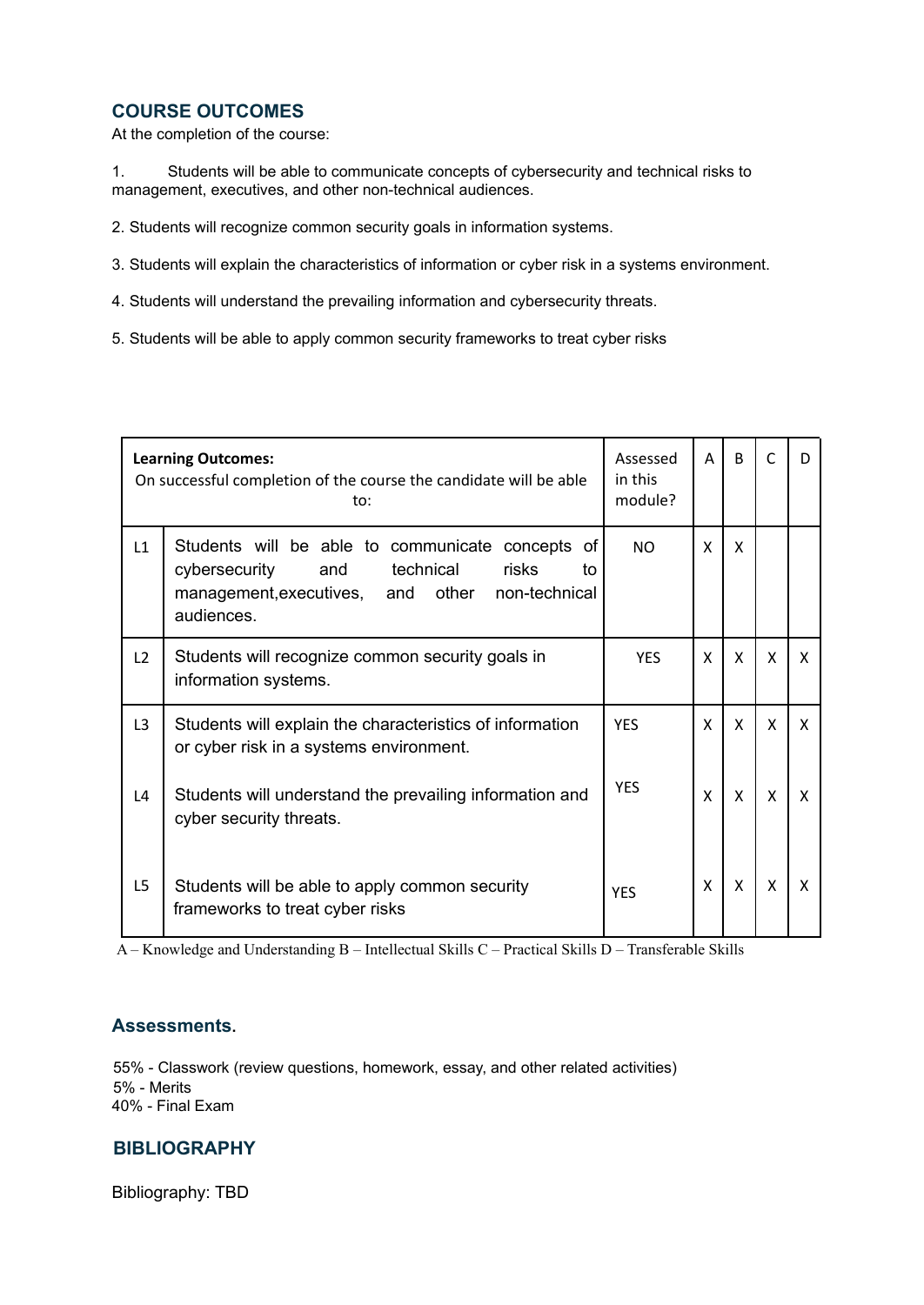#### **COURSE OUTCOMES**

At the completion of the course:

1. Students will be able to communicate concepts of cybersecurity and technical risks to management, executives, and other non-technical audiences.

2. Students will recognize common security goals in information systems.

3. Students will explain the characteristics of information or cyber risk in a systems environment.

- 4. Students will understand the prevailing information and cybersecurity threats.
- 5. Students will be able to apply common security frameworks to treat cyber risks

|                | <b>Learning Outcomes:</b><br>On successful completion of the course the candidate will be able<br>to:                                                                       |            | A | B            | C | D            |
|----------------|-----------------------------------------------------------------------------------------------------------------------------------------------------------------------------|------------|---|--------------|---|--------------|
| L1             | Students will be able to communicate concepts of<br>technical<br>risks<br>cybersecurity<br>and<br>to<br>management, executives,<br>and other<br>non-technical<br>audiences. | NO.        | X | X            |   |              |
| L2             | Students will recognize common security goals in<br>information systems.                                                                                                    | <b>YES</b> | X | $\mathsf{x}$ | X | $\mathsf{x}$ |
| L <sub>3</sub> | Students will explain the characteristics of information<br>or cyber risk in a systems environment.                                                                         | <b>YFS</b> | X | $\mathsf{x}$ | X | X            |
| L4             | Students will understand the prevailing information and<br>cyber security threats.                                                                                          | <b>YES</b> | X | X            | X | X            |
| L <sub>5</sub> | Students will be able to apply common security<br>frameworks to treat cyber risks                                                                                           | <b>YFS</b> | X | X            | X | X            |

A – Knowledge and Understanding B – Intellectual Skills C – Practical Skills D – Transferable Skills

#### **Assessments.**

55% - Classwork (review questions, homework, essay, and other related activities) 5% - Merits 40% - Final Exam

#### **BIBLIOGRAPHY**

Bibliography: TBD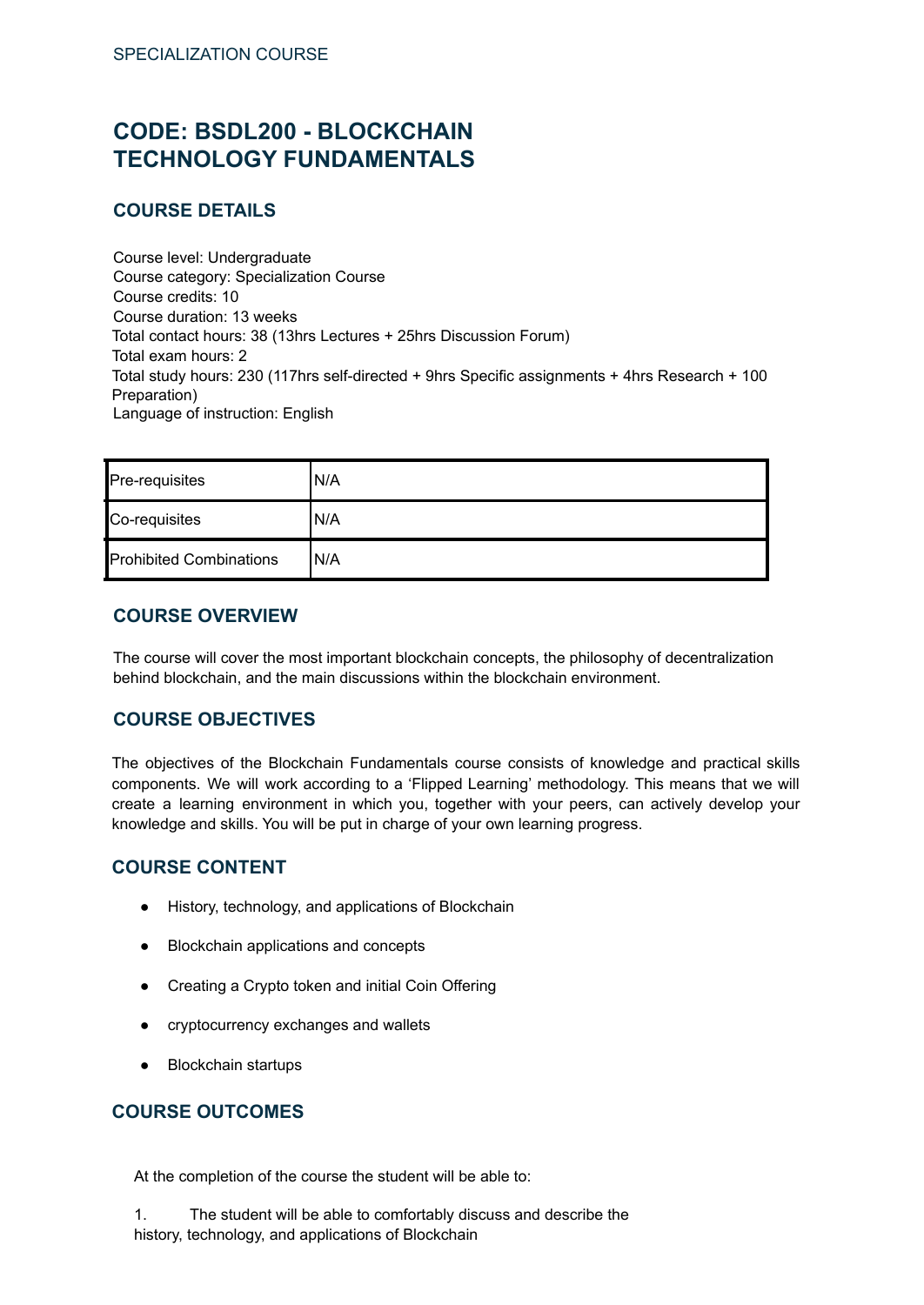# <span id="page-65-0"></span>**CODE: BSDL200 - BLOCKCHAIN TECHNOLOGY FUNDAMENTALS**

### **COURSE DETAILS**

Course level: Undergraduate Course category: Specialization Course Course credits: 10 Course duration: 13 weeks Total contact hours: 38 (13hrs Lectures + 25hrs Discussion Forum) Total exam hours: 2 Total study hours: 230 (117hrs self-directed + 9hrs Specific assignments + 4hrs Research + 100 Preparation) Language of instruction: English

| Pre-requisites                 | 'N/A |
|--------------------------------|------|
| Co-requisites                  | 'N/A |
| <b>Prohibited Combinations</b> | IN/A |

#### **COURSE OVERVIEW**

The course will cover the most important blockchain concepts, the philosophy of decentralization behind blockchain, and the main discussions within the blockchain environment.

#### **COURSE OBJECTIVES**

The objectives of the Blockchain Fundamentals course consists of knowledge and practical skills components. We will work according to a 'Flipped Learning' methodology. This means that we will create a learning environment in which you, together with your peers, can actively develop your knowledge and skills. You will be put in charge of your own learning progress.

#### **COURSE CONTENT**

- History, technology, and applications of Blockchain
- Blockchain applications and concepts
- Creating a Crypto token and initial Coin Offering
- cryptocurrency exchanges and wallets
- Blockchain startups

### **COURSE OUTCOMES**

At the completion of the course the student will be able to:

1. The student will be able to comfortably discuss and describe the history, technology, and applications of Blockchain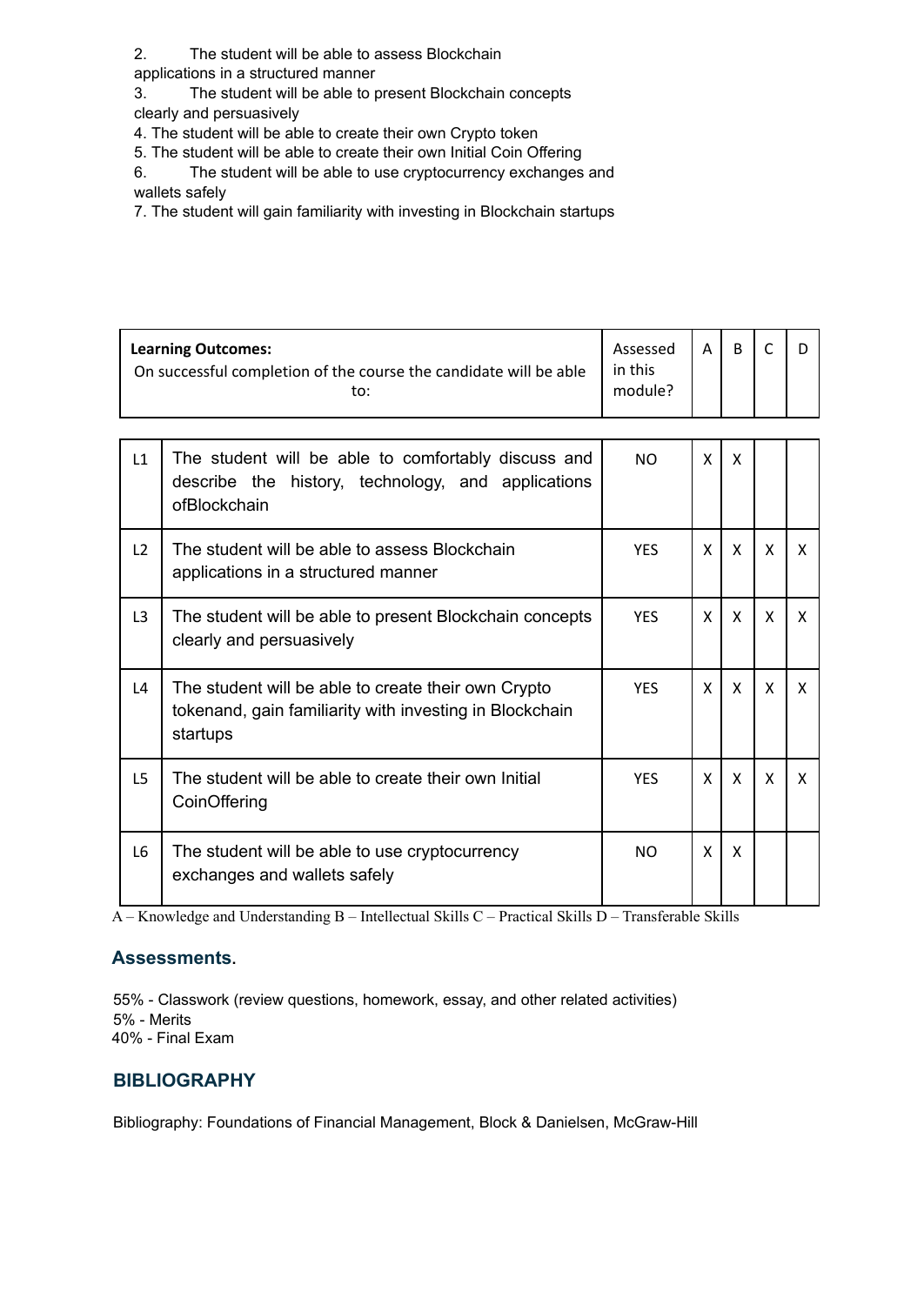2. The student will be able to assess Blockchain

applications in a structured manner

3. The student will be able to present Blockchain concepts

clearly and persuasively

4. The student will be able to create their own Crypto token

5. The student will be able to create their own Initial Coin Offering

6. The student will be able to use cryptocurrency exchanges and wallets safely

7. The student will gain familiarity with investing in Blockchain startups

| <b>Learning Outcomes:</b><br>On successful completion of the course the candidate will be able<br>to: |                                                                                                                            | Assessed<br>in this<br>module? | A | <sub>B</sub> | $\mathsf{C}$ | D            |
|-------------------------------------------------------------------------------------------------------|----------------------------------------------------------------------------------------------------------------------------|--------------------------------|---|--------------|--------------|--------------|
| L1                                                                                                    | The student will be able to comfortably discuss and<br>describe the history, technology, and applications<br>ofBlockchain  | N <sub>O</sub>                 | X | X            |              |              |
| L2                                                                                                    | The student will be able to assess Blockchain<br>applications in a structured manner                                       | <b>YES</b>                     | X | X            | X            | X            |
| L <sub>3</sub>                                                                                        | The student will be able to present Blockchain concepts<br>clearly and persuasively                                        | <b>YFS</b>                     | X | X            | X            | $\mathsf{x}$ |
| $\mathsf{L}4$                                                                                         | The student will be able to create their own Crypto<br>tokenand, gain familiarity with investing in Blockchain<br>startups | <b>YES</b>                     | X | X            | X            | X            |
| L <sub>5</sub>                                                                                        | The student will be able to create their own Initial<br>CoinOffering                                                       | <b>YES</b>                     | X | X            | X            | X            |
| L <sub>6</sub>                                                                                        | The student will be able to use cryptocurrency<br>exchanges and wallets safely                                             | <b>NO</b>                      | X | X            |              |              |

A – Knowledge and Understanding B – Intellectual Skills C – Practical Skills D – Transferable Skills

#### **Assessments.**

55% - Classwork (review questions, homework, essay, and other related activities) 5% - Merits 40% - Final Exam

# **BIBLIOGRAPHY**

Bibliography: Foundations of Financial Management, Block & Danielsen, McGraw-Hill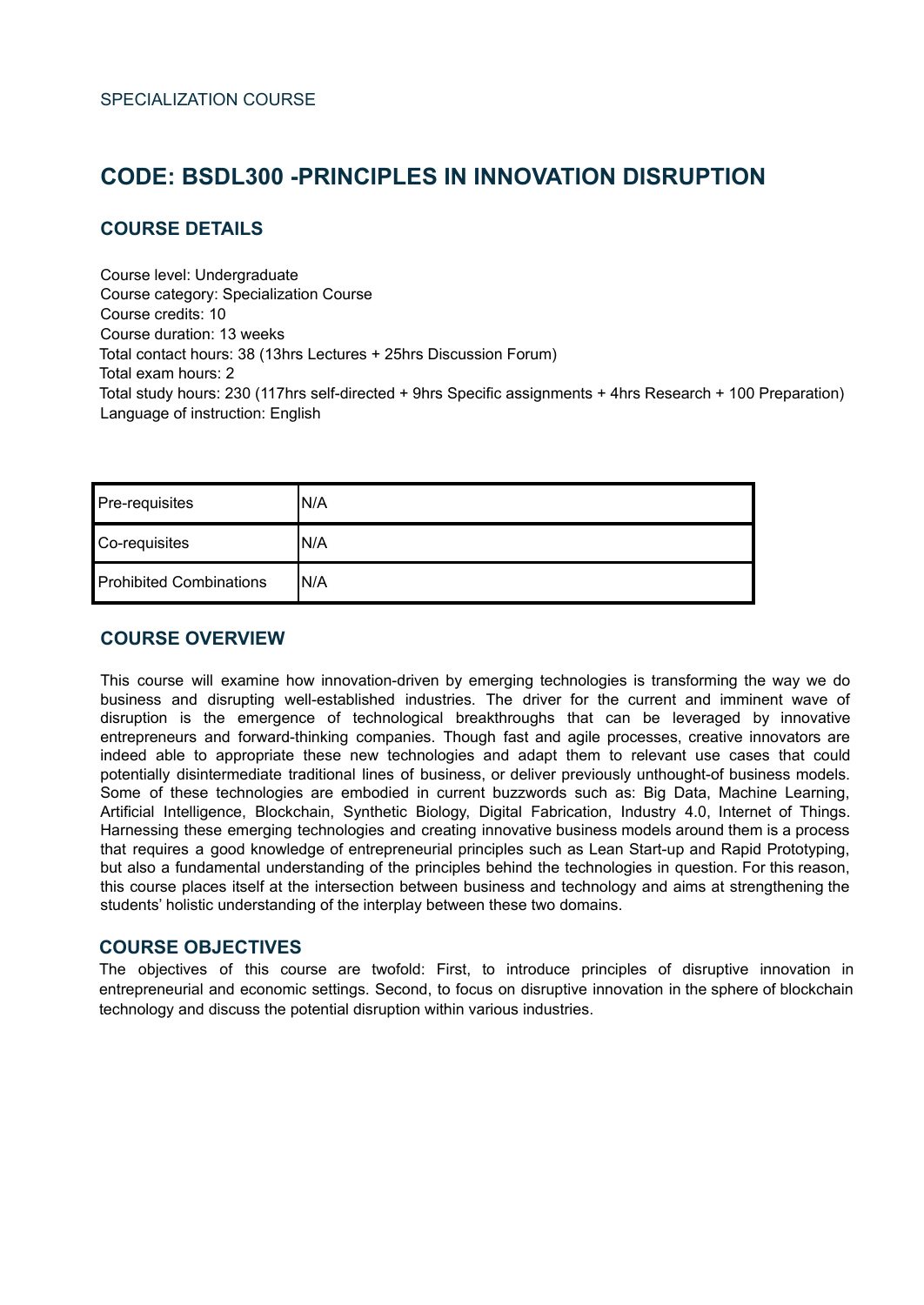# <span id="page-67-0"></span>**CODE: BSDL300 -PRINCIPLES IN INNOVATION DISRUPTION**

#### **COURSE DETAILS**

Course level: Undergraduate Course category: Specialization Course Course credits: 10 Course duration: 13 weeks Total contact hours: 38 (13hrs Lectures + 25hrs Discussion Forum) Total exam hours: 2 Total study hours: 230 (117hrs self-directed + 9hrs Specific assignments + 4hrs Research + 100 Preparation) Language of instruction: English

| Pre-requisites                 | IN/A |
|--------------------------------|------|
| Co-requisites                  | IN/A |
| <b>Prohibited Combinations</b> | IN/A |

#### **COURSE OVERVIEW**

This course will examine how innovation-driven by emerging technologies is transforming the way we do business and disrupting well-established industries. The driver for the current and imminent wave of disruption is the emergence of technological breakthroughs that can be leveraged by innovative entrepreneurs and forward-thinking companies. Though fast and agile processes, creative innovators are indeed able to appropriate these new technologies and adapt them to relevant use cases that could potentially disintermediate traditional lines of business, or deliver previously unthought-of business models. Some of these technologies are embodied in current buzzwords such as: Big Data, Machine Learning, Artificial Intelligence, Blockchain, Synthetic Biology, Digital Fabrication, Industry 4.0, Internet of Things. Harnessing these emerging technologies and creating innovative business models around them is a process that requires a good knowledge of entrepreneurial principles such as Lean Start-up and Rapid Prototyping, but also a fundamental understanding of the principles behind the technologies in question. For this reason, this course places itself at the intersection between business and technology and aims at strengthening the students' holistic understanding of the interplay between these two domains.

#### **COURSE OBJECTIVES**

The objectives of this course are twofold: First, to introduce principles of disruptive innovation in entrepreneurial and economic settings. Second, to focus on disruptive innovation in the sphere of blockchain technology and discuss the potential disruption within various industries.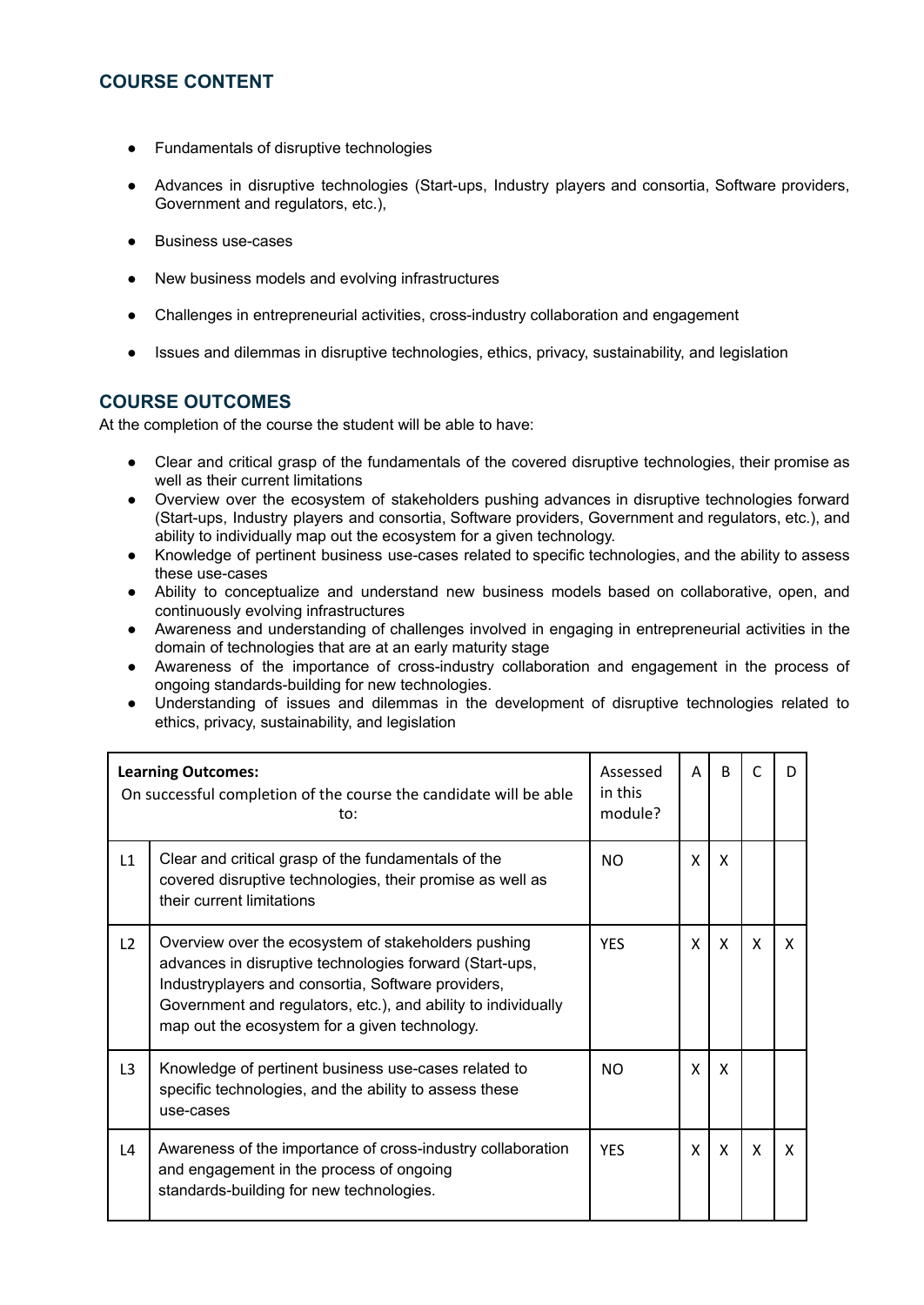### **COURSE CONTENT**

- Fundamentals of disruptive technologies
- Advances in disruptive technologies (Start-ups, Industry players and consortia, Software providers, Government and regulators, etc.),
- **Business use-cases**
- New business models and evolving infrastructures
- Challenges in entrepreneurial activities, cross-industry collaboration and engagement
- Issues and dilemmas in disruptive technologies, ethics, privacy, sustainability, and legislation

### **COURSE OUTCOMES**

At the completion of the course the student will be able to have:

- Clear and critical grasp of the fundamentals of the covered disruptive technologies, their promise as well as their current limitations
- Overview over the ecosystem of stakeholders pushing advances in disruptive technologies forward (Start-ups, Industry players and consortia, Software providers, Government and regulators, etc.), and ability to individually map out the ecosystem for a given technology.
- Knowledge of pertinent business use-cases related to specific technologies, and the ability to assess these use-cases
- Ability to conceptualize and understand new business models based on collaborative, open, and continuously evolving infrastructures
- Awareness and understanding of challenges involved in engaging in entrepreneurial activities in the domain of technologies that are at an early maturity stage
- Awareness of the importance of cross-industry collaboration and engagement in the process of ongoing standards-building for new technologies.
- Understanding of issues and dilemmas in the development of disruptive technologies related to ethics, privacy, sustainability, and legislation

| <b>Learning Outcomes:</b><br>On successful completion of the course the candidate will be able<br>to: |                                                                                                                                                                                                                                                                                        | Assessed<br>in this<br>module? | A | <sub>B</sub> | C |   |
|-------------------------------------------------------------------------------------------------------|----------------------------------------------------------------------------------------------------------------------------------------------------------------------------------------------------------------------------------------------------------------------------------------|--------------------------------|---|--------------|---|---|
| L1                                                                                                    | Clear and critical grasp of the fundamentals of the<br>covered disruptive technologies, their promise as well as<br>their current limitations                                                                                                                                          | NO.                            | X | X            |   |   |
| L2                                                                                                    | Overview over the ecosystem of stakeholders pushing<br>advances in disruptive technologies forward (Start-ups,<br>Industryplayers and consortia, Software providers,<br>Government and regulators, etc.), and ability to individually<br>map out the ecosystem for a given technology. | <b>YFS</b>                     | X | X            | X | X |
| L <sub>3</sub>                                                                                        | Knowledge of pertinent business use-cases related to<br>specific technologies, and the ability to assess these<br>use-cases                                                                                                                                                            | NO.                            | X | X            |   |   |
| L4                                                                                                    | Awareness of the importance of cross-industry collaboration<br>and engagement in the process of ongoing<br>standards-building for new technologies.                                                                                                                                    | <b>YFS</b>                     | X | X            | X | X |